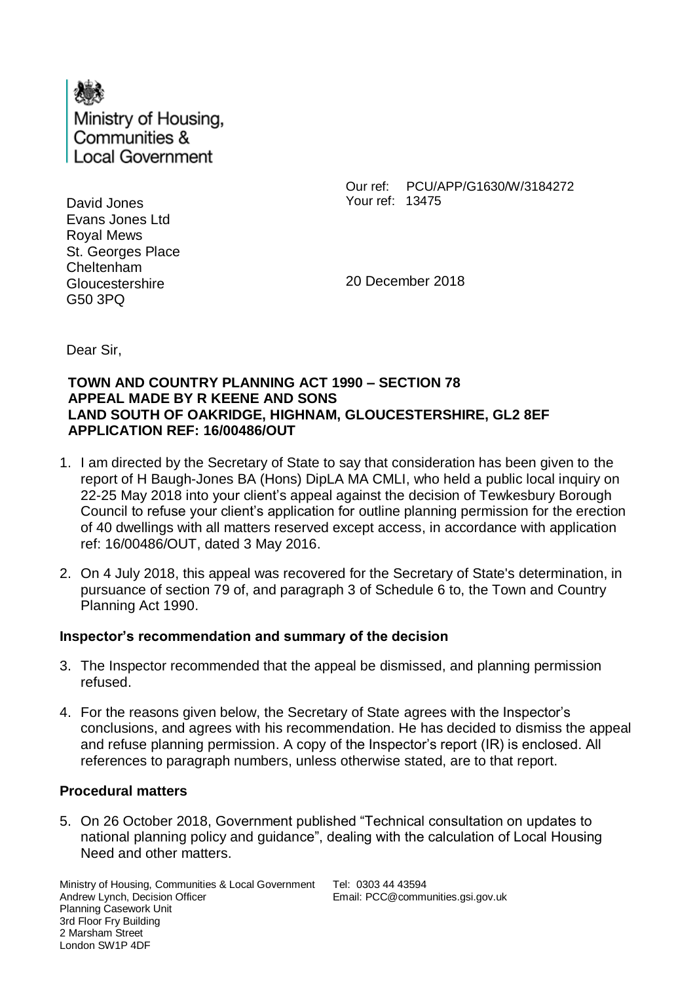

David Jones Evans Jones Ltd Royal Mews St. Georges Place Cheltenham **Gloucestershire** G50 3PQ

Our ref: PCU/APP/G1630/W/3184272 Your ref: 13475

20 December 2018

Dear Sir,

#### **TOWN AND COUNTRY PLANNING ACT 1990 – SECTION 78 APPEAL MADE BY R KEENE AND SONS LAND SOUTH OF OAKRIDGE, HIGHNAM, GLOUCESTERSHIRE, GL2 8EF APPLICATION REF: 16/00486/OUT**

- 1. I am directed by the Secretary of State to say that consideration has been given to the report of H Baugh-Jones BA (Hons) DipLA MA CMLI, who held a public local inquiry on 22-25 May 2018 into your client's appeal against the decision of Tewkesbury Borough Council to refuse your client's application for outline planning permission for the erection of 40 dwellings with all matters reserved except access, in accordance with application ref: 16/00486/OUT, dated 3 May 2016.
- 2. On 4 July 2018, this appeal was recovered for the Secretary of State's determination, in pursuance of section 79 of, and paragraph 3 of Schedule 6 to, the Town and Country Planning Act 1990.

# **Inspector's recommendation and summary of the decision**

- 3. The Inspector recommended that the appeal be dismissed, and planning permission refused.
- 4. For the reasons given below, the Secretary of State agrees with the Inspector's conclusions, and agrees with his recommendation. He has decided to dismiss the appeal and refuse planning permission. A copy of the Inspector's report (IR) is enclosed. All references to paragraph numbers, unless otherwise stated, are to that report.

# **Procedural matters**

5. On 26 October 2018, Government published "Technical consultation on updates to national planning policy and guidance", dealing with the calculation of Local Housing Need and other matters.

Ministry of Housing, Communities & Local Government Andrew Lynch, Decision Officer Planning Casework Unit 3rd Floor Fry Building 2 Marsham Street London SW1P 4DF

Tel: 0303 44 43594 Email: PCC@communities.gsi.gov.uk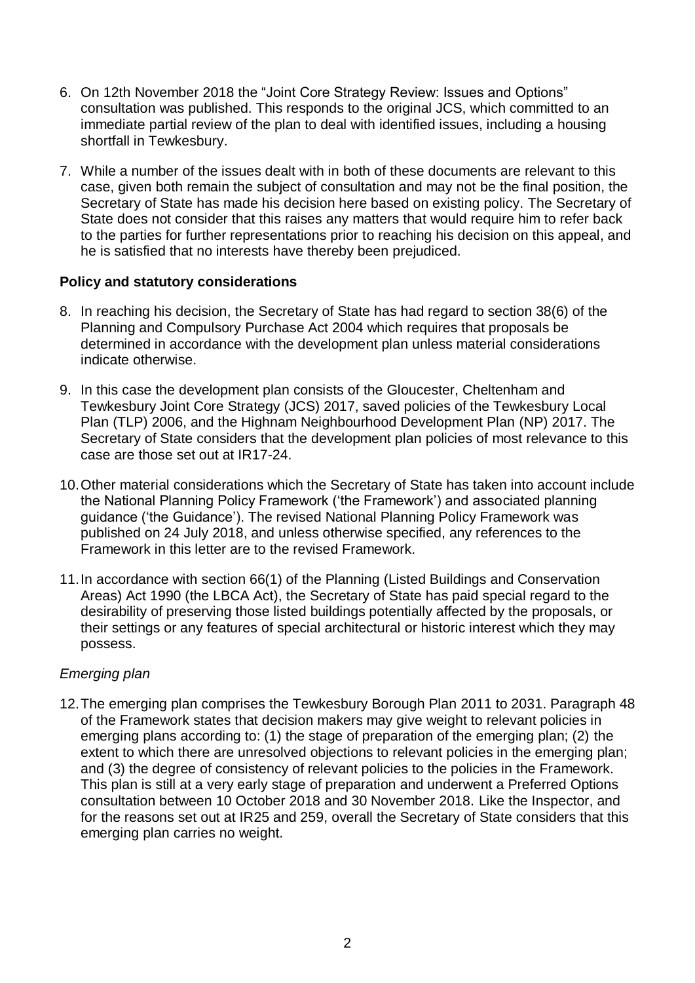- 6. On 12th November 2018 the "Joint Core Strategy Review: Issues and Options" consultation was published. This responds to the original JCS, which committed to an immediate partial review of the plan to deal with identified issues, including a housing shortfall in Tewkesbury.
- 7. While a number of the issues dealt with in both of these documents are relevant to this case, given both remain the subject of consultation and may not be the final position, the Secretary of State has made his decision here based on existing policy. The Secretary of State does not consider that this raises any matters that would require him to refer back to the parties for further representations prior to reaching his decision on this appeal, and he is satisfied that no interests have thereby been prejudiced.

#### **Policy and statutory considerations**

- 8. In reaching his decision, the Secretary of State has had regard to section 38(6) of the Planning and Compulsory Purchase Act 2004 which requires that proposals be determined in accordance with the development plan unless material considerations indicate otherwise.
- 9. In this case the development plan consists of the Gloucester, Cheltenham and Tewkesbury Joint Core Strategy (JCS) 2017, saved policies of the Tewkesbury Local Plan (TLP) 2006, and the Highnam Neighbourhood Development Plan (NP) 2017. The Secretary of State considers that the development plan policies of most relevance to this case are those set out at IR17-24.
- 10.Other material considerations which the Secretary of State has taken into account include the National Planning Policy Framework ('the Framework') and associated planning guidance ('the Guidance'). The revised National Planning Policy Framework was published on 24 July 2018, and unless otherwise specified, any references to the Framework in this letter are to the revised Framework.
- 11.In accordance with section 66(1) of the Planning (Listed Buildings and Conservation Areas) Act 1990 (the LBCA Act), the Secretary of State has paid special regard to the desirability of preserving those listed buildings potentially affected by the proposals, or their settings or any features of special architectural or historic interest which they may possess.

# *Emerging plan*

12.The emerging plan comprises the Tewkesbury Borough Plan 2011 to 2031. Paragraph 48 of the Framework states that decision makers may give weight to relevant policies in emerging plans according to: (1) the stage of preparation of the emerging plan; (2) the extent to which there are unresolved objections to relevant policies in the emerging plan; and (3) the degree of consistency of relevant policies to the policies in the Framework. This plan is still at a very early stage of preparation and underwent a Preferred Options consultation between 10 October 2018 and 30 November 2018. Like the Inspector, and for the reasons set out at IR25 and 259, overall the Secretary of State considers that this emerging plan carries no weight.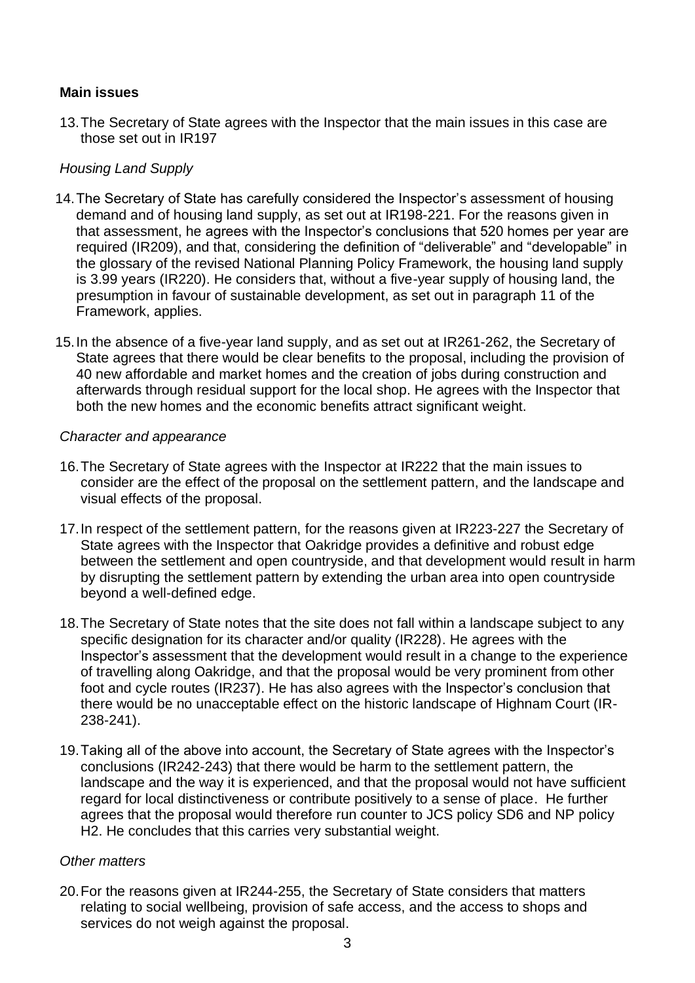# **Main issues**

13.The Secretary of State agrees with the Inspector that the main issues in this case are those set out in IR197

# *Housing Land Supply*

- 14.The Secretary of State has carefully considered the Inspector's assessment of housing demand and of housing land supply, as set out at IR198-221. For the reasons given in that assessment, he agrees with the Inspector's conclusions that 520 homes per year are required (IR209), and that, considering the definition of "deliverable" and "developable" in the glossary of the revised National Planning Policy Framework, the housing land supply is 3.99 years (IR220). He considers that, without a five-year supply of housing land, the presumption in favour of sustainable development, as set out in paragraph 11 of the Framework, applies.
- 15.In the absence of a five-year land supply, and as set out at IR261-262, the Secretary of State agrees that there would be clear benefits to the proposal, including the provision of 40 new affordable and market homes and the creation of jobs during construction and afterwards through residual support for the local shop. He agrees with the Inspector that both the new homes and the economic benefits attract significant weight.

#### *Character and appearance*

- 16.The Secretary of State agrees with the Inspector at IR222 that the main issues to consider are the effect of the proposal on the settlement pattern, and the landscape and visual effects of the proposal.
- 17.In respect of the settlement pattern, for the reasons given at IR223-227 the Secretary of State agrees with the Inspector that Oakridge provides a definitive and robust edge between the settlement and open countryside, and that development would result in harm by disrupting the settlement pattern by extending the urban area into open countryside beyond a well-defined edge.
- 18.The Secretary of State notes that the site does not fall within a landscape subject to any specific designation for its character and/or quality (IR228). He agrees with the Inspector's assessment that the development would result in a change to the experience of travelling along Oakridge, and that the proposal would be very prominent from other foot and cycle routes (IR237). He has also agrees with the Inspector's conclusion that there would be no unacceptable effect on the historic landscape of Highnam Court (IR-238-241).
- 19.Taking all of the above into account, the Secretary of State agrees with the Inspector's conclusions (IR242-243) that there would be harm to the settlement pattern, the landscape and the way it is experienced, and that the proposal would not have sufficient regard for local distinctiveness or contribute positively to a sense of place. He further agrees that the proposal would therefore run counter to JCS policy SD6 and NP policy H2. He concludes that this carries very substantial weight.

#### *Other matters*

20.For the reasons given at IR244-255, the Secretary of State considers that matters relating to social wellbeing, provision of safe access, and the access to shops and services do not weigh against the proposal.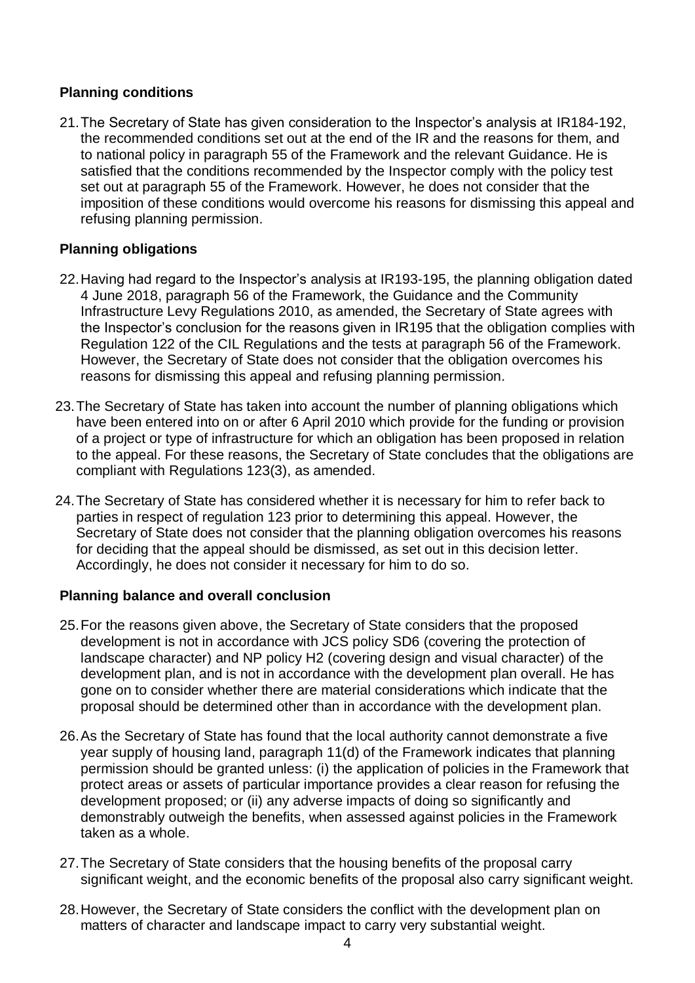# **Planning conditions**

21.The Secretary of State has given consideration to the Inspector's analysis at IR184-192, the recommended conditions set out at the end of the IR and the reasons for them, and to national policy in paragraph 55 of the Framework and the relevant Guidance. He is satisfied that the conditions recommended by the Inspector comply with the policy test set out at paragraph 55 of the Framework. However, he does not consider that the imposition of these conditions would overcome his reasons for dismissing this appeal and refusing planning permission.

#### **Planning obligations**

- 22.Having had regard to the Inspector's analysis at IR193-195, the planning obligation dated 4 June 2018, paragraph 56 of the Framework, the Guidance and the Community Infrastructure Levy Regulations 2010, as amended, the Secretary of State agrees with the Inspector's conclusion for the reasons given in IR195 that the obligation complies with Regulation 122 of the CIL Regulations and the tests at paragraph 56 of the Framework. However, the Secretary of State does not consider that the obligation overcomes his reasons for dismissing this appeal and refusing planning permission.
- 23.The Secretary of State has taken into account the number of planning obligations which have been entered into on or after 6 April 2010 which provide for the funding or provision of a project or type of infrastructure for which an obligation has been proposed in relation to the appeal. For these reasons, the Secretary of State concludes that the obligations are compliant with Regulations 123(3), as amended.
- 24.The Secretary of State has considered whether it is necessary for him to refer back to parties in respect of regulation 123 prior to determining this appeal. However, the Secretary of State does not consider that the planning obligation overcomes his reasons for deciding that the appeal should be dismissed, as set out in this decision letter. Accordingly, he does not consider it necessary for him to do so.

#### **Planning balance and overall conclusion**

- 25.For the reasons given above, the Secretary of State considers that the proposed development is not in accordance with JCS policy SD6 (covering the protection of landscape character) and NP policy H2 (covering design and visual character) of the development plan, and is not in accordance with the development plan overall. He has gone on to consider whether there are material considerations which indicate that the proposal should be determined other than in accordance with the development plan.
- 26.As the Secretary of State has found that the local authority cannot demonstrate a five year supply of housing land, paragraph 11(d) of the Framework indicates that planning permission should be granted unless: (i) the application of policies in the Framework that protect areas or assets of particular importance provides a clear reason for refusing the development proposed; or (ii) any adverse impacts of doing so significantly and demonstrably outweigh the benefits, when assessed against policies in the Framework taken as a whole.
- 27.The Secretary of State considers that the housing benefits of the proposal carry significant weight, and the economic benefits of the proposal also carry significant weight.
- 28.However, the Secretary of State considers the conflict with the development plan on matters of character and landscape impact to carry very substantial weight.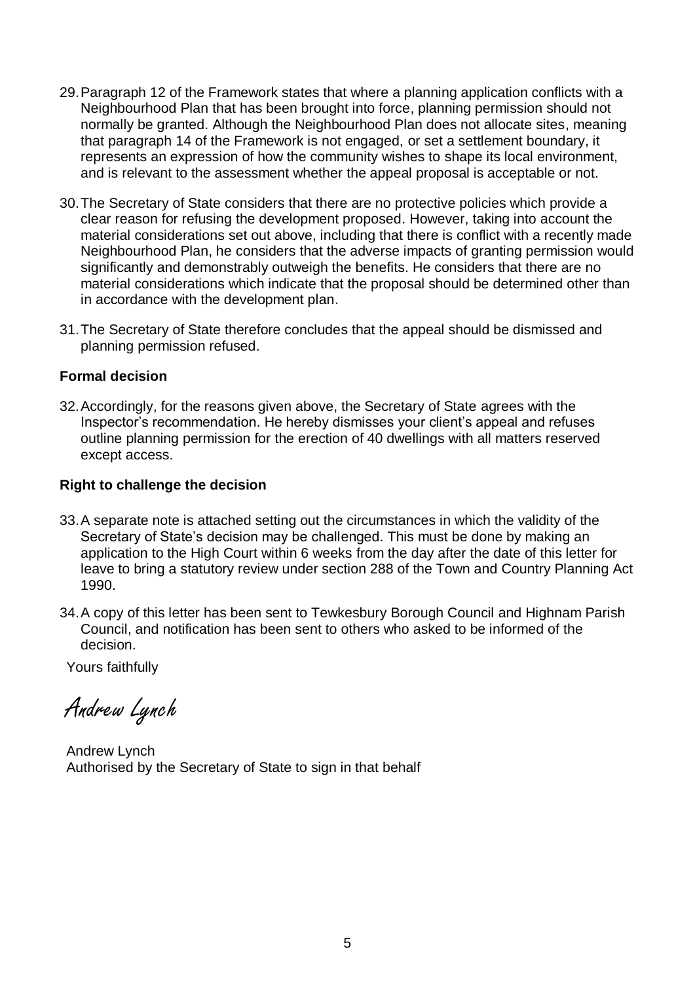- 29.Paragraph 12 of the Framework states that where a planning application conflicts with a Neighbourhood Plan that has been brought into force, planning permission should not normally be granted. Although the Neighbourhood Plan does not allocate sites, meaning that paragraph 14 of the Framework is not engaged, or set a settlement boundary, it represents an expression of how the community wishes to shape its local environment, and is relevant to the assessment whether the appeal proposal is acceptable or not.
- 30.The Secretary of State considers that there are no protective policies which provide a clear reason for refusing the development proposed. However, taking into account the material considerations set out above, including that there is conflict with a recently made Neighbourhood Plan, he considers that the adverse impacts of granting permission would significantly and demonstrably outweigh the benefits. He considers that there are no material considerations which indicate that the proposal should be determined other than in accordance with the development plan.
- 31.The Secretary of State therefore concludes that the appeal should be dismissed and planning permission refused.

#### **Formal decision**

32.Accordingly, for the reasons given above, the Secretary of State agrees with the Inspector's recommendation. He hereby dismisses your client's appeal and refuses outline planning permission for the erection of 40 dwellings with all matters reserved except access.

#### **Right to challenge the decision**

- 33.A separate note is attached setting out the circumstances in which the validity of the Secretary of State's decision may be challenged. This must be done by making an application to the High Court within 6 weeks from the day after the date of this letter for leave to bring a statutory review under section 288 of the Town and Country Planning Act 1990.
- 34.A copy of this letter has been sent to Tewkesbury Borough Council and Highnam Parish Council, and notification has been sent to others who asked to be informed of the decision.

Yours faithfully

Andrew Lynch

Andrew Lynch Authorised by the Secretary of State to sign in that behalf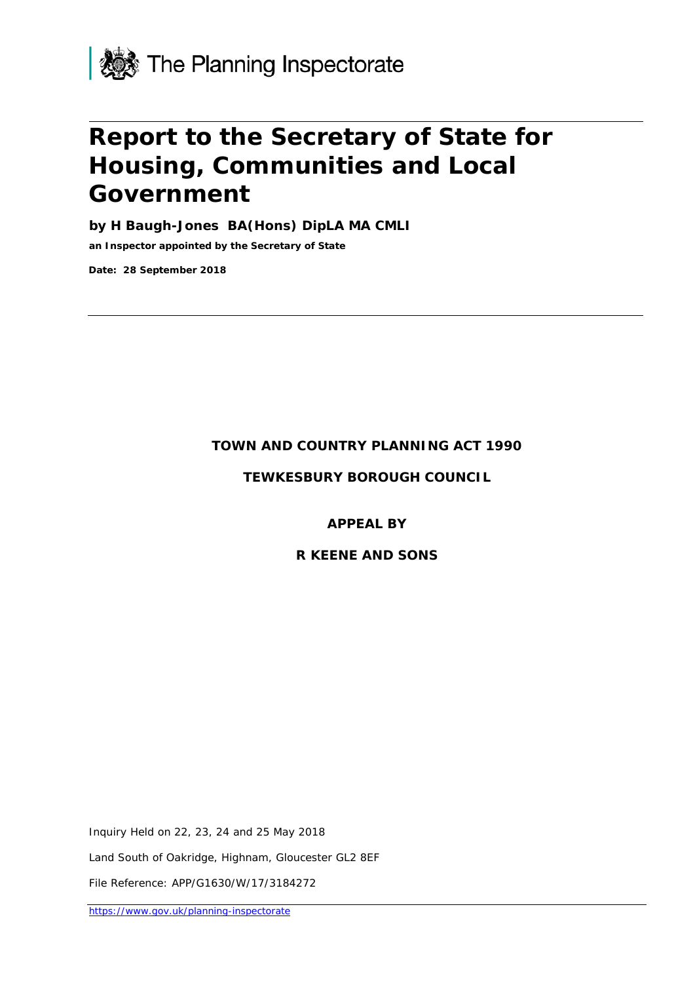

# **Report to the Secretary of State for Housing, Communities and Local Government**

**by H Baugh-Jones BA(Hons) DipLA MA CMLI**

**an Inspector appointed by the Secretary of State** 

**Date: 28 September 2018**

#### **TOWN AND COUNTRY PLANNING ACT 1990**

**TEWKESBURY BOROUGH COUNCIL**

#### **APPEAL BY**

#### **R KEENE AND SONS**

Inquiry Held on 22, 23, 24 and 25 May 2018

Land South of Oakridge, Highnam, Gloucester GL2 8EF

File Reference: APP/G1630/W/17/3184272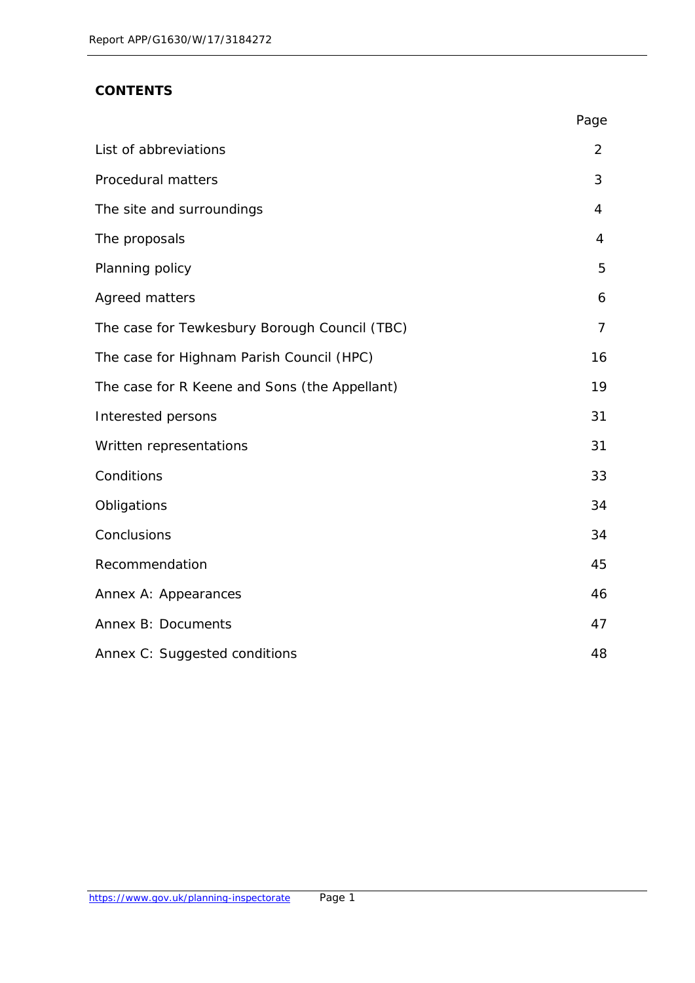# **CONTENTS**

|                                               | Page           |
|-----------------------------------------------|----------------|
| List of abbreviations                         | 2              |
| Procedural matters                            | 3              |
| The site and surroundings                     | 4              |
| The proposals                                 | 4              |
| Planning policy                               | 5              |
| Agreed matters                                | 6              |
| The case for Tewkesbury Borough Council (TBC) | $\overline{7}$ |
| The case for Highnam Parish Council (HPC)     | 16             |
| The case for R Keene and Sons (the Appellant) | 19             |
| Interested persons                            | 31             |
| Written representations                       | 31             |
| Conditions                                    | 33             |
| Obligations                                   | 34             |
| Conclusions                                   | 34             |
| Recommendation                                | 45             |
| Annex A: Appearances                          | 46             |
| Annex B: Documents                            | 47             |
| Annex C: Suggested conditions                 | 48             |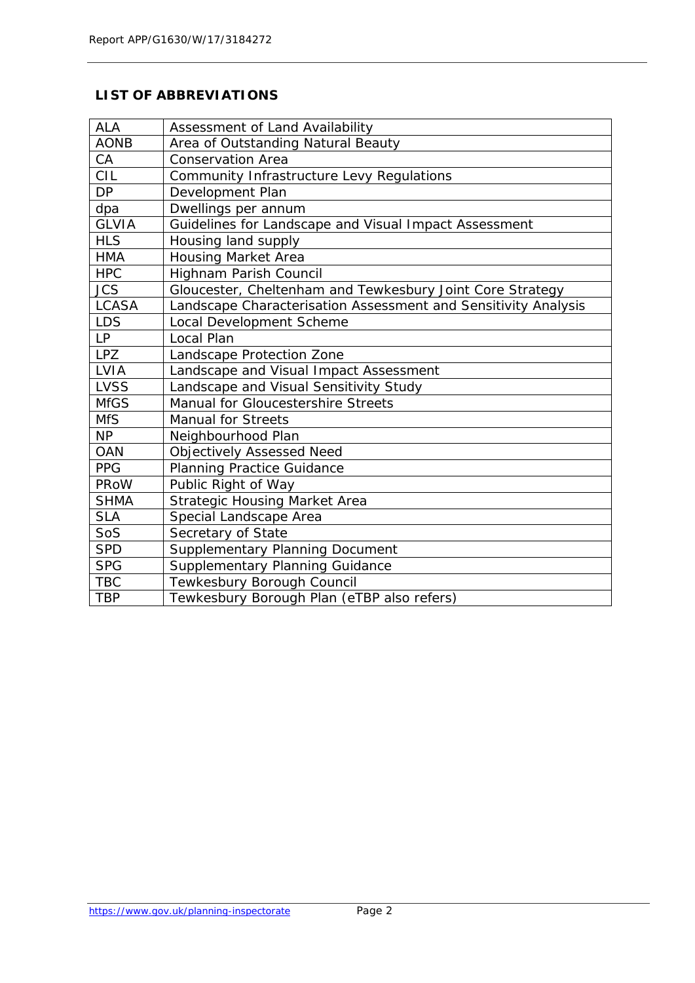# **LIST OF ABBREVIATIONS**

| <b>ALA</b>   | Assessment of Land Availability                                |
|--------------|----------------------------------------------------------------|
| <b>AONB</b>  | Area of Outstanding Natural Beauty                             |
| CA           | <b>Conservation Area</b>                                       |
| <b>CIL</b>   | Community Infrastructure Levy Regulations                      |
| <b>DP</b>    | Development Plan                                               |
| dpa          | Dwellings per annum                                            |
| <b>GLVIA</b> | Guidelines for Landscape and Visual Impact Assessment          |
| <b>HLS</b>   | Housing land supply                                            |
| <b>HMA</b>   | <b>Housing Market Area</b>                                     |
| <b>HPC</b>   | Highnam Parish Council                                         |
| <b>JCS</b>   | Gloucester, Cheltenham and Tewkesbury Joint Core Strategy      |
| <b>LCASA</b> | Landscape Characterisation Assessment and Sensitivity Analysis |
| <b>LDS</b>   | <b>Local Development Scheme</b>                                |
| LP           | Local Plan                                                     |
| <b>LPZ</b>   | Landscape Protection Zone                                      |
| LVIA         | Landscape and Visual Impact Assessment                         |
| <b>LVSS</b>  | Landscape and Visual Sensitivity Study                         |
| <b>MfGS</b>  | Manual for Gloucestershire Streets                             |
| <b>MfS</b>   | <b>Manual for Streets</b>                                      |
| <b>NP</b>    | Neighbourhood Plan                                             |
| <b>OAN</b>   | <b>Objectively Assessed Need</b>                               |
| <b>PPG</b>   | <b>Planning Practice Guidance</b>                              |
| PRoW         | Public Right of Way                                            |
| <b>SHMA</b>  | <b>Strategic Housing Market Area</b>                           |
| <b>SLA</b>   | Special Landscape Area                                         |
| SoS          | Secretary of State                                             |
| <b>SPD</b>   | <b>Supplementary Planning Document</b>                         |
| <b>SPG</b>   | Supplementary Planning Guidance                                |
| <b>TBC</b>   | Tewkesbury Borough Council                                     |
| <b>TBP</b>   | Tewkesbury Borough Plan (eTBP also refers)                     |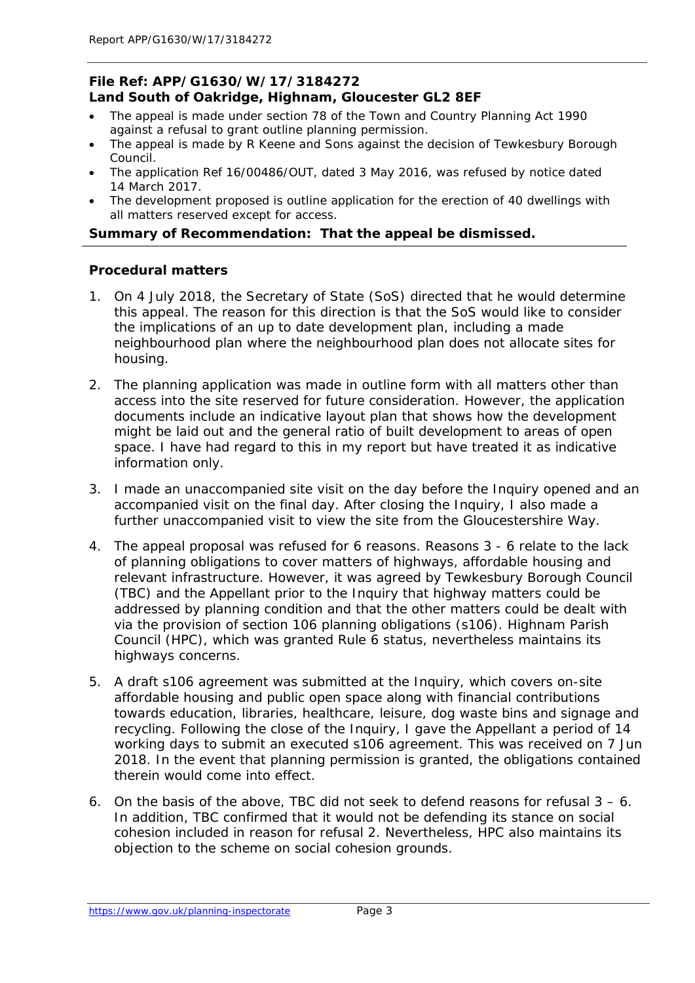#### **File Ref: APP/G1630/W/17/3184272 Land South of Oakridge, Highnam, Gloucester GL2 8EF**

- The appeal is made under section 78 of the Town and Country Planning Act 1990 against a refusal to grant outline planning permission.
- The appeal is made by R Keene and Sons against the decision of Tewkesbury Borough Council.
- The application Ref 16/00486/OUT, dated 3 May 2016, was refused by notice dated 14 March 2017.
- The development proposed is outline application for the erection of 40 dwellings with all matters reserved except for access.

#### **Summary of Recommendation: That the appeal be dismissed.**

#### **Procedural matters**

- 1. On 4 July 2018, the Secretary of State (SoS) directed that he would determine this appeal. The reason for this direction is that the SoS would like to consider the implications of an up to date development plan, including a made neighbourhood plan where the neighbourhood plan does not allocate sites for housing.
- 2. The planning application was made in outline form with all matters other than access into the site reserved for future consideration. However, the application documents include an indicative layout plan that shows how the development might be laid out and the general ratio of built development to areas of open space. I have had regard to this in my report but have treated it as indicative information only.
- 3. I made an unaccompanied site visit on the day before the Inquiry opened and an accompanied visit on the final day. After closing the Inquiry, I also made a further unaccompanied visit to view the site from the Gloucestershire Way.
- 4. The appeal proposal was refused for 6 reasons. Reasons 3 6 relate to the lack of planning obligations to cover matters of highways, affordable housing and relevant infrastructure. However, it was agreed by Tewkesbury Borough Council (TBC) and the Appellant prior to the Inquiry that highway matters could be addressed by planning condition and that the other matters could be dealt with via the provision of section 106 planning obligations (s106). Highnam Parish Council (HPC), which was granted Rule 6 status, nevertheless maintains its highways concerns.
- 5. A draft s106 agreement was submitted at the Inquiry, which covers on-site affordable housing and public open space along with financial contributions towards education, libraries, healthcare, leisure, dog waste bins and signage and recycling. Following the close of the Inquiry, I gave the Appellant a period of 14 working days to submit an executed s106 agreement. This was received on 7 Jun 2018. In the event that planning permission is granted, the obligations contained therein would come into effect.
- 6. On the basis of the above, TBC did not seek to defend reasons for refusal 3 6. In addition, TBC confirmed that it would not be defending its stance on social cohesion included in reason for refusal 2. Nevertheless, HPC also maintains its objection to the scheme on social cohesion grounds.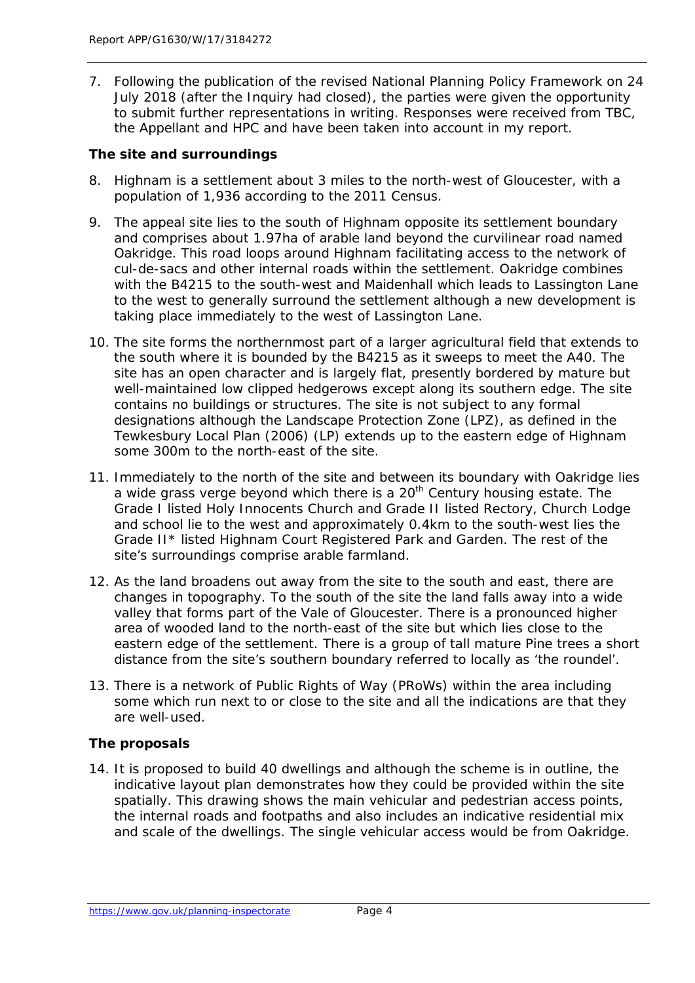7. Following the publication of the revised National Planning Policy Framework on 24 July 2018 (after the Inquiry had closed), the parties were given the opportunity to submit further representations in writing. Responses were received from TBC, the Appellant and HPC and have been taken into account in my report.

#### **The site and surroundings**

- 8. Highnam is a settlement about 3 miles to the north-west of Gloucester, with a population of 1,936 according to the 2011 Census.
- 9. The appeal site lies to the south of Highnam opposite its settlement boundary and comprises about 1.97ha of arable land beyond the curvilinear road named Oakridge. This road loops around Highnam facilitating access to the network of cul-de-sacs and other internal roads within the settlement. Oakridge combines with the B4215 to the south-west and Maidenhall which leads to Lassington Lane to the west to generally surround the settlement although a new development is taking place immediately to the west of Lassington Lane.
- 10. The site forms the northernmost part of a larger agricultural field that extends to the south where it is bounded by the B4215 as it sweeps to meet the A40. The site has an open character and is largely flat, presently bordered by mature but well-maintained low clipped hedgerows except along its southern edge. The site contains no buildings or structures. The site is not subject to any formal designations although the Landscape Protection Zone (LPZ), as defined in the Tewkesbury Local Plan (2006) (LP) extends up to the eastern edge of Highnam some 300m to the north-east of the site.
- 11. Immediately to the north of the site and between its boundary with Oakridge lies a wide grass verge beyond which there is a  $20<sup>th</sup>$  Century housing estate. The Grade I listed Holy Innocents Church and Grade II listed Rectory, Church Lodge and school lie to the west and approximately 0.4km to the south-west lies the Grade II\* listed Highnam Court Registered Park and Garden. The rest of the site's surroundings comprise arable farmland.
- 12. As the land broadens out away from the site to the south and east, there are changes in topography. To the south of the site the land falls away into a wide valley that forms part of the Vale of Gloucester. There is a pronounced higher area of wooded land to the north-east of the site but which lies close to the eastern edge of the settlement. There is a group of tall mature Pine trees a short distance from the site's southern boundary referred to locally as 'the roundel'.
- 13. There is a network of Public Rights of Way (PRoWs) within the area including some which run next to or close to the site and all the indications are that they are well-used.

#### **The proposals**

14. It is proposed to build 40 dwellings and although the scheme is in outline, the indicative layout plan demonstrates how they could be provided within the site spatially. This drawing shows the main vehicular and pedestrian access points, the internal roads and footpaths and also includes an indicative residential mix and scale of the dwellings. The single vehicular access would be from Oakridge.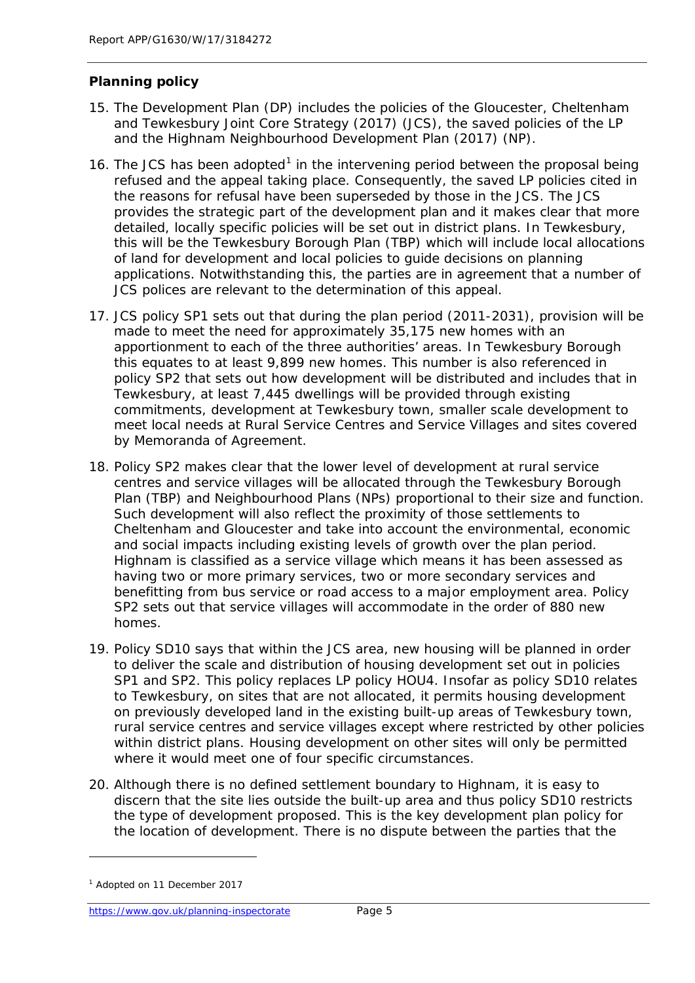#### **Planning policy**

- 15. The Development Plan (DP) includes the policies of the Gloucester, Cheltenham and Tewkesbury Joint Core Strategy (2017) (JCS), the saved policies of the LP and the Highnam Neighbourhood Development Plan (2017) (NP).
- [1](#page-10-0)6. The JCS has been adopted<sup>1</sup> in the intervening period between the proposal being refused and the appeal taking place. Consequently, the saved LP policies cited in the reasons for refusal have been superseded by those in the JCS. The JCS provides the strategic part of the development plan and it makes clear that more detailed, locally specific policies will be set out in district plans. In Tewkesbury, this will be the Tewkesbury Borough Plan (TBP) which will include local allocations of land for development and local policies to guide decisions on planning applications. Notwithstanding this, the parties are in agreement that a number of JCS polices are relevant to the determination of this appeal.
- 17. JCS policy SP1 sets out that during the plan period (2011-2031), provision will be made to meet the need for approximately 35,175 new homes with an apportionment to each of the three authorities' areas. In Tewkesbury Borough this equates to at least 9,899 new homes. This number is also referenced in policy SP2 that sets out how development will be distributed and includes that in Tewkesbury, at least 7,445 dwellings will be provided through existing commitments, development at Tewkesbury town, smaller scale development to meet local needs at Rural Service Centres and Service Villages and sites covered by Memoranda of Agreement.
- 18. Policy SP2 makes clear that the lower level of development at rural service centres and service villages will be allocated through the Tewkesbury Borough Plan (TBP) and Neighbourhood Plans (NPs) proportional to their size and function. Such development will also reflect the proximity of those settlements to Cheltenham and Gloucester and take into account the environmental, economic and social impacts including existing levels of growth over the plan period. Highnam is classified as a service village which means it has been assessed as having two or more primary services, two or more secondary services and benefitting from bus service or road access to a major employment area. Policy SP2 sets out that service villages will accommodate in the order of 880 new homes.
- 19. Policy SD10 says that within the JCS area, new housing will be planned in order to deliver the scale and distribution of housing development set out in policies SP1 and SP2. This policy replaces LP policy HOU4. Insofar as policy SD10 relates to Tewkesbury, on sites that are not allocated, it permits housing development on previously developed land in the existing built-up areas of Tewkesbury town, rural service centres and service villages except where restricted by other policies within district plans. Housing development on other sites will only be permitted where it would meet one of four specific circumstances.
- 20. Although there is no defined settlement boundary to Highnam, it is easy to discern that the site lies outside the built-up area and thus policy SD10 restricts the type of development proposed. This is the key development plan policy for the location of development. There is no dispute between the parties that the

<span id="page-10-0"></span><sup>1</sup> Adopted on 11 December 2017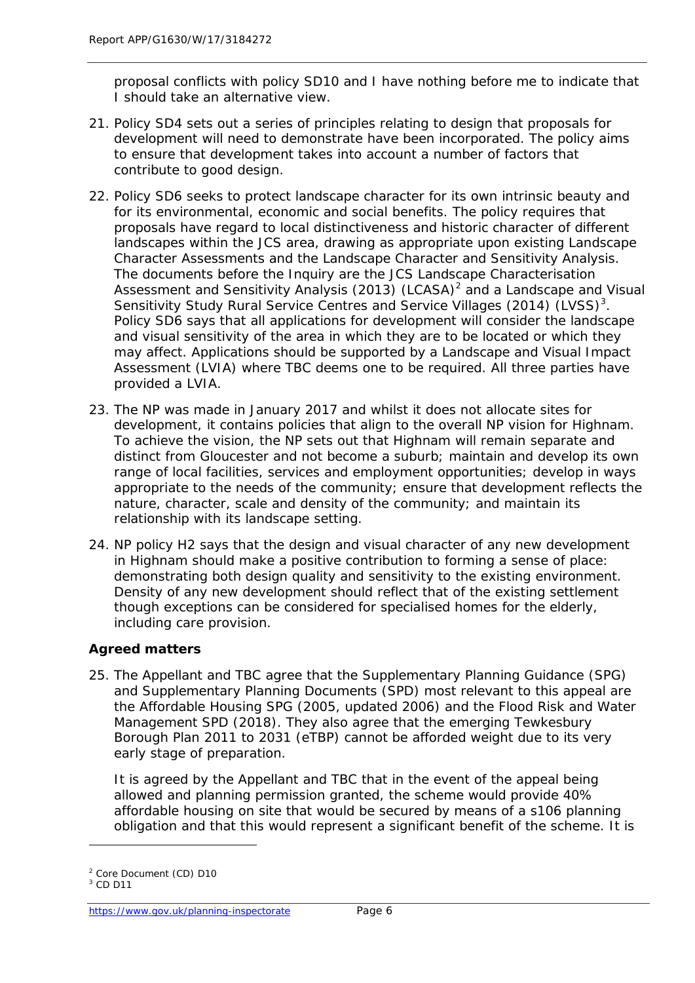proposal conflicts with policy SD10 and I have nothing before me to indicate that I should take an alternative view.

- 21. Policy SD4 sets out a series of principles relating to design that proposals for development will need to demonstrate have been incorporated. The policy aims to ensure that development takes into account a number of factors that contribute to good design.
- 22. Policy SD6 seeks to protect landscape character for its own intrinsic beauty and for its environmental, economic and social benefits. The policy requires that proposals have regard to local distinctiveness and historic character of different landscapes within the JCS area, drawing as appropriate upon existing Landscape Character Assessments and the Landscape Character and Sensitivity Analysis. The documents before the Inquiry are the JCS Landscape Characterisation Assessment and Sensitivity Analysis ([2](#page-11-0)013) (LCASA)<sup>2</sup> and a Landscape and Visual Sensitivity Study Rural Service Centres and Service Villages (2014) (LVSS)<sup>[3](#page-11-1)</sup>. Policy SD6 says that all applications for development will consider the landscape and visual sensitivity of the area in which they are to be located or which they may affect. Applications should be supported by a Landscape and Visual Impact Assessment (LVIA) where TBC deems one to be required. All three parties have provided a LVIA.
- 23. The NP was made in January 2017 and whilst it does not allocate sites for development, it contains policies that align to the overall NP vision for Highnam. To achieve the vision, the NP sets out that Highnam will remain separate and distinct from Gloucester and not become a suburb; maintain and develop its own range of local facilities, services and employment opportunities; develop in ways appropriate to the needs of the community; ensure that development reflects the nature, character, scale and density of the community; and maintain its relationship with its landscape setting.
- 24. NP policy H2 says that the design and visual character of any new development in Highnam should make a positive contribution to forming a sense of place: demonstrating both design quality and sensitivity to the existing environment. Density of any new development should reflect that of the existing settlement though exceptions can be considered for specialised homes for the elderly, including care provision.

#### **Agreed matters**

25. The Appellant and TBC agree that the Supplementary Planning Guidance (SPG) and Supplementary Planning Documents (SPD) most relevant to this appeal are the Affordable Housing SPG (2005, updated 2006) and the Flood Risk and Water Management SPD (2018). They also agree that the emerging Tewkesbury Borough Plan 2011 to 2031 (eTBP) cannot be afforded weight due to its very early stage of preparation.

It is agreed by the Appellant and TBC that in the event of the appeal being allowed and planning permission granted, the scheme would provide 40% affordable housing on site that would be secured by means of a s106 planning obligation and that this would represent a significant benefit of the scheme. It is

<span id="page-11-0"></span><sup>2</sup> Core Document (CD) D10

<span id="page-11-1"></span> $3$  CD D11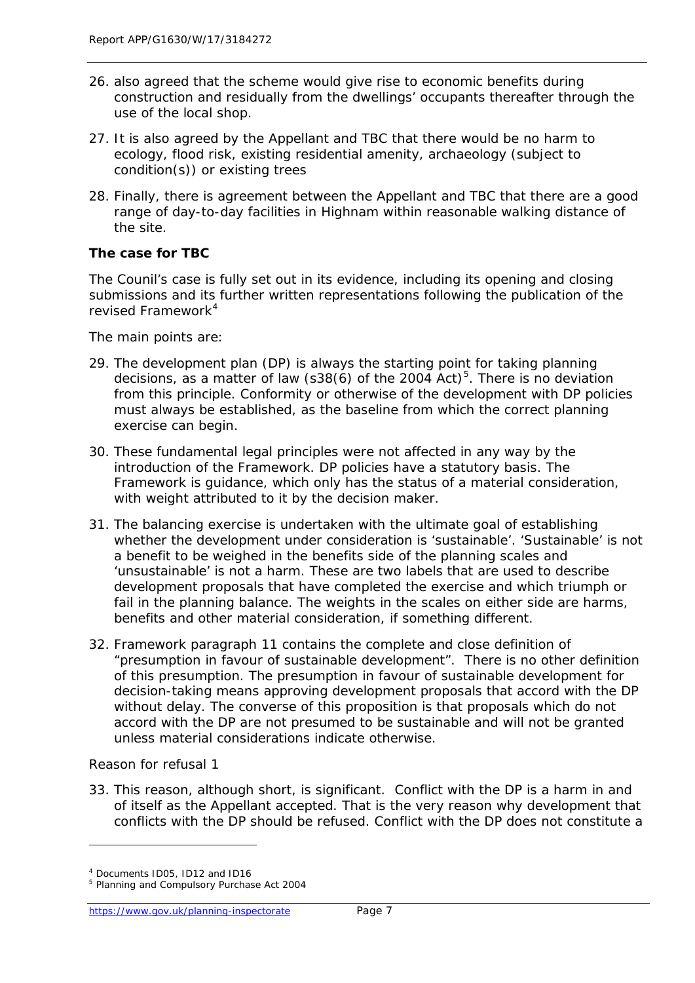- 26. also agreed that the scheme would give rise to economic benefits during construction and residually from the dwellings' occupants thereafter through the use of the local shop.
- 27. It is also agreed by the Appellant and TBC that there would be no harm to ecology, flood risk, existing residential amenity, archaeology (subject to condition(s)) or existing trees
- 28. Finally, there is agreement between the Appellant and TBC that there are a good range of day-to-day facilities in Highnam within reasonable walking distance of the site.

#### **The case for TBC**

*The Counil's case is fully set out in its evidence, including its opening and closing submissions and its further written representations following the publication of the revised Framework[4](#page-12-0)*

*The main points are:*

- 29. The development plan (DP) is always the starting point for taking planning decisions, as a matter of law (s38(6) of the 2004 Act) $5$ . There is no deviation from this principle. Conformity or otherwise of the development with DP policies must always be established, as the baseline from which the correct planning exercise can begin.
- 30. These fundamental legal principles were not affected in any way by the introduction of the Framework. DP policies have a statutory basis. The Framework is guidance, which only has the status of a material consideration, with weight attributed to it by the decision maker.
- 31. The balancing exercise is undertaken with the ultimate goal of establishing whether the development under consideration is 'sustainable'. 'Sustainable' is not a benefit to be weighed in the benefits side of the planning scales and 'unsustainable' is not a harm. These are two labels that are used to describe development proposals that have completed the exercise and which triumph or fail in the planning balance. The weights in the scales on either side are harms, benefits and other material consideration, if something different.
- 32. Framework paragraph 11 contains the complete and close definition of "presumption in favour of sustainable development". There is no other definition of this presumption. The presumption in favour of sustainable development for decision-taking means approving development proposals that accord with the DP without delay. The converse of this proposition is that proposals which do not accord with the DP are not presumed to be sustainable and will not be granted unless material considerations indicate otherwise.

#### *Reason for refusal 1*

1

33. This reason, although short, is significant. Conflict with the DP is a harm in and of itself as the Appellant accepted. That is the very reason why development that conflicts with the DP should be refused. Conflict with the DP does not constitute a

<span id="page-12-0"></span><sup>4</sup> Documents ID05, ID12 and ID16

<span id="page-12-1"></span><sup>5</sup> Planning and Compulsory Purchase Act 2004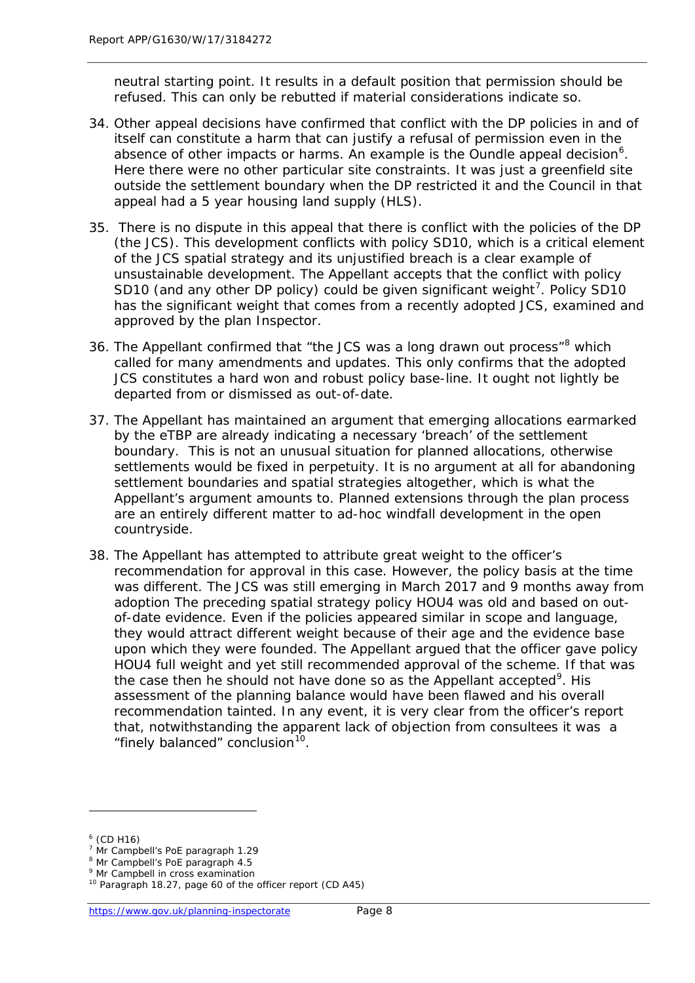neutral starting point. It results in a default position that permission should be refused. This can only be rebutted if material considerations indicate so.

- 34. Other appeal decisions have confirmed that conflict with the DP policies in and of itself can constitute a harm that can justify a refusal of permission even in the absence of other impacts or harms. An example is the Oundle appeal decision<sup>[6](#page-13-0)</sup>. Here there were no other particular site constraints. It was just a greenfield site outside the settlement boundary when the DP restricted it and the Council in that appeal had a 5 year housing land supply (HLS).
- 35. There is no dispute in this appeal that there is conflict with the policies of the DP (the JCS). This development conflicts with policy SD10, which is a critical element of the JCS spatial strategy and its unjustified breach is a clear example of unsustainable development. The Appellant accepts that the conflict with policy SD10 (and any other DP policy) could be given significant weight<sup>[7](#page-13-1)</sup>. Policy SD10 has the significant weight that comes from a recently adopted JCS, examined and approved by the plan Inspector.
- 36. The Appellant confirmed that "the JCS was a long drawn out process"<sup>[8](#page-13-2)</sup> which called for many amendments and updates. This only confirms that the adopted JCS constitutes a hard won and robust policy base-line. It ought not lightly be departed from or dismissed as out-of-date.
- 37. The Appellant has maintained an argument that emerging allocations earmarked by the eTBP are already indicating a necessary 'breach' of the settlement boundary. This is not an unusual situation for planned allocations, otherwise settlements would be fixed in perpetuity. It is no argument at all for abandoning settlement boundaries and spatial strategies altogether, which is what the Appellant's argument amounts to. Planned extensions through the plan process are an entirely different matter to ad-hoc windfall development in the open countryside.
- 38. The Appellant has attempted to attribute great weight to the officer's recommendation for approval in this case. However, the policy basis at the time was different. The JCS was still emerging in March 2017 and 9 months away from adoption The preceding spatial strategy policy HOU4 was old and based on outof-date evidence. Even if the policies appeared similar in scope and language, they would attract different weight because of their age and the evidence base upon which they were founded. The Appellant argued that the officer gave policy HOU4 full weight and yet still recommended approval of the scheme. If that was the case then he should not have done so as the Appellant accepted<sup>[9](#page-13-3)</sup>. His assessment of the planning balance would have been flawed and his overall recommendation tainted. In any event, it is very clear from the officer's report that, notwithstanding the apparent lack of objection from consultees it was a "finely balanced" conclusion<sup>10</sup>.

<span id="page-13-0"></span> $6$  (CD H16)

<sup>7</sup> Mr Campbell's PoE paragraph 1.29

<span id="page-13-2"></span><span id="page-13-1"></span><sup>8</sup> Mr Campbell's PoE paragraph 4.5

<span id="page-13-3"></span><sup>&</sup>lt;sup>9</sup> Mr Campbell in cross examination

<span id="page-13-4"></span><sup>10</sup> Paragraph 18.27, page 60 of the officer report (CD A45)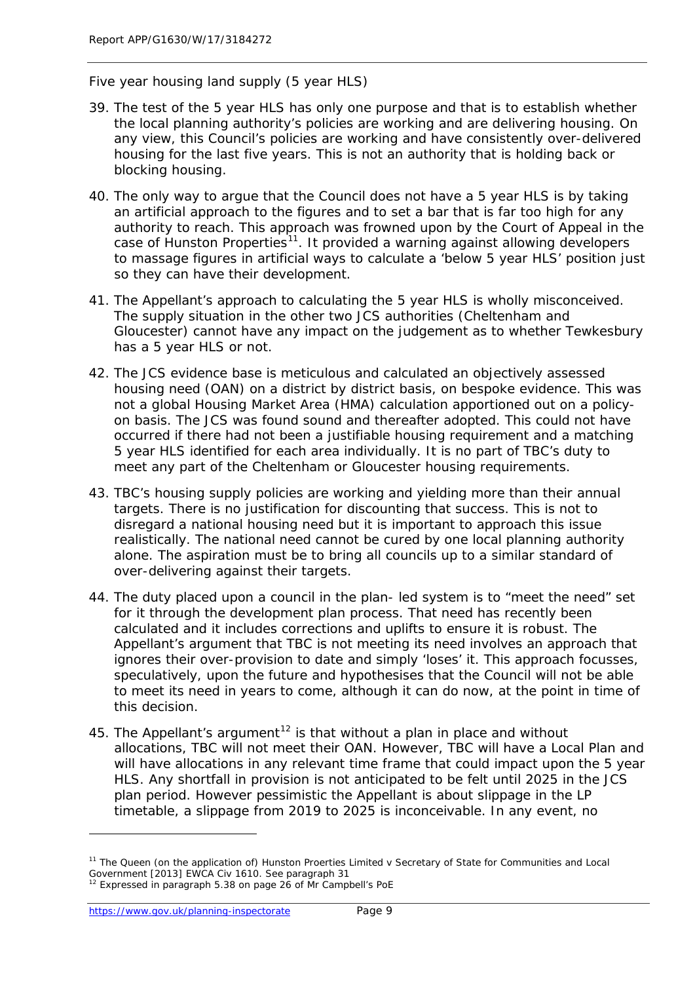#### *Five year housing land supply (5 year HLS)*

- 39. The test of the 5 year HLS has only one purpose and that is to establish whether the local planning authority's policies are working and are delivering housing. On any view, this Council's policies are working and have consistently over-delivered housing for the last five years. This is not an authority that is holding back or blocking housing.
- 40. The only way to argue that the Council does not have a 5 year HLS is by taking an artificial approach to the figures and to set a bar that is far too high for any authority to reach. This approach was frowned upon by the Court of Appeal in the case of Hunston Properties<sup>11</sup>. It provided a warning against allowing developers to massage figures in artificial ways to calculate a 'below 5 year HLS' position just so they can have their development.
- 41. The Appellant's approach to calculating the 5 year HLS is wholly misconceived. The supply situation in the other two JCS authorities (Cheltenham and Gloucester) cannot have any impact on the judgement as to whether Tewkesbury has a 5 year HLS or not.
- 42. The JCS evidence base is meticulous and calculated an objectively assessed housing need (OAN) on a district by district basis, on bespoke evidence. This was not a global Housing Market Area (HMA) calculation apportioned out on a policyon basis. The JCS was found sound and thereafter adopted. This could not have occurred if there had not been a justifiable housing requirement and a matching 5 year HLS identified for each area individually. It is no part of TBC's duty to meet any part of the Cheltenham or Gloucester housing requirements.
- 43. TBC's housing supply policies are working and yielding more than their annual targets. There is no justification for discounting that success. This is not to disregard a national housing need but it is important to approach this issue realistically. The national need cannot be cured by one local planning authority alone. The aspiration must be to bring all councils up to a similar standard of over-delivering against their targets.
- 44. The duty placed upon a council in the plan- led system is to "meet the need" set for it through the development plan process. That need has recently been calculated and it includes corrections and uplifts to ensure it is robust. The Appellant's argument that TBC is not meeting its need involves an approach that ignores their over-provision to date and simply 'loses' it. This approach focusses, speculatively, upon the future and hypothesises that the Council will not be able to meet its need in years to come, although it can do now, at the point in time of this decision.
- 45. The Appellant's argument<sup>[12](#page-14-1)</sup> is that without a plan in place and without allocations, TBC will not meet their OAN. However, TBC will have a Local Plan and will have allocations in any relevant time frame that could impact upon the 5 year HLS. Any shortfall in provision is not anticipated to be felt until 2025 in the JCS plan period. However pessimistic the Appellant is about slippage in the LP timetable, a slippage from 2019 to 2025 is inconceivable. In any event, no

<span id="page-14-0"></span><sup>&</sup>lt;sup>11</sup> The Queen (on the application of) Hunston Proerties Limited v Secretary of State for Communities and Local Government [2013] EWCA Civ 1610. See paragraph 31

<span id="page-14-1"></span><sup>&</sup>lt;sup>12</sup> Expressed in paragraph 5.38 on page 26 of Mr Campbell's PoE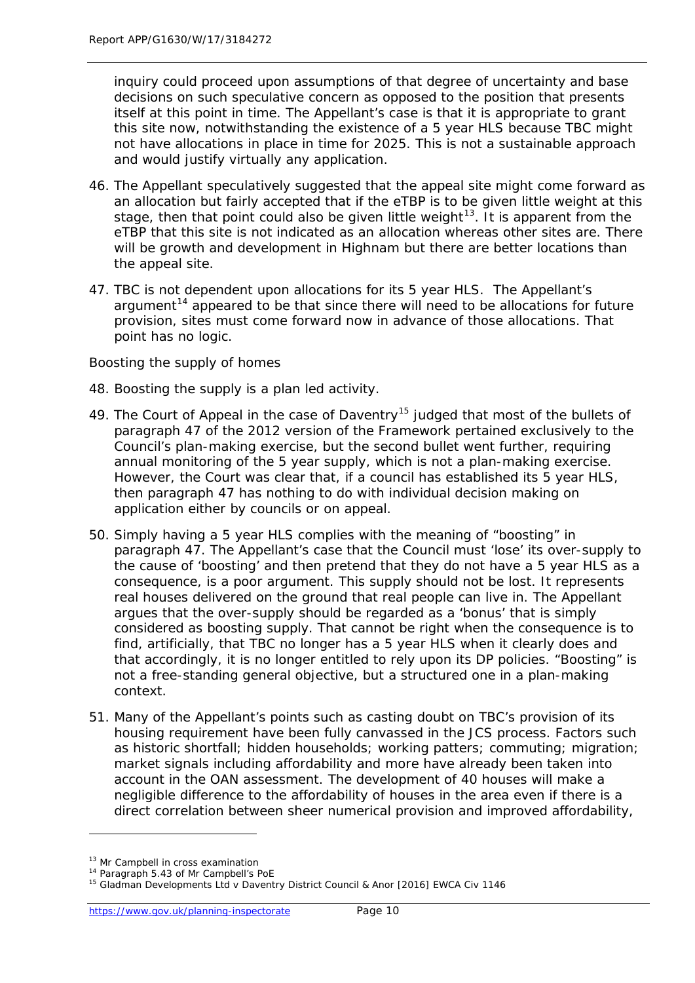inquiry could proceed upon assumptions of that degree of uncertainty and base decisions on such speculative concern as opposed to the position that presents itself at this point in time. The Appellant's case is that it is appropriate to grant this site now, notwithstanding the existence of a 5 year HLS because TBC might not have allocations in place in time for 2025. This is not a sustainable approach and would justify virtually any application.

- 46. The Appellant speculatively suggested that the appeal site might come forward as an allocation but fairly accepted that if the eTBP is to be given little weight at this stage, then that point could also be given little weight<sup>13</sup>. It is apparent from the eTBP that this site is not indicated as an allocation whereas other sites are. There will be growth and development in Highnam but there are better locations than the appeal site.
- 47. TBC is not dependent upon allocations for its 5 year HLS. The Appellant's argument<sup>[14](#page-15-1)</sup> appeared to be that since there will need to be allocations for future provision, sites must come forward now in advance of those allocations. That point has no logic.

#### *Boosting the supply of homes*

- 48. Boosting the supply is a plan led activity.
- 49. The Court of Appeal in the case of Daventry<sup>[15](#page-15-2)</sup> judged that most of the bullets of paragraph 47 of the 2012 version of the Framework pertained exclusively to the Council's plan-making exercise, but the second bullet went further, requiring annual monitoring of the 5 year supply, which is not a plan-making exercise. However, the Court was clear that, if a council has established its 5 year HLS, then paragraph 47 has nothing to do with individual decision making on application either by councils or on appeal.
- 50. Simply having a 5 year HLS complies with the meaning of "boosting" in paragraph 47. The Appellant's case that the Council must 'lose' its over-supply to the cause of 'boosting' and then pretend that they do not have a 5 year HLS as a consequence, is a poor argument. This supply should not be lost. It represents real houses delivered on the ground that real people can live in. The Appellant argues that the over-supply should be regarded as a 'bonus' that is simply considered as boosting supply. That cannot be right when the consequence is to find, artificially, that TBC no longer has a 5 year HLS when it clearly does and that accordingly, it is no longer entitled to rely upon its DP policies. "Boosting" is not a free-standing general objective, but a structured one in a plan-making context.
- 51. Many of the Appellant's points such as casting doubt on TBC's provision of its housing requirement have been fully canvassed in the JCS process. Factors such as historic shortfall; hidden households; working patters; commuting; migration; market signals including affordability and more have already been taken into account in the OAN assessment. The development of 40 houses will make a negligible difference to the affordability of houses in the area even if there is a direct correlation between sheer numerical provision and improved affordability,

<span id="page-15-0"></span><sup>&</sup>lt;sup>13</sup> Mr Campbell in cross examination

<span id="page-15-1"></span><sup>&</sup>lt;sup>14</sup> Paragraph 5.43 of Mr Campbell's PoE

<span id="page-15-2"></span><sup>&</sup>lt;sup>15</sup> Gladman Developments Ltd v Daventry District Council & Anor [2016] EWCA Civ 1146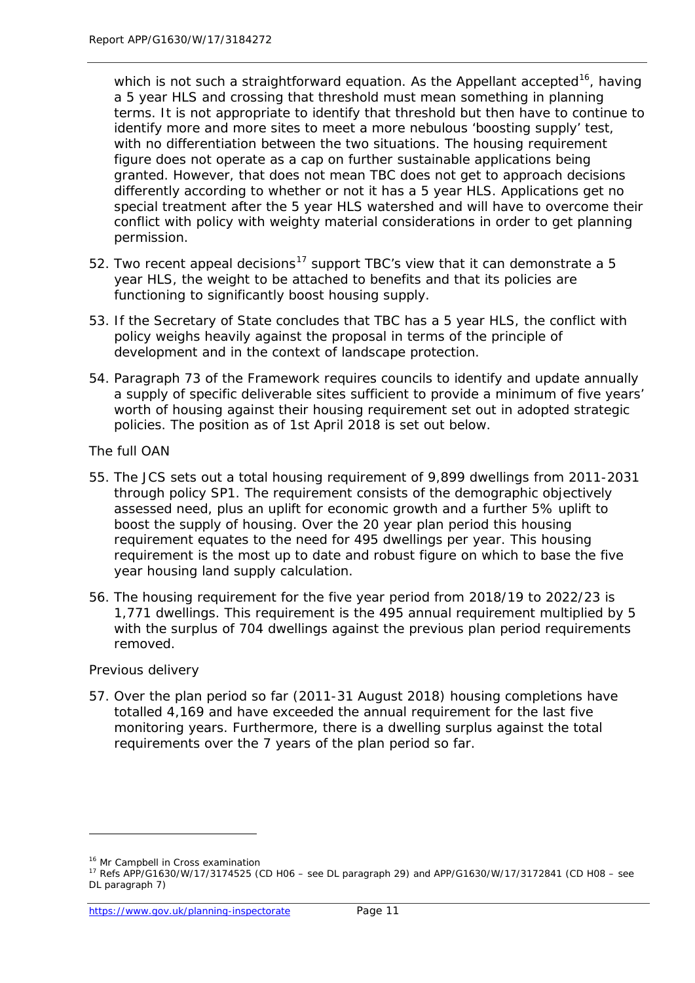which is not such a straightforward equation. As the Appellant accepted<sup>[16](#page-16-0)</sup>, having a 5 year HLS and crossing that threshold must mean something in planning terms. It is not appropriate to identify that threshold but then have to continue to identify more and more sites to meet a more nebulous 'boosting supply' test, with no differentiation between the two situations. The housing requirement figure does not operate as a cap on further sustainable applications being granted. However, that does not mean TBC does not get to approach decisions differently according to whether or not it has a 5 year HLS. Applications get no special treatment after the 5 year HLS watershed and will have to overcome their conflict with policy with weighty material considerations in order to get planning permission.

- 52. Two recent appeal decisions<sup>[17](#page-16-1)</sup> support TBC's view that it can demonstrate a 5 year HLS, the weight to be attached to benefits and that its policies are functioning to significantly boost housing supply.
- 53. If the Secretary of State concludes that TBC has a 5 year HLS, the conflict with policy weighs heavily against the proposal in terms of the principle of development and in the context of landscape protection.
- 54. Paragraph 73 of the Framework requires councils to identify and update annually a supply of specific deliverable sites sufficient to provide a minimum of five years' worth of housing against their housing requirement set out in adopted strategic policies. The position as of 1st April 2018 is set out below.

#### *The full OAN*

- 55. The JCS sets out a total housing requirement of 9,899 dwellings from 2011-2031 through policy SP1. The requirement consists of the demographic objectively assessed need, plus an uplift for economic growth and a further 5% uplift to boost the supply of housing. Over the 20 year plan period this housing requirement equates to the need for 495 dwellings per year. This housing requirement is the most up to date and robust figure on which to base the five year housing land supply calculation.
- 56. The housing requirement for the five year period from 2018/19 to 2022/23 is 1,771 dwellings. This requirement is the 495 annual requirement multiplied by 5 with the surplus of 704 dwellings against the previous plan period requirements removed.

#### *Previous delivery*

57. Over the plan period so far (2011-31 August 2018) housing completions have totalled 4,169 and have exceeded the annual requirement for the last five monitoring years. Furthermore, there is a dwelling surplus against the total requirements over the 7 years of the plan period so far.

<sup>&</sup>lt;sup>16</sup> Mr Campbell in Cross examination

<span id="page-16-1"></span><span id="page-16-0"></span><sup>17</sup> Refs APP/G1630/W/17/3174525 (CD H06 – see DL paragraph 29) and APP/G1630/W/17/3172841 (CD H08 – see DL paragraph 7)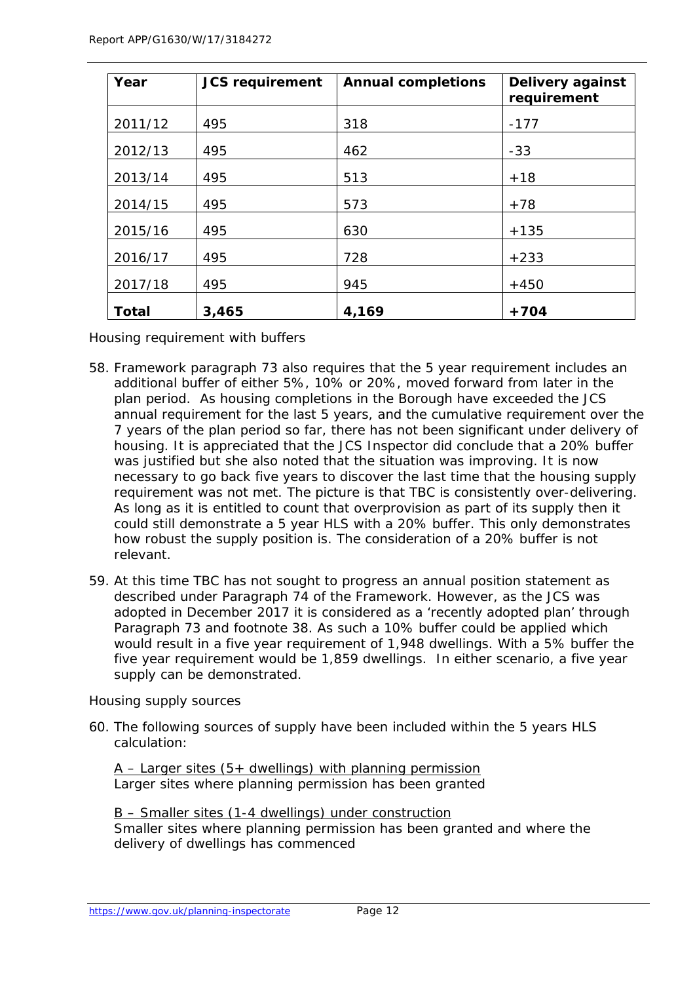| Year         | <b>JCS requirement</b> | <b>Annual completions</b> | Delivery against<br>requirement |
|--------------|------------------------|---------------------------|---------------------------------|
| 2011/12      | 495                    | 318                       | $-177$                          |
| 2012/13      | 495                    | 462                       | $-33$                           |
| 2013/14      | 495                    | 513                       | $+18$                           |
| 2014/15      | 495                    | 573                       | $+78$                           |
| 2015/16      | 495                    | 630                       | $+135$                          |
| 2016/17      | 495                    | 728                       | $+233$                          |
| 2017/18      | 495                    | 945                       | $+450$                          |
| <b>Total</b> | 3,465                  | 4,169                     | $+704$                          |

*Housing requirement with buffers*

- 58. Framework paragraph 73 also requires that the 5 year requirement includes an additional buffer of either 5%, 10% or 20%, moved forward from later in the plan period. As housing completions in the Borough have exceeded the JCS annual requirement for the last 5 years, and the cumulative requirement over the 7 years of the plan period so far, there has not been significant under delivery of housing. It is appreciated that the JCS Inspector did conclude that a 20% buffer was justified but she also noted that the situation was improving. It is now necessary to go back five years to discover the last time that the housing supply requirement was not met. The picture is that TBC is consistently over-delivering. As long as it is entitled to count that overprovision as part of its supply then it could still demonstrate a 5 year HLS with a 20% buffer. This only demonstrates how robust the supply position is. The consideration of a 20% buffer is not relevant.
- 59. At this time TBC has not sought to progress an annual position statement as described under Paragraph 74 of the Framework. However, as the JCS was adopted in December 2017 it is considered as a 'recently adopted plan' through Paragraph 73 and footnote 38. As such a 10% buffer could be applied which would result in a five year requirement of 1,948 dwellings. With a 5% buffer the five year requirement would be 1,859 dwellings. In either scenario, a five year supply can be demonstrated.

#### *Housing supply sources*

60. The following sources of supply have been included within the 5 years HLS calculation:

#### $A -$  Larger sites (5+ dwellings) with planning permission Larger sites where planning permission has been granted

B – Smaller sites (1-4 dwellings) under construction Smaller sites where planning permission has been granted and where the delivery of dwellings has commenced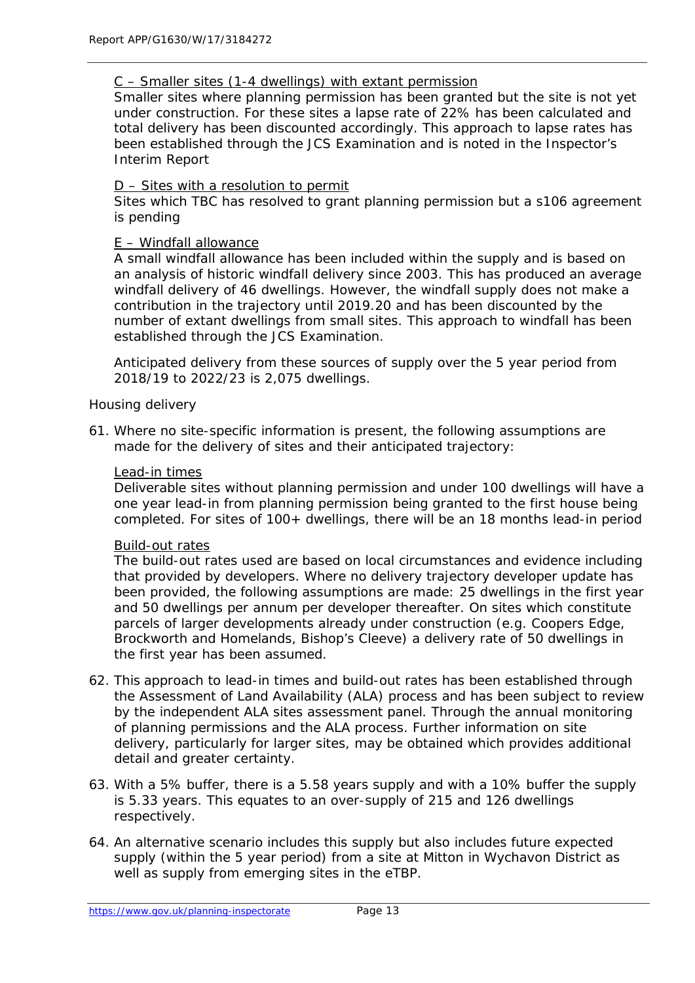#### C – Smaller sites (1-4 dwellings) with extant permission

Smaller sites where planning permission has been granted but the site is not yet under construction. For these sites a lapse rate of 22% has been calculated and total delivery has been discounted accordingly. This approach to lapse rates has been established through the JCS Examination and is noted in the Inspector's Interim Report

#### D – Sites with a resolution to permit

Sites which TBC has resolved to grant planning permission but a s106 agreement is pending

#### E – Windfall allowance

A small windfall allowance has been included within the supply and is based on an analysis of historic windfall delivery since 2003. This has produced an average windfall delivery of 46 dwellings. However, the windfall supply does not make a contribution in the trajectory until 2019.20 and has been discounted by the number of extant dwellings from small sites. This approach to windfall has been established through the JCS Examination.

Anticipated delivery from these sources of supply over the 5 year period from 2018/19 to 2022/23 is 2,075 dwellings.

#### *Housing delivery*

61. Where no site-specific information is present, the following assumptions are made for the delivery of sites and their anticipated trajectory:

#### Lead-in times

Deliverable sites without planning permission and under 100 dwellings will have a one year lead-in from planning permission being granted to the first house being completed. For sites of 100+ dwellings, there will be an 18 months lead-in period

#### Build-out rates

The build-out rates used are based on local circumstances and evidence including that provided by developers. Where no delivery trajectory developer update has been provided, the following assumptions are made: 25 dwellings in the first year and 50 dwellings per annum per developer thereafter. On sites which constitute parcels of larger developments already under construction (e.g. Coopers Edge, Brockworth and Homelands, Bishop's Cleeve) a delivery rate of 50 dwellings in the first year has been assumed.

- 62. This approach to lead-in times and build-out rates has been established through the Assessment of Land Availability (ALA) process and has been subject to review by the independent ALA sites assessment panel. Through the annual monitoring of planning permissions and the ALA process. Further information on site delivery, particularly for larger sites, may be obtained which provides additional detail and greater certainty.
- 63. With a 5% buffer, there is a 5.58 years supply and with a 10% buffer the supply is 5.33 years. This equates to an over-supply of 215 and 126 dwellings respectively.
- 64. An alternative scenario includes this supply but also includes future expected supply (within the 5 year period) from a site at Mitton in Wychavon District as well as supply from emerging sites in the eTBP.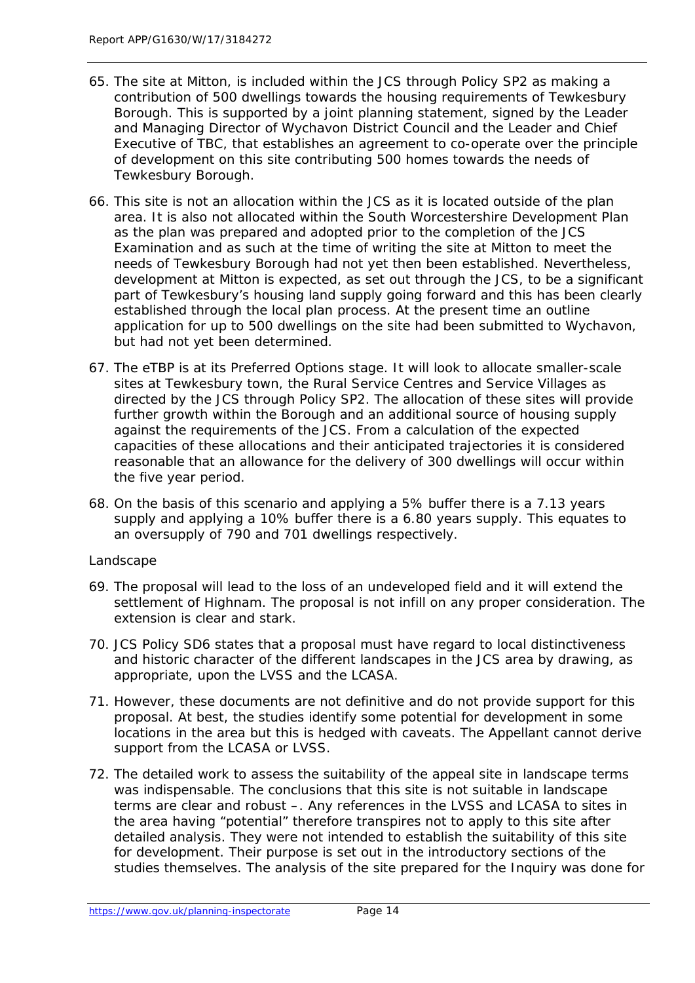- 65. The site at Mitton, is included within the JCS through Policy SP2 as making a contribution of 500 dwellings towards the housing requirements of Tewkesbury Borough. This is supported by a joint planning statement, signed by the Leader and Managing Director of Wychavon District Council and the Leader and Chief Executive of TBC, that establishes an agreement to co-operate over the principle of development on this site contributing 500 homes towards the needs of Tewkesbury Borough.
- 66. This site is not an allocation within the JCS as it is located outside of the plan area. It is also not allocated within the South Worcestershire Development Plan as the plan was prepared and adopted prior to the completion of the JCS Examination and as such at the time of writing the site at Mitton to meet the needs of Tewkesbury Borough had not yet then been established. Nevertheless, development at Mitton is expected, as set out through the JCS, to be a significant part of Tewkesbury's housing land supply going forward and this has been clearly established through the local plan process. At the present time an outline application for up to 500 dwellings on the site had been submitted to Wychavon, but had not yet been determined.
- 67. The eTBP is at its Preferred Options stage. It will look to allocate smaller-scale sites at Tewkesbury town, the Rural Service Centres and Service Villages as directed by the JCS through Policy SP2. The allocation of these sites will provide further growth within the Borough and an additional source of housing supply against the requirements of the JCS. From a calculation of the expected capacities of these allocations and their anticipated trajectories it is considered reasonable that an allowance for the delivery of 300 dwellings will occur within the five year period.
- 68. On the basis of this scenario and applying a 5% buffer there is a 7.13 years supply and applying a 10% buffer there is a 6.80 years supply. This equates to an oversupply of 790 and 701 dwellings respectively.

#### *Landscape*

- 69. The proposal will lead to the loss of an undeveloped field and it will extend the settlement of Highnam. The proposal is not infill on any proper consideration. The extension is clear and stark.
- 70. JCS Policy SD6 states that a proposal must have regard to local distinctiveness and historic character of the different landscapes in the JCS area by drawing, as appropriate, upon the LVSS and the LCASA.
- 71. However, these documents are not definitive and do not provide support for this proposal. At best, the studies identify some potential for development in some locations in the area but this is hedged with caveats. The Appellant cannot derive support from the LCASA or LVSS.
- 72. The detailed work to assess the suitability of the appeal site in landscape terms was indispensable. The conclusions that this site is not suitable in landscape terms are clear and robust –. Any references in the LVSS and LCASA to sites in the area having "potential" therefore transpires not to apply to this site after detailed analysis. They were not intended to establish the suitability of this site for development. Their purpose is set out in the introductory sections of the studies themselves. The analysis of the site prepared for the Inquiry was done for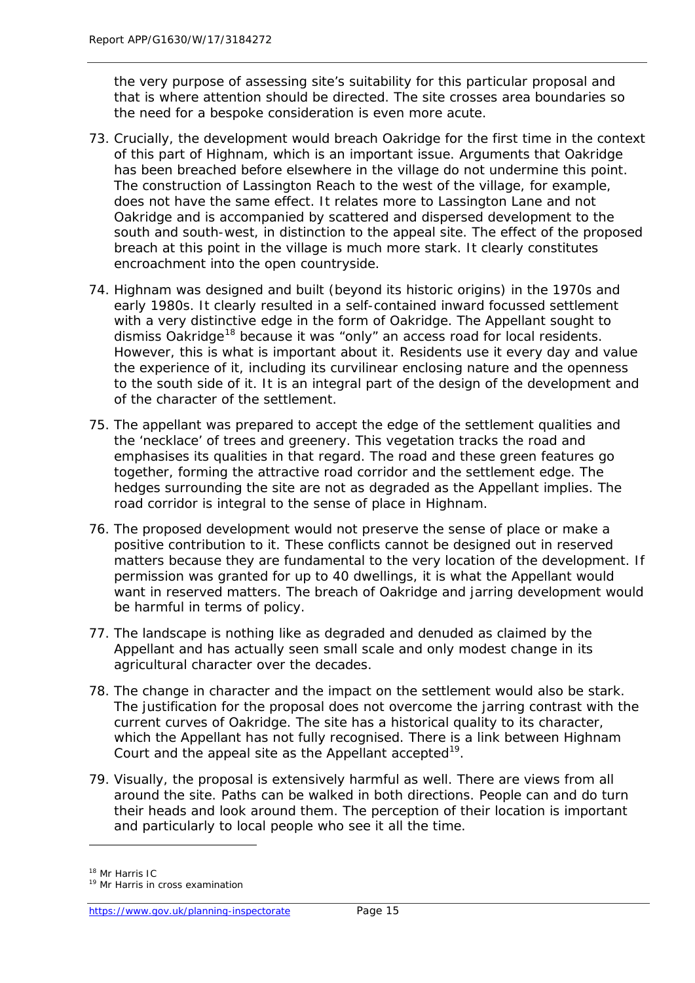the very purpose of assessing site's suitability for this particular proposal and that is where attention should be directed. The site crosses area boundaries so the need for a bespoke consideration is even more acute.

- 73. Crucially, the development would breach Oakridge for the first time in the context of this part of Highnam, which is an important issue. Arguments that Oakridge has been breached before elsewhere in the village do not undermine this point. The construction of Lassington Reach to the west of the village, for example, does not have the same effect. It relates more to Lassington Lane and not Oakridge and is accompanied by scattered and dispersed development to the south and south-west, in distinction to the appeal site. The effect of the proposed breach at this point in the village is much more stark. It clearly constitutes encroachment into the open countryside.
- 74. Highnam was designed and built (beyond its historic origins) in the 1970s and early 1980s. It clearly resulted in a self-contained inward focussed settlement with a very distinctive edge in the form of Oakridge. The Appellant sought to dismiss Oakridge<sup>[18](#page-20-0)</sup> because it was "only" an access road for local residents. However, this is what is important about it. Residents use it every day and value the experience of it, including its curvilinear enclosing nature and the openness to the south side of it. It is an integral part of the design of the development and of the character of the settlement.
- 75. The appellant was prepared to accept the edge of the settlement qualities and the 'necklace' of trees and greenery. This vegetation tracks the road and emphasises its qualities in that regard. The road and these green features go together, forming the attractive road corridor and the settlement edge. The hedges surrounding the site are not as degraded as the Appellant implies. The road corridor is integral to the sense of place in Highnam.
- 76. The proposed development would not preserve the sense of place or make a positive contribution to it. These conflicts cannot be designed out in reserved matters because they are fundamental to the very location of the development. If permission was granted for up to 40 dwellings, it is what the Appellant would want in reserved matters. The breach of Oakridge and jarring development would be harmful in terms of policy.
- 77. The landscape is nothing like as degraded and denuded as claimed by the Appellant and has actually seen small scale and only modest change in its agricultural character over the decades.
- 78. The change in character and the impact on the settlement would also be stark. The justification for the proposal does not overcome the jarring contrast with the current curves of Oakridge. The site has a historical quality to its character, which the Appellant has not fully recognised. There is a link between Highnam Court and the appeal site as the Appellant accepted<sup>19</sup>.
- 79. Visually, the proposal is extensively harmful as well. There are views from all around the site. Paths can be walked in both directions. People can and do turn their heads and look around them. The perception of their location is important and particularly to local people who see it all the time.

<sup>18</sup> Mr Harris IC

<span id="page-20-1"></span><span id="page-20-0"></span><sup>&</sup>lt;sup>19</sup> Mr Harris in cross examination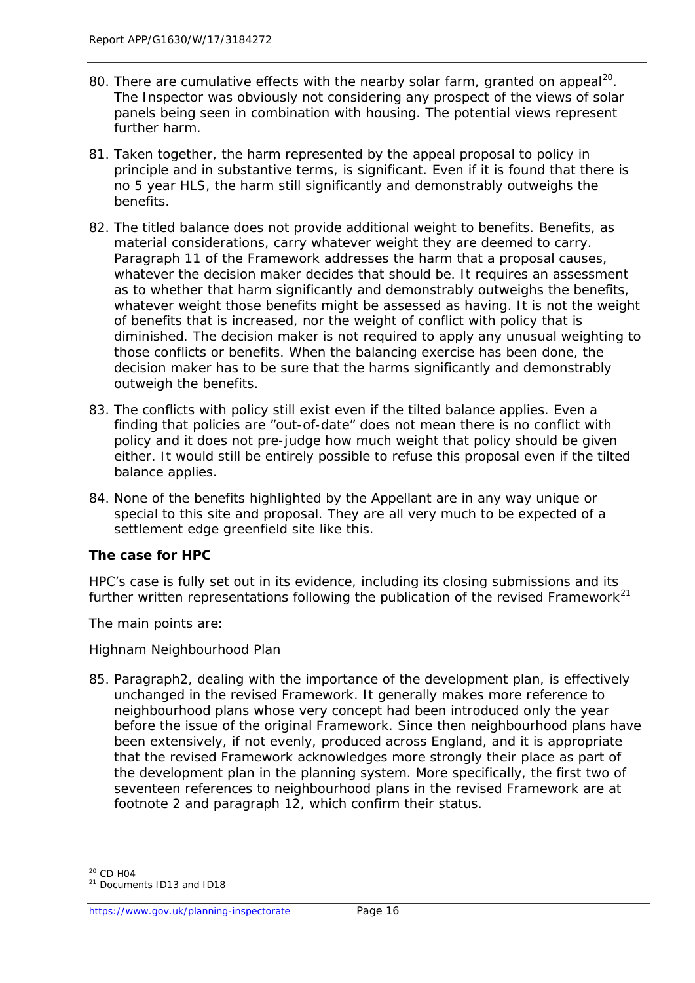- 80. There are cumulative effects with the nearby solar farm, granted on appeal<sup>[20](#page-21-0)</sup>. The Inspector was obviously not considering any prospect of the views of solar panels being seen in combination with housing. The potential views represent further harm.
- 81. Taken together, the harm represented by the appeal proposal to policy in principle and in substantive terms, is significant. Even if it is found that there is no 5 year HLS, the harm still significantly and demonstrably outweighs the benefits.
- 82. The titled balance does not provide additional weight to benefits. Benefits, as material considerations, carry whatever weight they are deemed to carry. Paragraph 11 of the Framework addresses the harm that a proposal causes, whatever the decision maker decides that should be. It requires an assessment as to whether that harm significantly and demonstrably outweighs the benefits, whatever weight those benefits might be assessed as having. It is not the weight of benefits that is increased, nor the weight of conflict with policy that is diminished. The decision maker is not required to apply any unusual weighting to those conflicts or benefits. When the balancing exercise has been done, the decision maker has to be sure that the harms significantly and demonstrably outweigh the benefits.
- 83. The conflicts with policy still exist even if the tilted balance applies. Even a finding that policies are "out-of-date" does not mean there is no conflict with policy and it does not pre-judge how much weight that policy should be given either. It would still be entirely possible to refuse this proposal even if the tilted balance applies.
- 84. None of the benefits highlighted by the Appellant are in any way unique or special to this site and proposal. They are all very much to be expected of a settlement edge greenfield site like this.

#### **The case for HPC**

*HPC's case is fully set out in its evidence, including its closing submissions and its further written representations following the publication of the revised Framework[21](#page-21-1)*

*The main points are:*

#### *Highnam Neighbourhood Plan*

85. Paragraph2, dealing with the importance of the development plan, is effectively unchanged in the revised Framework. It generally makes more reference to neighbourhood plans whose very concept had been introduced only the year before the issue of the original Framework. Since then neighbourhood plans have been extensively, if not evenly, produced across England, and it is appropriate that the revised Framework acknowledges more strongly their place as part of the development plan in the planning system. More specifically, the first two of seventeen references to neighbourhood plans in the revised Framework are at footnote 2 and paragraph 12, which confirm their status.

<sup>&</sup>lt;sup>20</sup> CD H04

<span id="page-21-1"></span><span id="page-21-0"></span><sup>21</sup> Documents ID13 and ID18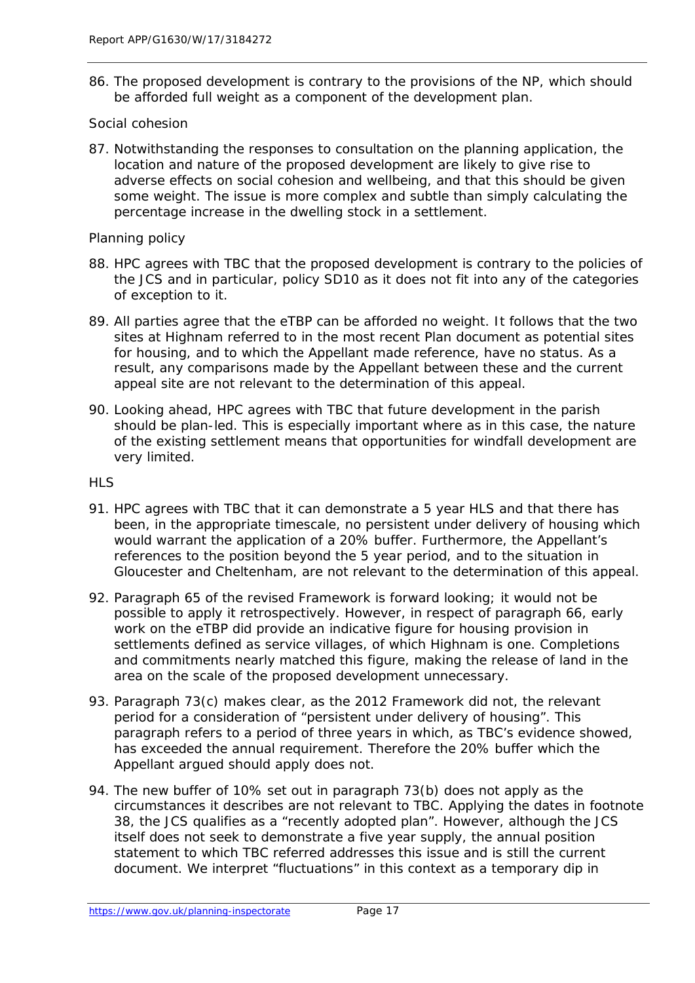86. The proposed development is contrary to the provisions of the NP, which should be afforded full weight as a component of the development plan.

#### *Social cohesion*

87. Notwithstanding the responses to consultation on the planning application, the location and nature of the proposed development are likely to give rise to adverse effects on social cohesion and wellbeing, and that this should be given some weight. The issue is more complex and subtle than simply calculating the percentage increase in the dwelling stock in a settlement.

#### *Planning policy*

- 88. HPC agrees with TBC that the proposed development is contrary to the policies of the JCS and in particular, policy SD10 as it does not fit into any of the categories of exception to it.
- 89. All parties agree that the eTBP can be afforded no weight. It follows that the two sites at Highnam referred to in the most recent Plan document as potential sites for housing, and to which the Appellant made reference, have no status. As a result, any comparisons made by the Appellant between these and the current appeal site are not relevant to the determination of this appeal.
- 90. Looking ahead, HPC agrees with TBC that future development in the parish should be plan-led. This is especially important where as in this case, the nature of the existing settlement means that opportunities for windfall development are very limited.

#### *HLS*

- 91. HPC agrees with TBC that it can demonstrate a 5 year HLS and that there has been, in the appropriate timescale, no persistent under delivery of housing which would warrant the application of a 20% buffer. Furthermore, the Appellant's references to the position beyond the 5 year period, and to the situation in Gloucester and Cheltenham, are not relevant to the determination of this appeal.
- 92. Paragraph 65 of the revised Framework is forward looking; it would not be possible to apply it retrospectively. However, in respect of paragraph 66, early work on the eTBP did provide an indicative figure for housing provision in settlements defined as service villages, of which Highnam is one. Completions and commitments nearly matched this figure, making the release of land in the area on the scale of the proposed development unnecessary.
- 93. Paragraph 73(c) makes clear, as the 2012 Framework did not, the relevant period for a consideration of *"persistent under delivery of housing".* This paragraph refers to a period of three years in which, as TBC's evidence showed, has exceeded the annual requirement. Therefore the 20% buffer which the Appellant argued should apply does not.
- 94. The new buffer of 10% set out in paragraph 73(b) does not apply as the circumstances it describes are not relevant to TBC. Applying the dates in footnote 38, the JCS qualifies as a "recently adopted plan". However, although the JCS itself does not seek to demonstrate a five year supply, the annual position statement to which TBC referred addresses this issue and is still the current document. We interpret "fluctuations" in this context as a temporary dip in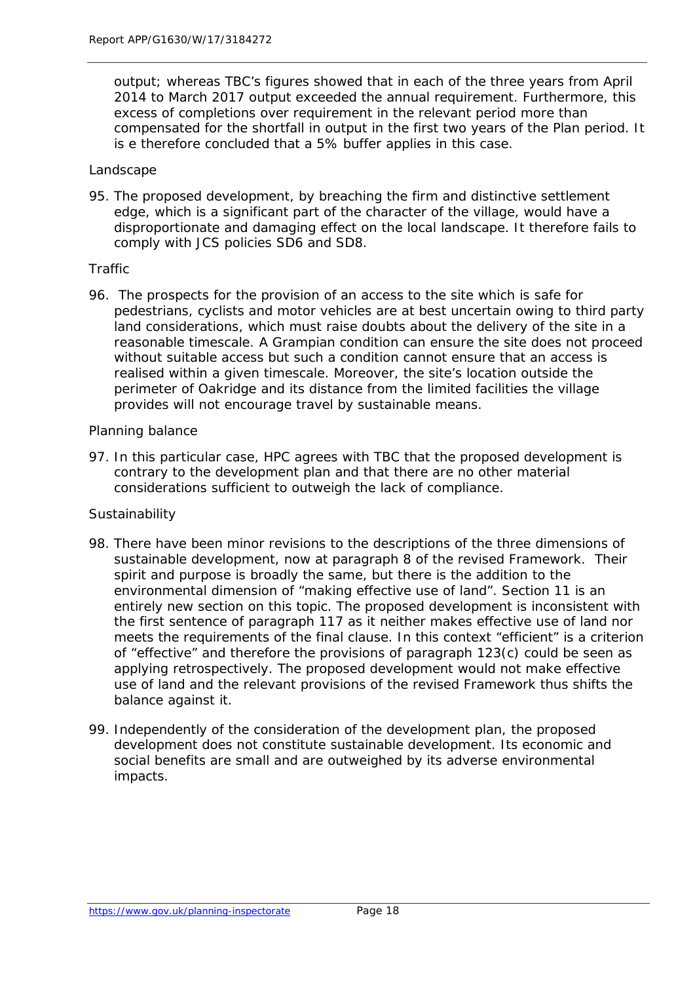output; whereas TBC's figures showed that in each of the three years from April 2014 to March 2017 output exceeded the annual requirement. Furthermore, this excess of completions over requirement in the relevant period more than compensated for the shortfall in output in the first two years of the Plan period. It is e therefore concluded that a 5% buffer applies in this case.

#### *Landscape*

95. The proposed development, by breaching the firm and distinctive settlement edge, which is a significant part of the character of the village, would have a disproportionate and damaging effect on the local landscape. It therefore fails to comply with JCS policies SD6 and SD8.

#### *Traffic*

96. The prospects for the provision of an access to the site which is safe for pedestrians, cyclists and motor vehicles are at best uncertain owing to third party land considerations, which must raise doubts about the delivery of the site in a reasonable timescale. A Grampian condition can ensure the site does not proceed without suitable access but such a condition cannot ensure that an access is realised within a given timescale. Moreover, the site's location outside the perimeter of Oakridge and its distance from the limited facilities the village provides will not encourage travel by sustainable means.

#### *Planning balance*

97. In this particular case, HPC agrees with TBC that the proposed development is contrary to the development plan and that there are no other material considerations sufficient to outweigh the lack of compliance.

#### *Sustainability*

- 98. There have been minor revisions to the descriptions of the three dimensions of sustainable development, now at paragraph 8 of the revised Framework. Their spirit and purpose is broadly the same, but there is the addition to the environmental dimension of *"making effective use of land"*. Section 11 is an entirely new section on this topic. The proposed development is inconsistent with the first sentence of paragraph 117 as it neither makes effective use of land nor meets the requirements of the final clause. In this context "efficient" is a criterion of "effective" and therefore the provisions of paragraph 123(c) could be seen as applying retrospectively. The proposed development would not make effective use of land and the relevant provisions of the revised Framework thus shifts the balance against it.
- *99.* Independently of the consideration of the development plan, the proposed development does not constitute sustainable development. Its economic and social benefits are small and are outweighed by its adverse environmental impacts.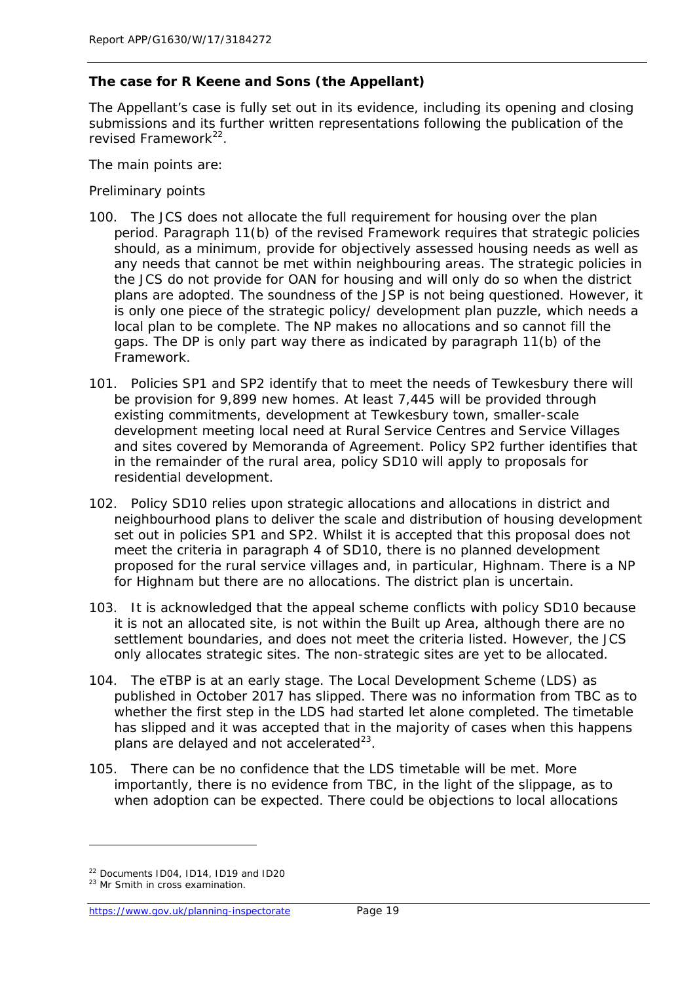#### **The case for R Keene and Sons (the Appellant)**

*The Appellant's case is fully set out in its evidence, including its opening and closing submissions and its further written representations following the publication of the revised Framework[22](#page-24-0).*

*The main points are:*

#### *Preliminary points*

- 100. The JCS does not allocate the full requirement for housing over the plan period. Paragraph 11(b) of the revised Framework requires that strategic policies should, as a minimum, provide for objectively assessed housing needs as well as any needs that cannot be met within neighbouring areas. The strategic policies in the JCS do not provide for OAN for housing and will only do so when the district plans are adopted. The soundness of the JSP is not being questioned. However, it is only one piece of the strategic policy/ development plan puzzle, which needs a local plan to be complete. The NP makes no allocations and so cannot fill the gaps. The DP is only part way there as indicated by paragraph 11(b) of the Framework.
- 101. Policies SP1 and SP2 identify that to meet the needs of Tewkesbury there will be provision for 9,899 new homes. At least 7,445 will be provided through existing commitments, development at Tewkesbury town, smaller-scale development meeting local need at Rural Service Centres and Service Villages and sites covered by Memoranda of Agreement. Policy SP2 further identifies that in the remainder of the rural area, policy SD10 will apply to proposals for residential development.
- 102. Policy SD10 relies upon strategic allocations and allocations in district and neighbourhood plans to deliver the scale and distribution of housing development set out in policies SP1 and SP2. Whilst it is accepted that this proposal does not meet the criteria in paragraph 4 of SD10, there is no planned development proposed for the rural service villages and, in particular, Highnam. There is a NP for Highnam but there are no allocations. The district plan is uncertain.
- 103. It is acknowledged that the appeal scheme conflicts with policy SD10 because it is not an allocated site, is not within the Built up Area, although there are no settlement boundaries, and does not meet the criteria listed. However, the JCS only allocates strategic sites. The non-strategic sites are yet to be allocated.
- 104. The eTBP is at an early stage. The Local Development Scheme (LDS) as published in October 2017 has slipped. There was no information from TBC as to whether the first step in the LDS had started let alone completed. The timetable has slipped and it was accepted that in the majority of cases when this happens plans are delayed and not accelerated $^{23}$  $^{23}$  $^{23}$ .
- 105. There can be no confidence that the LDS timetable will be met. More importantly, there is no evidence from TBC, in the light of the slippage, as to when adoption can be expected. There could be objections to local allocations

<span id="page-24-0"></span><sup>22</sup> Documents ID04, ID14, ID19 and ID20

<span id="page-24-1"></span><sup>&</sup>lt;sup>23</sup> Mr Smith in cross examination.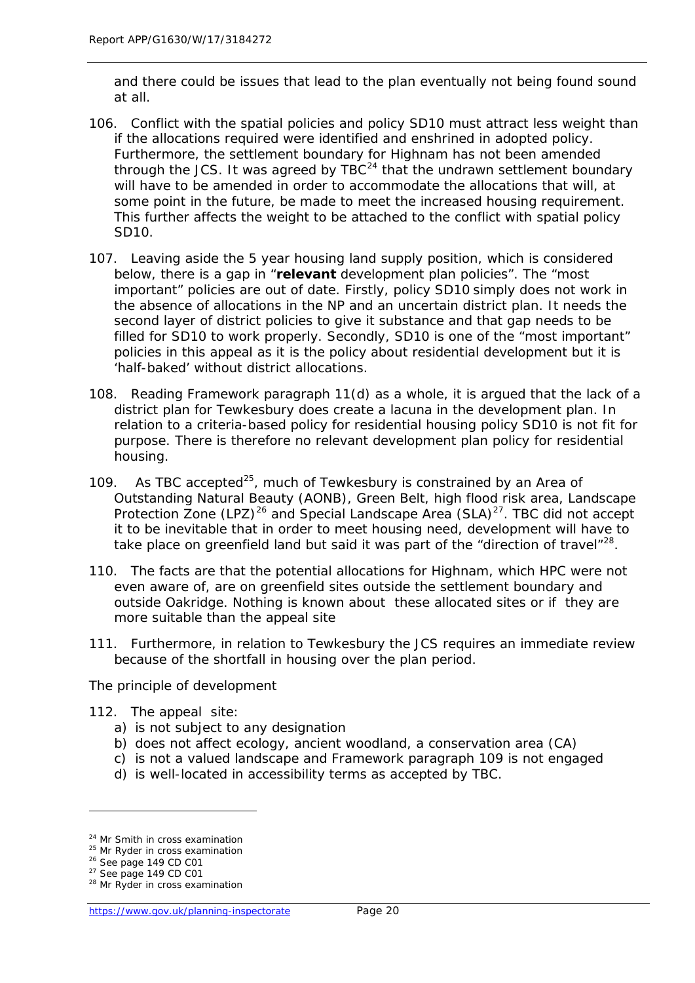and there could be issues that lead to the plan eventually not being found sound at all.

- 106. Conflict with the spatial policies and policy SD10 must attract less weight than if the allocations required were identified and enshrined in adopted policy. Furthermore, the settlement boundary for Highnam has not been amended through the JCS. It was agreed by  $TBC^{24}$  $TBC^{24}$  $TBC^{24}$  that the undrawn settlement boundary will have to be amended in order to accommodate the allocations that will, at some point in the future, be made to meet the increased housing requirement. This further affects the weight to be attached to the conflict with spatial policy SD10.
- 107. Leaving aside the 5 year housing land supply position, which is considered below, there is a gap in "**relevant** development plan policies". The "most important" policies are out of date. Firstly, policy SD10 simply does not work in the absence of allocations in the NP and an uncertain district plan. It needs the second layer of district policies to give it substance and that gap needs to be filled for SD10 to work properly. Secondly, SD10 is one of the "most important" policies in this appeal as it is the policy about residential development but it is 'half-baked' without district allocations.
- 108. Reading Framework paragraph 11(d) as a whole, it is argued that the lack of a district plan for Tewkesbury does create a lacuna in the development plan. In relation to a criteria-based policy for residential housing policy SD10 is not fit for purpose. There is therefore no relevant development plan policy for residential housing.
- 109. As TBC accepted $^{25}$ , much of Tewkesbury is constrained by an Area of Outstanding Natural Beauty (AONB), Green Belt, high flood risk area, Landscape Protection Zone  $(LPZ)^{26}$  $(LPZ)^{26}$  $(LPZ)^{26}$  and Special Landscape Area (SLA)<sup>27</sup>. TBC did not accept it to be inevitable that in order to meet housing need, development will have to take place on greenfield land but said it was part of the "direction of travel" $^{28}$  $^{28}$  $^{28}$ .
- 110. The facts are that the potential allocations for Highnam, which HPC were not even aware of, are on greenfield sites outside the settlement boundary and outside Oakridge. Nothing is known about these allocated sites or if they are more suitable than the appeal site
- 111. Furthermore, in relation to Tewkesbury the JCS requires an immediate review because of the shortfall in housing over the plan period.

#### *The principle of development*

- 112. The appeal site:
	- a) is not subject to any designation
	- b) does not affect ecology, ancient woodland, a conservation area (CA)
	- c) is not a valued landscape and Framework paragraph 109 is not engaged
	- d) is well-located in accessibility terms as accepted by TBC.

<span id="page-25-0"></span><sup>&</sup>lt;sup>24</sup> Mr Smith in cross examination

<span id="page-25-1"></span><sup>&</sup>lt;sup>25</sup> Mr Ryder in cross examination

<span id="page-25-2"></span><sup>26</sup> See page 149 CD C01

<span id="page-25-3"></span> $27$  See page 149 CD C01

<span id="page-25-4"></span><sup>&</sup>lt;sup>28</sup> Mr Ryder in cross examination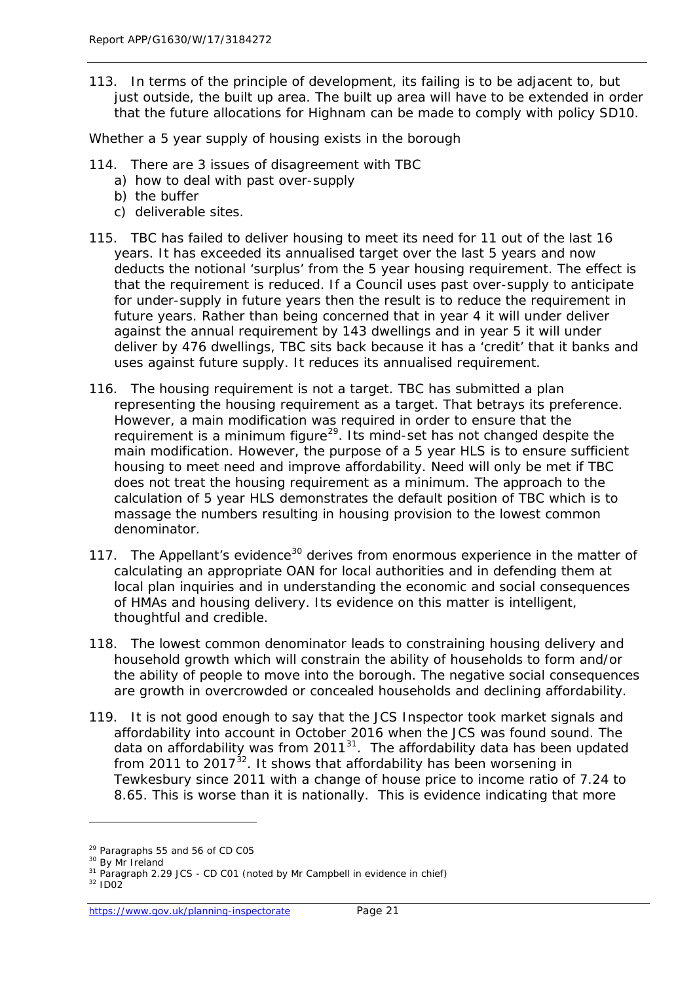113. In terms of the principle of development, its failing is to be adjacent to, but just outside, the built up area. The built up area will have to be extended in order that the future allocations for Highnam can be made to comply with policy SD10.

*Whether a 5 year supply of housing exists in the borough*

- 114. There are 3 issues of disagreement with TBC
	- a) how to deal with past over-supply
	- b) the buffer
	- c) deliverable sites.
- 115. TBC has failed to deliver housing to meet its need for 11 out of the last 16 years. It has exceeded its annualised target over the last 5 years and now deducts the notional 'surplus' from the 5 year housing requirement. The effect is that the requirement is reduced. If a Council uses past over-supply to anticipate for under-supply in future years then the result is to reduce the requirement in future years. Rather than being concerned that in year 4 it will under deliver against the annual requirement by 143 dwellings and in year 5 it will under deliver by 476 dwellings, TBC sits back because it has a 'credit' that it banks and uses against future supply. It reduces its annualised requirement.
- 116. The housing requirement is not a target. TBC has submitted a plan representing the housing requirement as a target. That betrays its preference. However, a main modification was required in order to ensure that the requirement is a minimum figure<sup>29</sup>. Its mind-set has not changed despite the main modification. However, the purpose of a 5 year HLS is to ensure sufficient housing to meet need and improve affordability. Need will only be met if TBC does not treat the housing requirement as a minimum. The approach to the calculation of 5 year HLS demonstrates the default position of TBC which is to massage the numbers resulting in housing provision to the lowest common denominator.
- 117. The Appellant's evidence<sup>[30](#page-26-1)</sup> derives from enormous experience in the matter of calculating an appropriate OAN for local authorities and in defending them at local plan inquiries and in understanding the economic and social consequences of HMAs and housing delivery. Its evidence on this matter is intelligent, thoughtful and credible.
- 118. The lowest common denominator leads to constraining housing delivery and household growth which will constrain the ability of households to form and/or the ability of people to move into the borough. The negative social consequences are growth in overcrowded or concealed households and declining affordability.
- 119. It is not good enough to say that the JCS Inspector took market signals and affordability into account in October 2016 when the JCS was found sound. The data on affordability was from 2011<sup>31</sup>. The affordability data has been updated from 2011 to 2017 $\frac{32}{2}$ . It shows that affordability has been worsening in Tewkesbury since 2011 with a change of house price to income ratio of 7.24 to 8.65. This is worse than it is nationally. This is evidence indicating that more

<span id="page-26-0"></span><sup>29</sup> Paragraphs 55 and 56 of CD C05

<span id="page-26-1"></span><sup>&</sup>lt;sup>30</sup> By Mr Ireland

<sup>&</sup>lt;sup>31</sup> Paragraph 2.29 JCS - CD C01 (noted by Mr Campbell in evidence in chief)

<span id="page-26-3"></span><span id="page-26-2"></span><sup>32</sup> ID02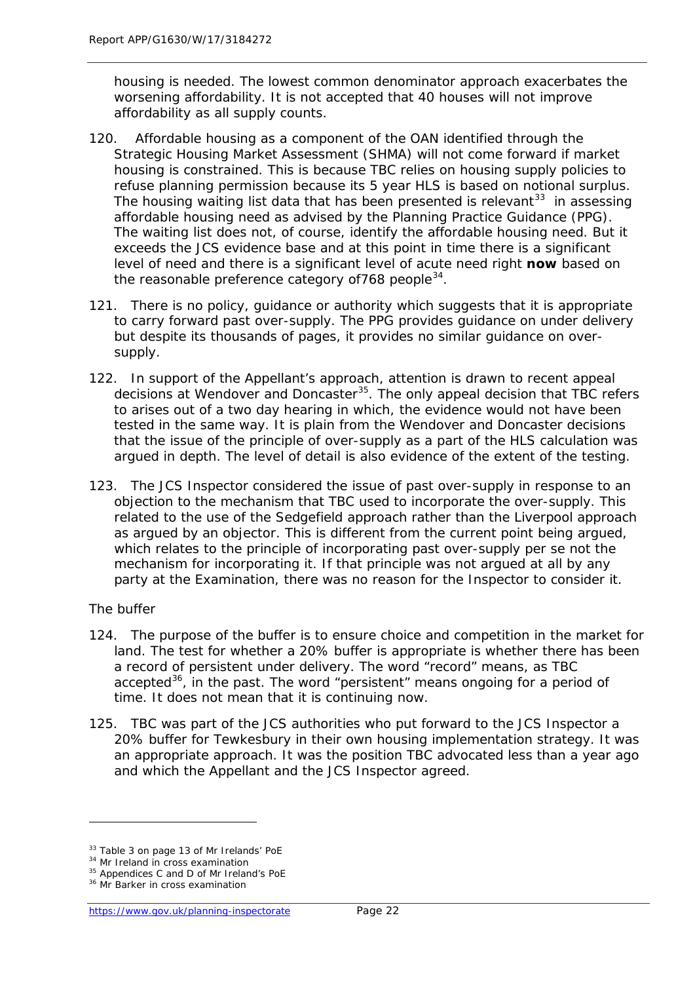housing is needed. The lowest common denominator approach exacerbates the worsening affordability. It is not accepted that 40 houses will not improve affordability as all supply counts.

- 120. Affordable housing as a component of the OAN identified through the Strategic Housing Market Assessment (SHMA) will not come forward if market housing is constrained. This is because TBC relies on housing supply policies to refuse planning permission because its 5 year HLS is based on notional surplus. The housing waiting list data that has been presented is relevant<sup>[33](#page-27-0)</sup> in assessing affordable housing need as advised by the Planning Practice Guidance (PPG). The waiting list does not, of course, identify the affordable housing need. But it exceeds the JCS evidence base and at this point in time there is a significant level of need and there is a significant level of acute need right **now** based on the reasonable preference category of  $768$  people  $34$ .
- 121. There is no policy, guidance or authority which suggests that it is appropriate to carry forward past over-supply. The PPG provides guidance on under delivery but despite its thousands of pages, it provides no similar guidance on oversupply.
- 122. In support of the Appellant's approach, attention is drawn to recent appeal decisions at Wendover and Doncaster<sup>35</sup>. The only appeal decision that TBC refers to arises out of a two day hearing in which, the evidence would not have been tested in the same way. It is plain from the Wendover and Doncaster decisions that the issue of the principle of over-supply as a part of the HLS calculation was argued in depth. The level of detail is also evidence of the extent of the testing.
- 123. The JCS Inspector considered the issue of past over-supply in response to an objection to the mechanism that TBC used to incorporate the over-supply. This related to the use of the Sedgefield approach rather than the Liverpool approach as argued by an objector. This is different from the current point being argued, which relates to the principle of incorporating past over-supply per se not the mechanism for incorporating it. If that principle was not argued at all by any party at the Examination, there was no reason for the Inspector to consider it.

#### *The buffer*

- 124. The purpose of the buffer is to ensure choice and competition in the market for land. The test for whether a 20% buffer is appropriate is whether there has been a record of persistent under delivery. The word "record" means, as TBC accepted<sup>[36](#page-27-3)</sup>, in the past. The word "persistent" means ongoing for a period of time. It does not mean that it is continuing now.
- 125. TBC was part of the JCS authorities who put forward to the JCS Inspector a 20% buffer for Tewkesbury in their own housing implementation strategy. It was an appropriate approach. It was the position TBC advocated less than a year ago and which the Appellant and the JCS Inspector agreed.

<span id="page-27-0"></span><sup>33</sup> Table 3 on page 13 of Mr Irelands' PoE

<span id="page-27-1"></span><sup>&</sup>lt;sup>34</sup> Mr Ireland in cross examination

<span id="page-27-2"></span><sup>&</sup>lt;sup>35</sup> Appendices C and D of Mr Ireland's PoE

<span id="page-27-3"></span><sup>&</sup>lt;sup>36</sup> Mr Barker in cross examination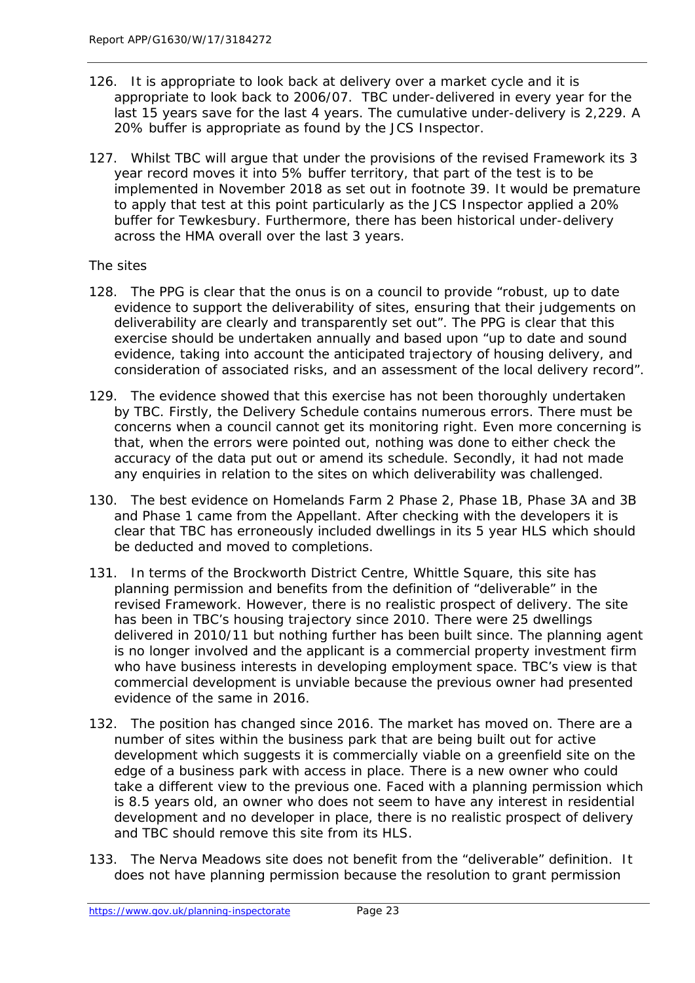- 126. It is appropriate to look back at delivery over a market cycle and it is appropriate to look back to 2006/07. TBC under-delivered in every year for the last 15 years save for the last 4 years. The cumulative under-delivery is 2,229. A 20% buffer is appropriate as found by the JCS Inspector.
- 127. Whilst TBC will argue that under the provisions of the revised Framework its 3 year record moves it into 5% buffer territory, that part of the test is to be implemented in November 2018 as set out in footnote 39. It would be premature to apply that test at this point particularly as the JCS Inspector applied a 20% buffer for Tewkesbury. Furthermore, there has been historical under-delivery across the HMA overall over the last 3 years.

#### *The sites*

- 128. The PPG is clear that the onus is on a council to provide "robust, up to date evidence to support the deliverability of sites, ensuring that their judgements on deliverability are clearly and transparently set out". The PPG is clear that this exercise should be undertaken annually and based upon "up to date and sound evidence, taking into account the anticipated trajectory of housing delivery, and consideration of associated risks, and an assessment of the local delivery record".
- 129. The evidence showed that this exercise has not been thoroughly undertaken by TBC. Firstly, the Delivery Schedule contains numerous errors. There must be concerns when a council cannot get its monitoring right. Even more concerning is that, when the errors were pointed out, nothing was done to either check the accuracy of the data put out or amend its schedule. Secondly, it had not made any enquiries in relation to the sites on which deliverability was challenged.
- 130. The best evidence on Homelands Farm 2 Phase 2, Phase 1B, Phase 3A and 3B and Phase 1 came from the Appellant. After checking with the developers it is clear that TBC has erroneously included dwellings in its 5 year HLS which should be deducted and moved to completions.
- 131. In terms of the Brockworth District Centre, Whittle Square, this site has planning permission and benefits from the definition of "deliverable" in the revised Framework. However, there is no realistic prospect of delivery. The site has been in TBC's housing trajectory since 2010. There were 25 dwellings delivered in 2010/11 but nothing further has been built since. The planning agent is no longer involved and the applicant is a commercial property investment firm who have business interests in developing employment space. TBC's view is that commercial development is unviable because the previous owner had presented evidence of the same in 2016.
- 132. The position has changed since 2016. The market has moved on. There are a number of sites within the business park that are being built out for active development which suggests it is commercially viable on a greenfield site on the edge of a business park with access in place. There is a new owner who could take a different view to the previous one. Faced with a planning permission which is 8.5 years old, an owner who does not seem to have any interest in residential development and no developer in place, there is no realistic prospect of delivery and TBC should remove this site from its HLS.
- 133. The Nerva Meadows site does not benefit from the "deliverable" definition. It does not have planning permission because the resolution to grant permission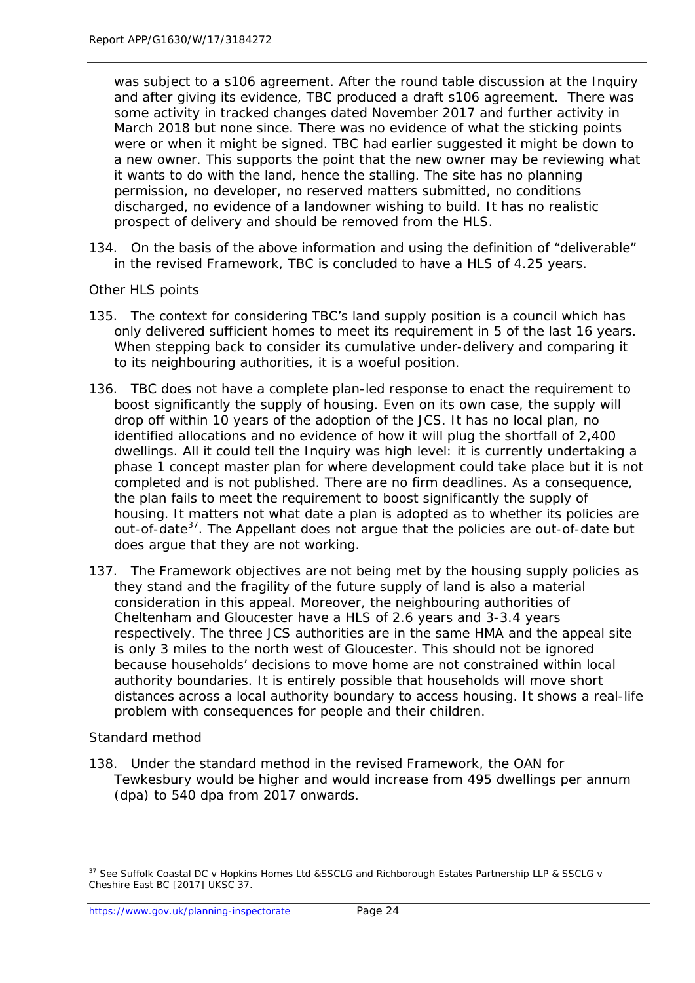was subject to a s106 agreement. After the round table discussion at the Inquiry and after giving its evidence, TBC produced a draft s106 agreement. There was some activity in tracked changes dated November 2017 and further activity in March 2018 but none since. There was no evidence of what the sticking points were or when it might be signed. TBC had earlier suggested it might be down to a new owner. This supports the point that the new owner may be reviewing what it wants to do with the land, hence the stalling. The site has no planning permission, no developer, no reserved matters submitted, no conditions discharged, no evidence of a landowner wishing to build. It has no realistic prospect of delivery and should be removed from the HLS.

134. On the basis of the above information and using the definition of "deliverable" in the revised Framework, TBC is concluded to have a HLS of 4.25 years.

#### *Other HLS points*

- 135. The context for considering TBC's land supply position is a council which has only delivered sufficient homes to meet its requirement in 5 of the last 16 years. When stepping back to consider its cumulative under-delivery and comparing it to its neighbouring authorities, it is a woeful position.
- 136. TBC does not have a complete plan-led response to enact the requirement to boost significantly the supply of housing. Even on its own case, the supply will drop off within 10 years of the adoption of the JCS. It has no local plan, no identified allocations and no evidence of how it will plug the shortfall of 2,400 dwellings. All it could tell the Inquiry was high level: it is currently undertaking a phase 1 concept master plan for where development could take place but it is not completed and is not published. There are no firm deadlines. As a consequence, the plan fails to meet the requirement to boost significantly the supply of housing. It matters not what date a plan is adopted as to whether its policies are out-of-date<sup>[37](#page-29-0)</sup>. The Appellant does not argue that the policies are out-of-date but does argue that they are not working.
- *137.* The Framework objectives are not being met by the housing supply policies as they stand and the fragility of the future supply of land is also a material consideration in this appeal. Moreover, the neighbouring authorities of Cheltenham and Gloucester have a HLS of 2.6 years and 3-3.4 years respectively. The three JCS authorities are in the same HMA and the appeal site is only 3 miles to the north west of Gloucester. This should not be ignored because households' decisions to move home are not constrained within local authority boundaries. It is entirely possible that households will move short distances across a local authority boundary to access housing. It shows a real-life problem with consequences for people and their children.

#### *Standard method*

1

138. Under the standard method in the revised Framework, the OAN for Tewkesbury would be higher and would increase from 495 dwellings per annum (dpa) to 540 dpa from 2017 onwards.

<span id="page-29-0"></span><sup>37</sup> See Suffolk Coastal DC v Hopkins Homes Ltd &SSCLG and Richborough Estates Partnership LLP & SSCLG v Cheshire East BC [2017] UKSC 37.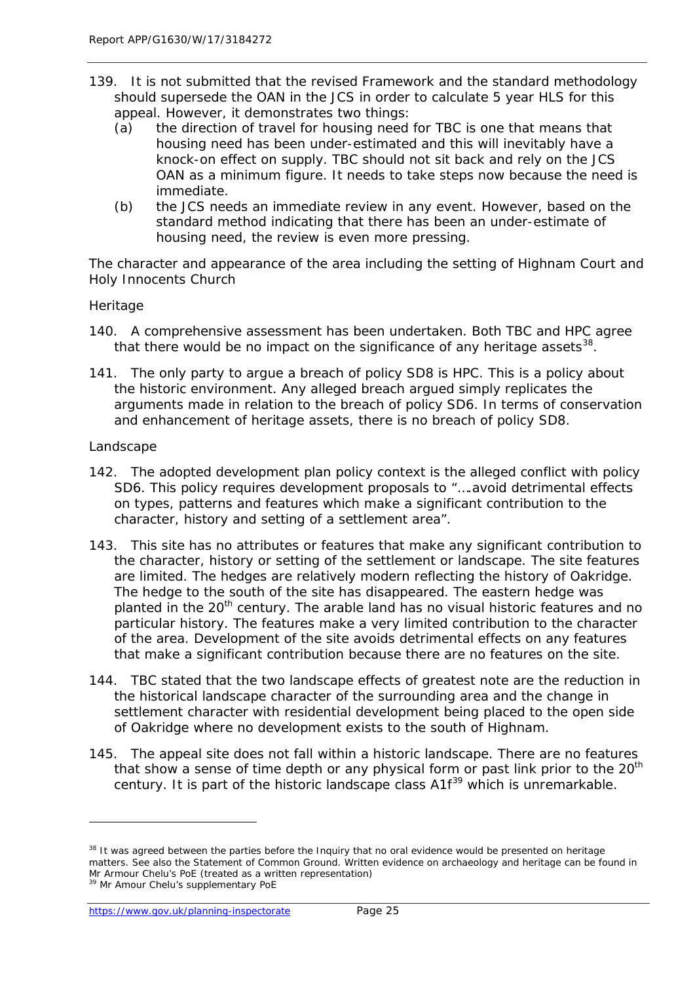- 139. It is not submitted that the revised Framework and the standard methodology should supersede the OAN in the JCS in order to calculate 5 year HLS for this appeal. However, it demonstrates two things:
	- (a) the direction of travel for housing need for TBC is one that means that housing need has been under-estimated and this will inevitably have a knock-on effect on supply. TBC should not sit back and rely on the JCS OAN as a minimum figure. It needs to take steps now because the need is immediate.
	- (b) the JCS needs an immediate review in any event. However, based on the standard method indicating that there has been an under-estimate of housing need, the review is even more pressing.

*The character and appearance of the area including the setting of Highnam Court and Holy Innocents Church*

#### *Heritage*

- 140. A comprehensive assessment has been undertaken. Both TBC and HPC agree that there would be no impact on the significance of any heritage assets $^{38}$  $^{38}$  $^{38}$ .
- 141. The only party to argue a breach of policy SD8 is HPC. This is a policy about the historic environment. Any alleged breach argued simply replicates the arguments made in relation to the breach of policy SD6. In terms of conservation and enhancement of heritage assets, there is no breach of policy SD8.

#### *Landscape*

- 142. The adopted development plan policy context is the alleged conflict with policy SD6. This policy requires development proposals to "….avoid detrimental effects on types, patterns and features which make a significant contribution to the character, history and setting of a settlement area".
- 143. This site has no attributes or features that make any significant contribution to the character, history or setting of the settlement or landscape. The site features are limited. The hedges are relatively modern reflecting the history of Oakridge. The hedge to the south of the site has disappeared. The eastern hedge was planted in the 20<sup>th</sup> century. The arable land has no visual historic features and no particular history. The features make a very limited contribution to the character of the area. Development of the site avoids detrimental effects on any features that make a significant contribution because there are no features on the site.
- 144. TBC stated that the two landscape effects of greatest note are the reduction in the historical landscape character of the surrounding area and the change in settlement character with residential development being placed to the open side of Oakridge where no development exists to the south of Highnam.
- 145. The appeal site does not fall within a historic landscape. There are no features that show a sense of time depth or any physical form or past link prior to the  $20<sup>th</sup>$ century. It is part of the historic landscape class A1f<sup>[39](#page-30-1)</sup> which is unremarkable.

<span id="page-30-0"></span><sup>&</sup>lt;sup>38</sup> It was agreed between the parties before the Inquiry that no oral evidence would be presented on heritage matters. See also the Statement of Common Ground. Written evidence on archaeology and heritage can be found in Mr Armour Chelu's PoE (treated as a written representation)

<span id="page-30-1"></span><sup>&</sup>lt;sup>39</sup> Mr Amour Chelu's supplementary PoE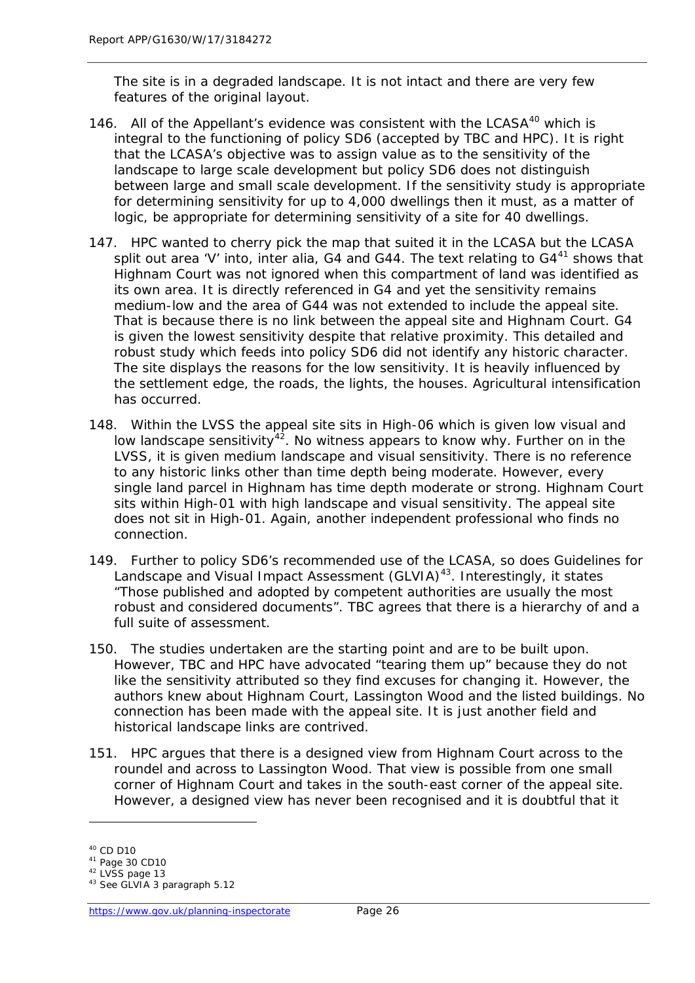The site is in a degraded landscape. It is not intact and there are very few features of the original layout.

- 146. All of the Appellant's evidence was consistent with the LCASA<sup>[40](#page-31-0)</sup> which is integral to the functioning of policy SD6 (accepted by TBC and HPC). It is right that the LCASA's objective was to assign value as to the sensitivity of the landscape to large scale development but policy SD6 does not distinguish between large and small scale development. If the sensitivity study is appropriate for determining sensitivity for up to 4,000 dwellings then it must, as a matter of logic, be appropriate for determining sensitivity of a site for 40 dwellings.
- 147. HPC wanted to cherry pick the map that suited it in the LCASA but the LCASA split out area 'V' into, inter alia, G4 and G44. The text relating to  $G4<sup>41</sup>$  $G4<sup>41</sup>$  $G4<sup>41</sup>$  shows that Highnam Court was not ignored when this compartment of land was identified as its own area. It is directly referenced in G4 and yet the sensitivity remains medium-low and the area of G44 was not extended to include the appeal site. That is because there is no link between the appeal site and Highnam Court. G4 is given the lowest sensitivity despite that relative proximity. This detailed and robust study which feeds into policy SD6 did not identify any historic character. The site displays the reasons for the low sensitivity. It is heavily influenced by the settlement edge, the roads, the lights, the houses. Agricultural intensification has occurred.
- 148. Within the LVSS the appeal site sits in High-06 which is given low visual and low landscape sensitivity<sup>[42](#page-31-2)</sup>. No witness appears to know why. Further on in the LVSS, it is given medium landscape and visual sensitivity. There is no reference to any historic links other than time depth being moderate. However, every single land parcel in Highnam has time depth moderate or strong. Highnam Court sits within High-01 with high landscape and visual sensitivity. The appeal site does not sit in High-01. Again, another independent professional who finds no connection.
- 149. Further to policy SD6's recommended use of the LCASA, so does Guidelines for Landscape and Visual Impact Assessment (GLVIA)<sup>43</sup>. Interestingly, it states "Those published and adopted by competent authorities are usually the most robust and considered documents". TBC agrees that there is a hierarchy of and a full suite of assessment.
- 150. The studies undertaken are the starting point and are to be built upon. However, TBC and HPC have advocated "tearing them up" because they do not like the sensitivity attributed so they find excuses for changing it. However, the authors knew about Highnam Court, Lassington Wood and the listed buildings. No connection has been made with the appeal site. It is just another field and historical landscape links are contrived.
- 151. HPC argues that there is a designed view from Highnam Court across to the roundel and across to Lassington Wood. That view is possible from one small corner of Highnam Court and takes in the south-east corner of the appeal site. However, a designed view has never been recognised and it is doubtful that it

<span id="page-31-0"></span><sup>40</sup> CD D10

<span id="page-31-1"></span><sup>41</sup> Page 30 CD10

<span id="page-31-2"></span><sup>&</sup>lt;sup>42</sup> LVSS page 13

<span id="page-31-3"></span><sup>43</sup> See GLVIA 3 paragraph 5.12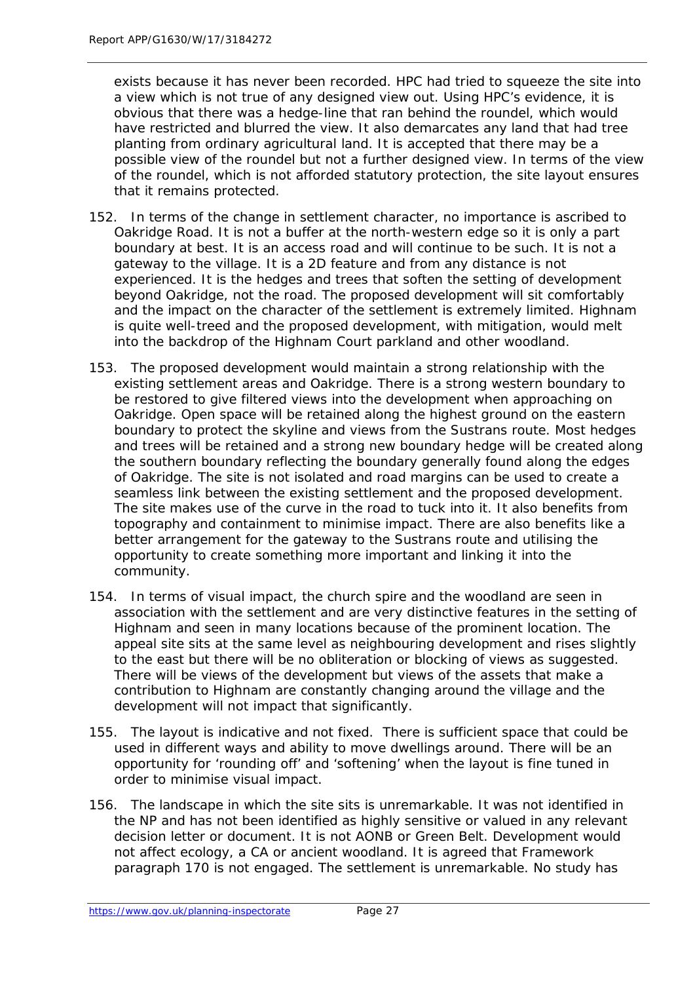exists because it has never been recorded. HPC had tried to squeeze the site into a view which is not true of any designed view out. Using HPC's evidence, it is obvious that there was a hedge-line that ran behind the roundel, which would have restricted and blurred the view. It also demarcates any land that had tree planting from ordinary agricultural land. It is accepted that there may be a possible view of the roundel but not a further designed view. In terms of the view of the roundel, which is not afforded statutory protection, the site layout ensures that it remains protected.

- 152. In terms of the change in settlement character, no importance is ascribed to Oakridge Road. It is not a buffer at the north-western edge so it is only a part boundary at best. It is an access road and will continue to be such. It is not a gateway to the village. It is a 2D feature and from any distance is not experienced. It is the hedges and trees that soften the setting of development beyond Oakridge, not the road. The proposed development will sit comfortably and the impact on the character of the settlement is extremely limited. Highnam is quite well-treed and the proposed development, with mitigation, would melt into the backdrop of the Highnam Court parkland and other woodland.
- 153. The proposed development would maintain a strong relationship with the existing settlement areas and Oakridge. There is a strong western boundary to be restored to give filtered views into the development when approaching on Oakridge. Open space will be retained along the highest ground on the eastern boundary to protect the skyline and views from the Sustrans route. Most hedges and trees will be retained and a strong new boundary hedge will be created along the southern boundary reflecting the boundary generally found along the edges of Oakridge. The site is not isolated and road margins can be used to create a seamless link between the existing settlement and the proposed development. The site makes use of the curve in the road to tuck into it. It also benefits from topography and containment to minimise impact. There are also benefits like a better arrangement for the gateway to the Sustrans route and utilising the opportunity to create something more important and linking it into the community.
- 154. In terms of visual impact, the church spire and the woodland are seen in association with the settlement and are very distinctive features in the setting of Highnam and seen in many locations because of the prominent location. The appeal site sits at the same level as neighbouring development and rises slightly to the east but there will be no obliteration or blocking of views as suggested. There will be views of the development but views of the assets that make a contribution to Highnam are constantly changing around the village and the development will not impact that significantly.
- 155. The layout is indicative and not fixed. There is sufficient space that could be used in different ways and ability to move dwellings around. There will be an opportunity for 'rounding off' and 'softening' when the layout is fine tuned in order to minimise visual impact.
- 156. The landscape in which the site sits is unremarkable. It was not identified in the NP and has not been identified as highly sensitive or valued in any relevant decision letter or document. It is not AONB or Green Belt. Development would not affect ecology, a CA or ancient woodland. It is agreed that Framework paragraph 170 is not engaged. The settlement is unremarkable. No study has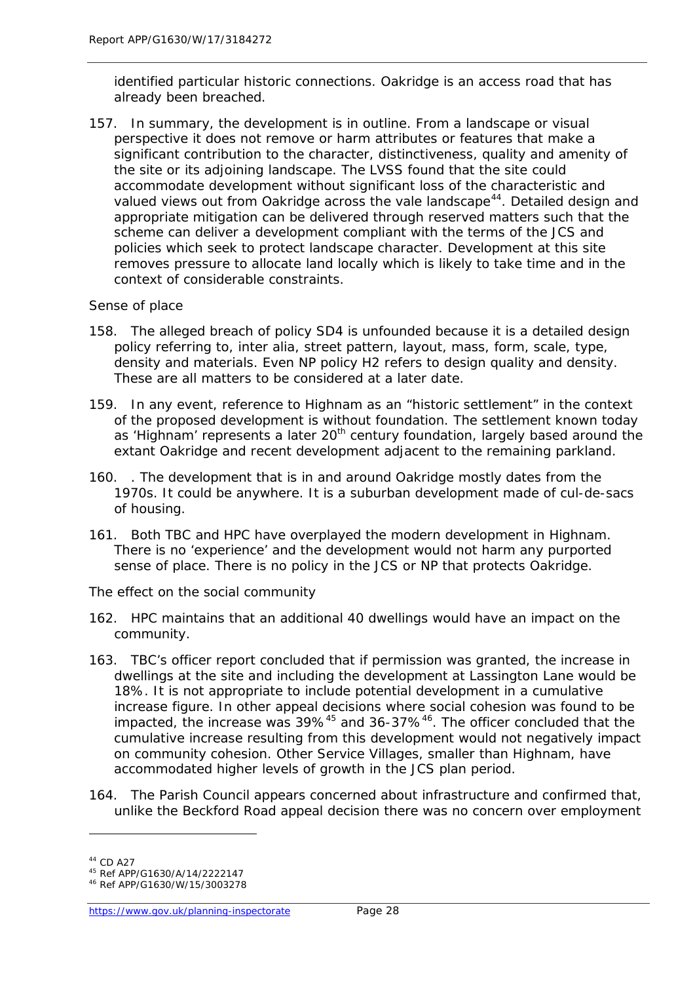identified particular historic connections. Oakridge is an access road that has already been breached.

157. In summary, the development is in outline. From a landscape or visual perspective it does not remove or harm attributes or features that make a significant contribution to the character, distinctiveness, quality and amenity of the site or its adjoining landscape. The LVSS found that the site could accommodate development without significant loss of the characteristic and valued views out from Oakridge across the vale landscape<sup>44</sup>. Detailed design and appropriate mitigation can be delivered through reserved matters such that the scheme can deliver a development compliant with the terms of the JCS and policies which seek to protect landscape character. Development at this site removes pressure to allocate land locally which is likely to take time and in the context of considerable constraints.

#### *Sense of place*

- 158. The alleged breach of policy SD4 is unfounded because it is a detailed design policy referring to, inter alia, street pattern, layout, mass, form, scale, type, density and materials. Even NP policy H2 refers to design quality and density. These are all matters to be considered at a later date.
- 159. In any event, reference to Highnam as an "historic settlement" in the context of the proposed development is without foundation. The settlement known today as 'Highnam' represents a later 20<sup>th</sup> century foundation, largely based around the extant Oakridge and recent development adjacent to the remaining parkland.
- 160. . The development that is in and around Oakridge mostly dates from the 1970s. It could be anywhere. It is a suburban development made of cul-de-sacs of housing.
- 161. Both TBC and HPC have overplayed the modern development in Highnam. There is no 'experience' and the development would not harm any purported sense of place. There is no policy in the JCS or NP that protects Oakridge.

#### *The effect on the social community*

- 162. HPC maintains that an additional 40 dwellings would have an impact on the community.
- 163. TBC's officer report concluded that if permission was granted, the increase in dwellings at the site and including the development at Lassington Lane would be 18%. It is not appropriate to include potential development in a cumulative increase figure. In other appeal decisions where social cohesion was found to be impacted, the increase was 39%<sup>[45](#page-33-1)</sup> and 36-37%<sup>46</sup>. The officer concluded that the cumulative increase resulting from this development would not negatively impact on community cohesion. Other Service Villages, smaller than Highnam, have accommodated higher levels of growth in the JCS plan period.
- 164. The Parish Council appears concerned about infrastructure and confirmed that, unlike the Beckford Road appeal decision there was no concern over employment

<span id="page-33-0"></span><sup>44</sup> CD A27

<span id="page-33-1"></span><sup>45</sup> Ref APP/G1630/A/14/2222147

<span id="page-33-2"></span><sup>46</sup> Ref APP/G1630/W/15/3003278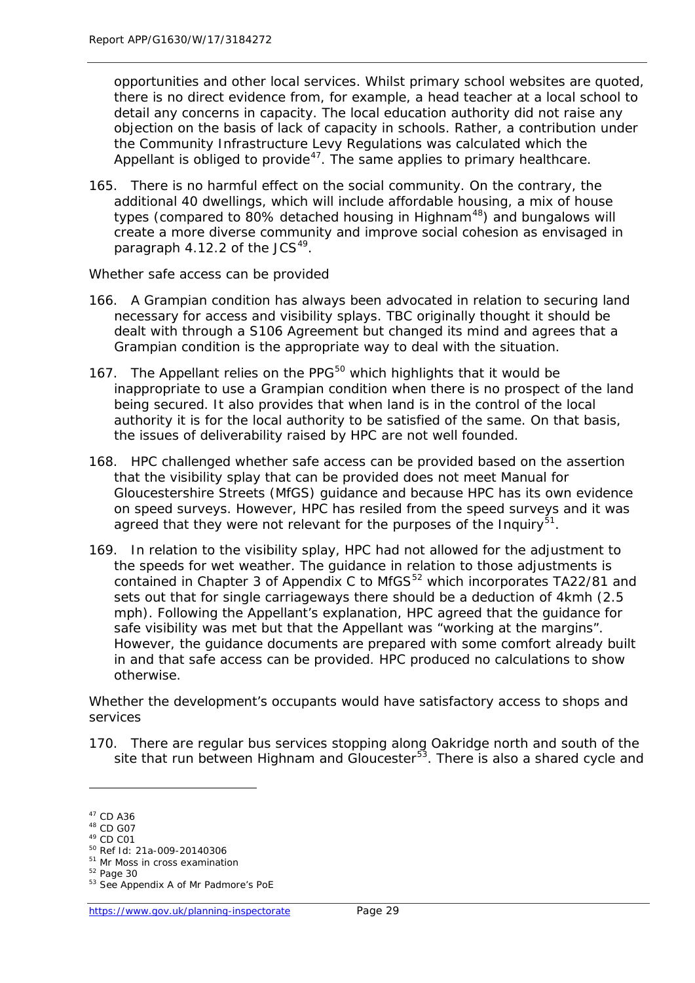opportunities and other local services. Whilst primary school websites are quoted, there is no direct evidence from, for example, a head teacher at a local school to detail any concerns in capacity. The local education authority did not raise any objection on the basis of lack of capacity in schools. Rather, a contribution under the Community Infrastructure Levy Regulations was calculated which the Appellant is obliged to provide<sup>[47](#page-34-0)</sup>. The same applies to primary healthcare.

165. There is no harmful effect on the social community. On the contrary, the additional 40 dwellings, which will include affordable housing, a mix of house types (compared to  $80\%$  detached housing in Highnam<sup>48</sup>) and bungalows will create a more diverse community and improve social cohesion as envisaged in paragraph 4.12.2 of the  $JCS<sup>49</sup>$ .

#### *Whether safe access can be provided*

- 166. A Grampian condition has always been advocated in relation to securing land necessary for access and visibility splays. TBC originally thought it should be dealt with through a S106 Agreement but changed its mind and agrees that a Grampian condition is the appropriate way to deal with the situation.
- 167. The Appellant relies on the PPG $50$  which highlights that it would be inappropriate to use a Grampian condition when there is no prospect of the land being secured. It also provides that when land is in the control of the local authority it is for the local authority to be satisfied of the same. On that basis, the issues of deliverability raised by HPC are not well founded.
- 168. HPC challenged whether safe access can be provided based on the assertion that the visibility splay that can be provided does not meet Manual for Gloucestershire Streets (MfGS) guidance and because HPC has its own evidence on speed surveys. However, HPC has resiled from the speed surveys and it was agreed that they were not relevant for the purposes of the Inquiry $5^1$ .
- 169. In relation to the visibility splay, HPC had not allowed for the adjustment to the speeds for wet weather. The guidance in relation to those adjustments is contained in Chapter 3 of Appendix C to MfGS<sup>[52](#page-34-5)</sup> which incorporates TA22/81 and sets out that for single carriageways there should be a deduction of 4kmh (2.5 mph). Following the Appellant's explanation, HPC agreed that the guidance for safe visibility was met but that the Appellant was "working at the margins". However, the guidance documents are prepared with some comfort already built in and that safe access can be provided. HPC produced no calculations to show otherwise.

#### *Whether the development's occupants would have satisfactory access to shops and services*

170. There are regular bus services stopping along Oakridge north and south of the site that run between Highnam and Gloucester<sup>[53](#page-34-6)</sup>. There is also a shared cycle and

<span id="page-34-0"></span><sup>47</sup> CD A36

<span id="page-34-1"></span><sup>48</sup> CD G07  $49$  CD C01

<span id="page-34-3"></span><span id="page-34-2"></span><sup>50</sup> Ref Id: 21a-009-20140306

<span id="page-34-4"></span><sup>51</sup> Mr Moss in cross examination

<span id="page-34-5"></span><sup>52</sup> Page 30

<span id="page-34-6"></span><sup>53</sup> See Appendix A of Mr Padmore's PoE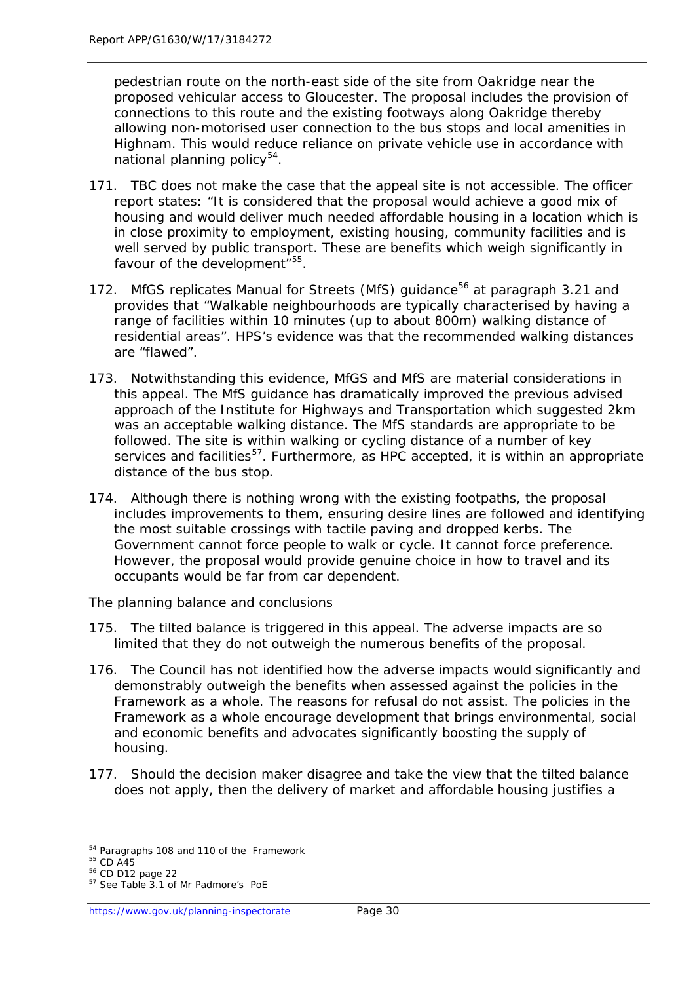pedestrian route on the north-east side of the site from Oakridge near the proposed vehicular access to Gloucester. The proposal includes the provision of connections to this route and the existing footways along Oakridge thereby allowing non-motorised user connection to the bus stops and local amenities in Highnam. This would reduce reliance on private vehicle use in accordance with national planning policy<sup>[54](#page-35-0)</sup>.

- 171. TBC does not make the case that the appeal site is not accessible. The officer report states: "It is considered that the proposal would achieve a good mix of housing and would deliver much needed affordable housing in a location which is in close proximity to employment, existing housing, community facilities and is well served by public transport. These are benefits which weigh significantly in favour of the development"<sup>[55](#page-35-1)</sup>.
- 172. MfGS replicates Manual for Streets (MfS) guidance<sup>[56](#page-35-2)</sup> at paragraph 3.21 and provides that "Walkable neighbourhoods are typically characterised by having a range of facilities within 10 minutes (up to about 800m) walking distance of residential areas". HPS's evidence was that the recommended walking distances are "flawed".
- 173. Notwithstanding this evidence, MfGS and MfS are material considerations in this appeal. The MfS guidance has dramatically improved the previous advised approach of the Institute for Highways and Transportation which suggested 2km was an acceptable walking distance. The MfS standards are appropriate to be followed. The site is within walking or cycling distance of a number of key services and facilities<sup>57</sup>. Furthermore, as HPC accepted, it is within an appropriate distance of the bus stop.
- 174. Although there is nothing wrong with the existing footpaths, the proposal includes improvements to them, ensuring desire lines are followed and identifying the most suitable crossings with tactile paving and dropped kerbs. The Government cannot force people to walk or cycle. It cannot force preference. However, the proposal would provide genuine choice in how to travel and its occupants would be far from car dependent.

#### *The planning balance and conclusions*

- 175. The tilted balance is triggered in this appeal. The adverse impacts are so limited that they do not outweigh the numerous benefits of the proposal.
- 176. The Council has not identified how the adverse impacts would significantly and demonstrably outweigh the benefits when assessed against the policies in the Framework as a whole. The reasons for refusal do not assist. The policies in the Framework as a whole encourage development that brings environmental, social and economic benefits and advocates significantly boosting the supply of housing.
- 177. Should the decision maker disagree and take the view that the tilted balance does not apply, then the delivery of market and affordable housing justifies a

<span id="page-35-0"></span><sup>&</sup>lt;sup>54</sup> Paragraphs 108 and 110 of the Framework

<span id="page-35-1"></span> $55$  CD A45

<span id="page-35-2"></span><sup>56</sup> CD D12 page 22

<span id="page-35-3"></span><sup>57</sup> See Table 3.1 of Mr Padmore's PoE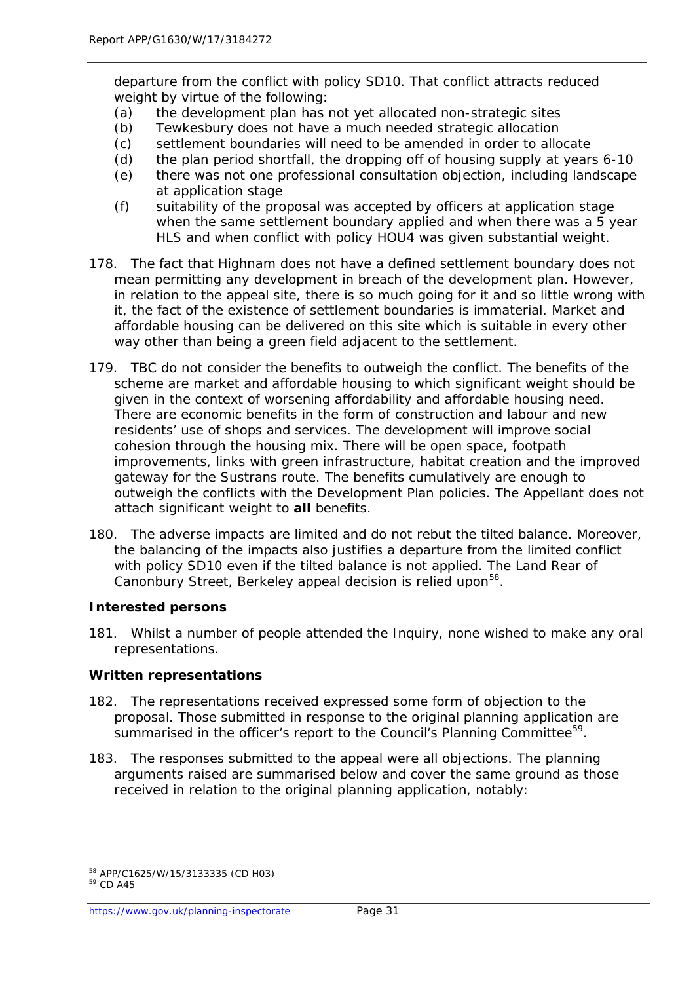departure from the conflict with policy SD10. That conflict attracts reduced weight by virtue of the following:

- (a) the development plan has not yet allocated non-strategic sites
- (b) Tewkesbury does not have a much needed strategic allocation
- (c) settlement boundaries will need to be amended in order to allocate
- (d) the plan period shortfall, the dropping off of housing supply at years 6-10
- (e) there was not one professional consultation objection, including landscape at application stage
- (f) suitability of the proposal was accepted by officers at application stage when the same settlement boundary applied and when there was a 5 year HLS and when conflict with policy HOU4 was given substantial weight.
- 178. The fact that Highnam does not have a defined settlement boundary does not mean permitting any development in breach of the development plan. However, in relation to the appeal site, there is so much going for it and so little wrong with it, the fact of the existence of settlement boundaries is immaterial. Market and affordable housing can be delivered on this site which is suitable in every other way other than being a green field adjacent to the settlement.
- 179. TBC do not consider the benefits to outweigh the conflict. The benefits of the scheme are market and affordable housing to which significant weight should be given in the context of worsening affordability and affordable housing need. There are economic benefits in the form of construction and labour and new residents' use of shops and services. The development will improve social cohesion through the housing mix. There will be open space, footpath improvements, links with green infrastructure, habitat creation and the improved gateway for the Sustrans route. The benefits cumulatively are enough to outweigh the conflicts with the Development Plan policies. The Appellant does not attach significant weight to **all** benefits.
- 180. The adverse impacts are limited and do not rebut the tilted balance. Moreover, the balancing of the impacts also justifies a departure from the limited conflict with policy SD10 even if the tilted balance is not applied. The Land Rear of Canonbury Street, Berkeley appeal decision is relied upon<sup>[58](#page-36-0)</sup>.

#### **Interested persons**

181. Whilst a number of people attended the Inquiry, none wished to make any oral representations.

#### **Written representations**

- 182. The representations received expressed some form of objection to the proposal. Those submitted in response to the original planning application are summarised in the officer's report to the Council's Planning Committee<sup>59</sup>.
- 183. The responses submitted to the appeal were all objections. The planning arguments raised are summarised below and cover the same ground as those received in relation to the original planning application, notably:

<sup>58</sup> APP/C1625/W/15/3133335 (CD H03)

<span id="page-36-1"></span><span id="page-36-0"></span><sup>59</sup> CD A45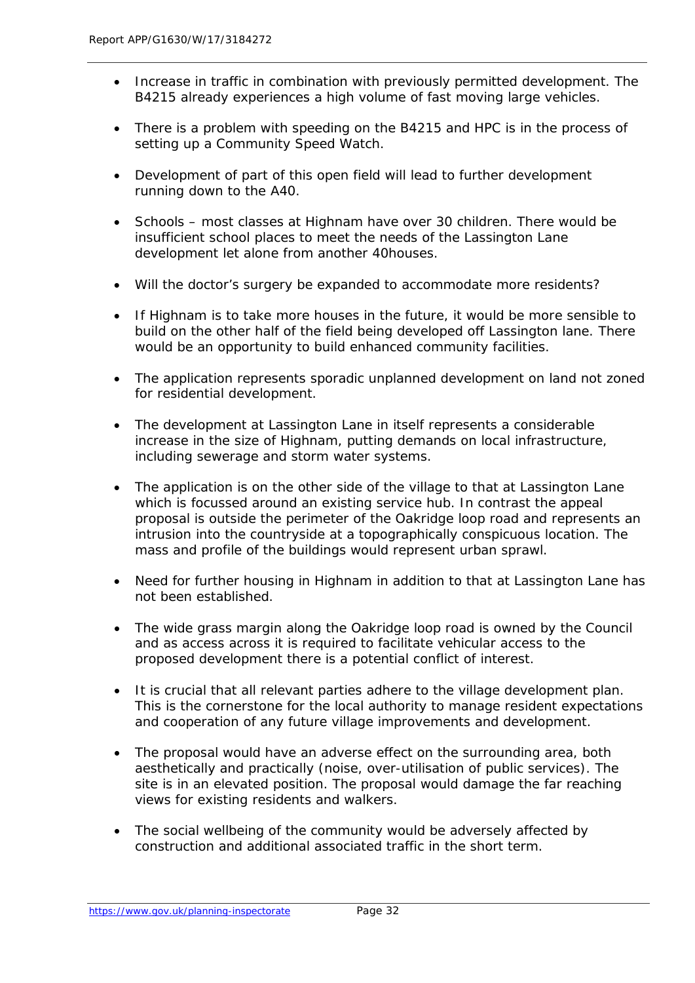- Increase in traffic in combination with previously permitted development. The B4215 already experiences a high volume of fast moving large vehicles.
- There is a problem with speeding on the B4215 and HPC is in the process of setting up a Community Speed Watch.
- Development of part of this open field will lead to further development running down to the A40.
- Schools most classes at Highnam have over 30 children. There would be insufficient school places to meet the needs of the Lassington Lane development let alone from another 40houses.
- Will the doctor's surgery be expanded to accommodate more residents?
- If Highnam is to take more houses in the future, it would be more sensible to build on the other half of the field being developed off Lassington lane. There would be an opportunity to build enhanced community facilities.
- The application represents sporadic unplanned development on land not zoned for residential development.
- The development at Lassington Lane in itself represents a considerable increase in the size of Highnam, putting demands on local infrastructure, including sewerage and storm water systems.
- The application is on the other side of the village to that at Lassington Lane which is focussed around an existing service hub. In contrast the appeal proposal is outside the perimeter of the Oakridge loop road and represents an intrusion into the countryside at a topographically conspicuous location. The mass and profile of the buildings would represent urban sprawl.
- Need for further housing in Highnam in addition to that at Lassington Lane has not been established.
- The wide grass margin along the Oakridge loop road is owned by the Council and as access across it is required to facilitate vehicular access to the proposed development there is a potential conflict of interest.
- It is crucial that all relevant parties adhere to the village development plan. This is the cornerstone for the local authority to manage resident expectations and cooperation of any future village improvements and development.
- The proposal would have an adverse effect on the surrounding area, both aesthetically and practically (noise, over-utilisation of public services). The site is in an elevated position. The proposal would damage the far reaching views for existing residents and walkers.
- The social wellbeing of the community would be adversely affected by construction and additional associated traffic in the short term.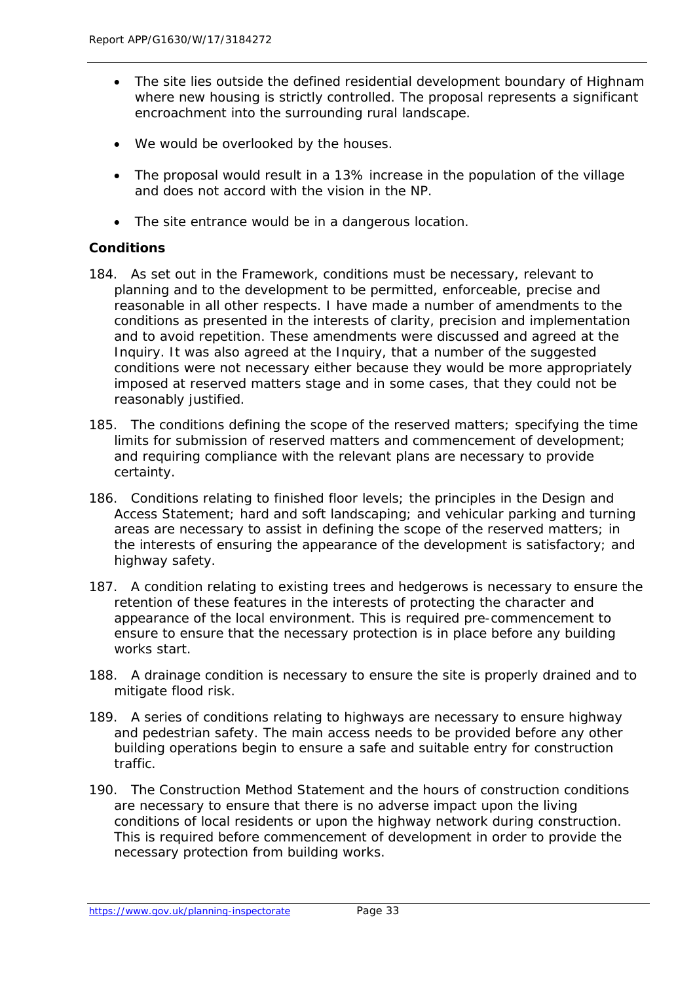- The site lies outside the defined residential development boundary of Highnam where new housing is strictly controlled. The proposal represents a significant encroachment into the surrounding rural landscape.
- We would be overlooked by the houses.
- The proposal would result in a 13% increase in the population of the village and does not accord with the vision in the NP.
- The site entrance would be in a dangerous location.

#### **Conditions**

- 184. As set out in the Framework, conditions must be necessary, relevant to planning and to the development to be permitted, enforceable, precise and reasonable in all other respects. I have made a number of amendments to the conditions as presented in the interests of clarity, precision and implementation and to avoid repetition. These amendments were discussed and agreed at the Inquiry. It was also agreed at the Inquiry, that a number of the suggested conditions were not necessary either because they would be more appropriately imposed at reserved matters stage and in some cases, that they could not be reasonably justified.
- 185. The conditions defining the scope of the reserved matters; specifying the time limits for submission of reserved matters and commencement of development; and requiring compliance with the relevant plans are necessary to provide certainty.
- 186. Conditions relating to finished floor levels; the principles in the Design and Access Statement; hard and soft landscaping; and vehicular parking and turning areas are necessary to assist in defining the scope of the reserved matters; in the interests of ensuring the appearance of the development is satisfactory; and highway safety.
- 187. A condition relating to existing trees and hedgerows is necessary to ensure the retention of these features in the interests of protecting the character and appearance of the local environment. This is required pre-commencement to ensure to ensure that the necessary protection is in place before any building works start.
- 188. A drainage condition is necessary to ensure the site is properly drained and to mitigate flood risk.
- 189. A series of conditions relating to highways are necessary to ensure highway and pedestrian safety. The main access needs to be provided before any other building operations begin to ensure a safe and suitable entry for construction traffic.
- 190. The Construction Method Statement and the hours of construction conditions are necessary to ensure that there is no adverse impact upon the living conditions of local residents or upon the highway network during construction. This is required before commencement of development in order to provide the necessary protection from building works.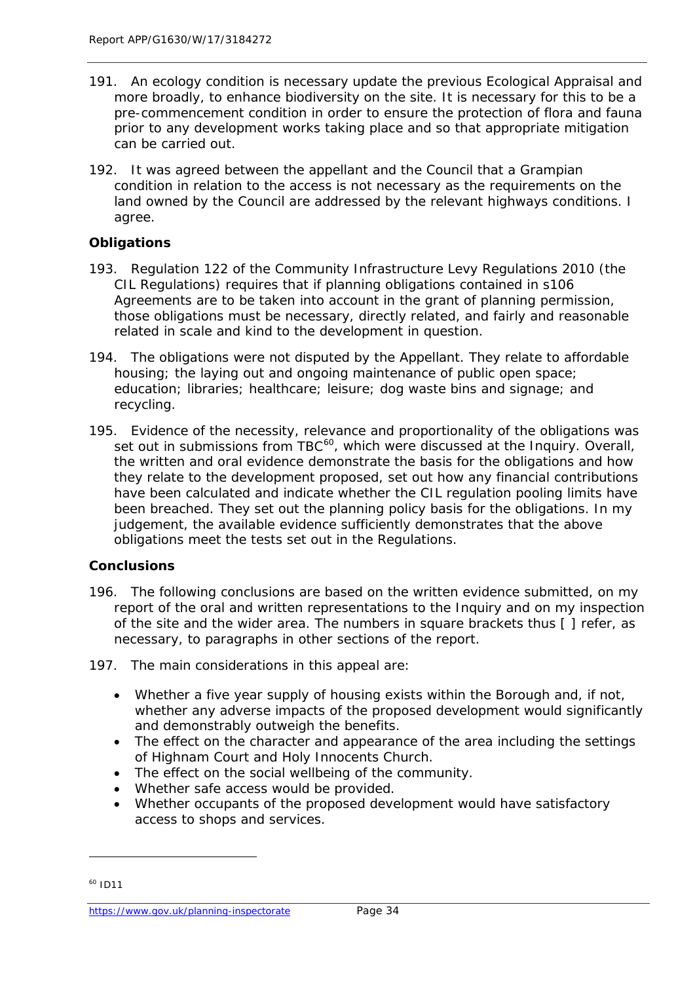- 191. An ecology condition is necessary update the previous Ecological Appraisal and more broadly, to enhance biodiversity on the site. It is necessary for this to be a pre-commencement condition in order to ensure the protection of flora and fauna prior to any development works taking place and so that appropriate mitigation can be carried out.
- 192. It was agreed between the appellant and the Council that a Grampian condition in relation to the access is not necessary as the requirements on the land owned by the Council are addressed by the relevant highways conditions. I agree.

#### **Obligations**

- 193. Regulation 122 of the Community Infrastructure Levy Regulations 2010 (the CIL Regulations) requires that if planning obligations contained in s106 Agreements are to be taken into account in the grant of planning permission, those obligations must be necessary, directly related, and fairly and reasonable related in scale and kind to the development in question.
- 194. The obligations were not disputed by the Appellant. They relate to affordable housing; the laying out and ongoing maintenance of public open space; education; libraries; healthcare; leisure; dog waste bins and signage; and recycling.
- 195. Evidence of the necessity, relevance and proportionality of the obligations was set out in submissions from TBC<sup>[60](#page-39-0)</sup>, which were discussed at the Inquiry. Overall, the written and oral evidence demonstrate the basis for the obligations and how they relate to the development proposed, set out how any financial contributions have been calculated and indicate whether the CIL regulation pooling limits have been breached. They set out the planning policy basis for the obligations. In my judgement, the available evidence sufficiently demonstrates that the above obligations meet the tests set out in the Regulations.

#### **Conclusions**

- 196. The following conclusions are based on the written evidence submitted, on my report of the oral and written representations to the Inquiry and on my inspection of the site and the wider area. The numbers in square brackets thus [ ] refer, as necessary, to paragraphs in other sections of the report.
- 197. The main considerations in this appeal are:
	- Whether a five year supply of housing exists within the Borough and, if not, whether any adverse impacts of the proposed development would significantly and demonstrably outweigh the benefits.
	- The effect on the character and appearance of the area including the settings of Highnam Court and Holy Innocents Church.
	- The effect on the social wellbeing of the community.
	- Whether safe access would be provided.
	- Whether occupants of the proposed development would have satisfactory access to shops and services.

<span id="page-39-0"></span> $60$  ID11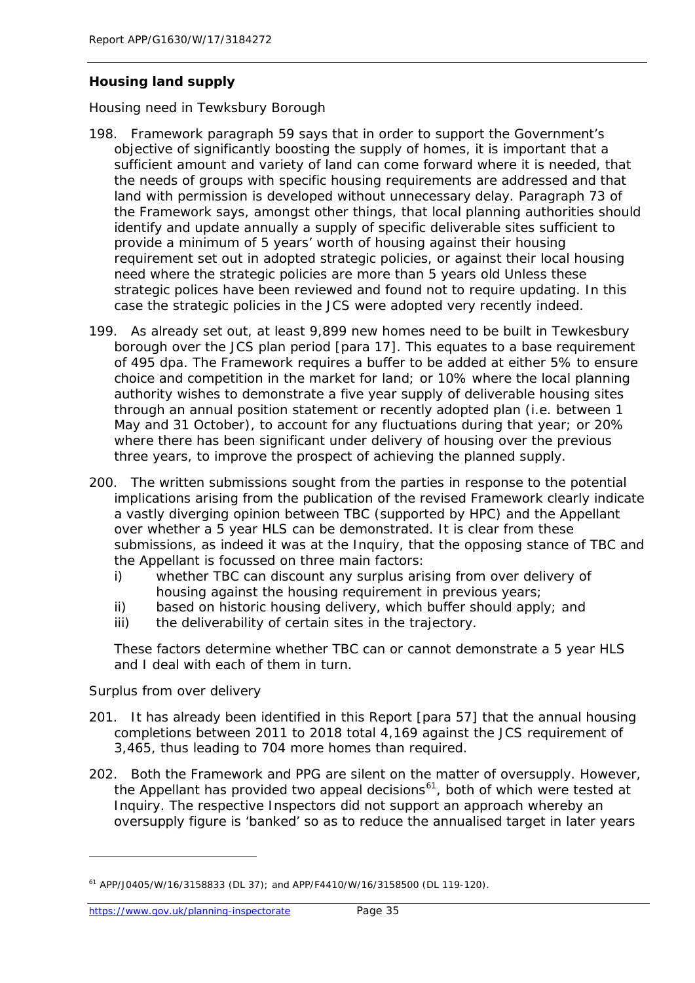# *Housing land supply*

#### *Housing need in Tewksbury Borough*

- 198. Framework paragraph 59 says that in order to support the Government's objective of significantly boosting the supply of homes, it is important that a sufficient amount and variety of land can come forward where it is needed, that the needs of groups with specific housing requirements are addressed and that land with permission is developed without unnecessary delay. Paragraph 73 of the Framework says, amongst other things, that local planning authorities should identify and update annually a supply of specific deliverable sites sufficient to provide a minimum of 5 years' worth of housing against their housing requirement set out in adopted strategic policies, or against their local housing need where the strategic policies are more than 5 years old Unless these strategic polices have been reviewed and found not to require updating. In this case the strategic policies in the JCS were adopted very recently indeed.
- 199. As already set out, at least 9,899 new homes need to be built in Tewkesbury borough over the JCS plan period [para 17]. This equates to a base requirement of 495 dpa. The Framework requires a buffer to be added at either 5% to ensure choice and competition in the market for land; or 10% where the local planning authority wishes to demonstrate a five year supply of deliverable housing sites through an annual position statement or recently adopted plan (i.e. between 1 May and 31 October), to account for any fluctuations during that year; or 20% where there has been significant under delivery of housing over the previous three years, to improve the prospect of achieving the planned supply.
- 200. The written submissions sought from the parties in response to the potential implications arising from the publication of the revised Framework clearly indicate a vastly diverging opinion between TBC (supported by HPC) and the Appellant over whether a 5 year HLS can be demonstrated. It is clear from these submissions, as indeed it was at the Inquiry, that the opposing stance of TBC and the Appellant is focussed on three main factors:
	- i) whether TBC can discount any surplus arising from over delivery of housing against the housing requirement in previous years;
	- ii) based on historic housing delivery, which buffer should apply; and
	- iii) the deliverability of certain sites in the trajectory.

These factors determine whether TBC can or cannot demonstrate a 5 year HLS and I deal with each of them in turn.

#### *Surplus from over delivery*

- 201. It has already been identified in this Report [para 57] that the annual housing completions between 2011 to 2018 total 4,169 against the JCS requirement of 3,465, thus leading to 704 more homes than required.
- 202. Both the Framework and PPG are silent on the matter of oversupply. However, the Appellant has provided two appeal decisions<sup>[61](#page-40-0)</sup>, both of which were tested at Inquiry. The respective Inspectors did not support an approach whereby an oversupply figure is 'banked' so as to reduce the annualised target in later years

<span id="page-40-0"></span><sup>61</sup> APP/J0405/W/16/3158833 (DL 37); and APP/F4410/W/16/3158500 (DL 119-120).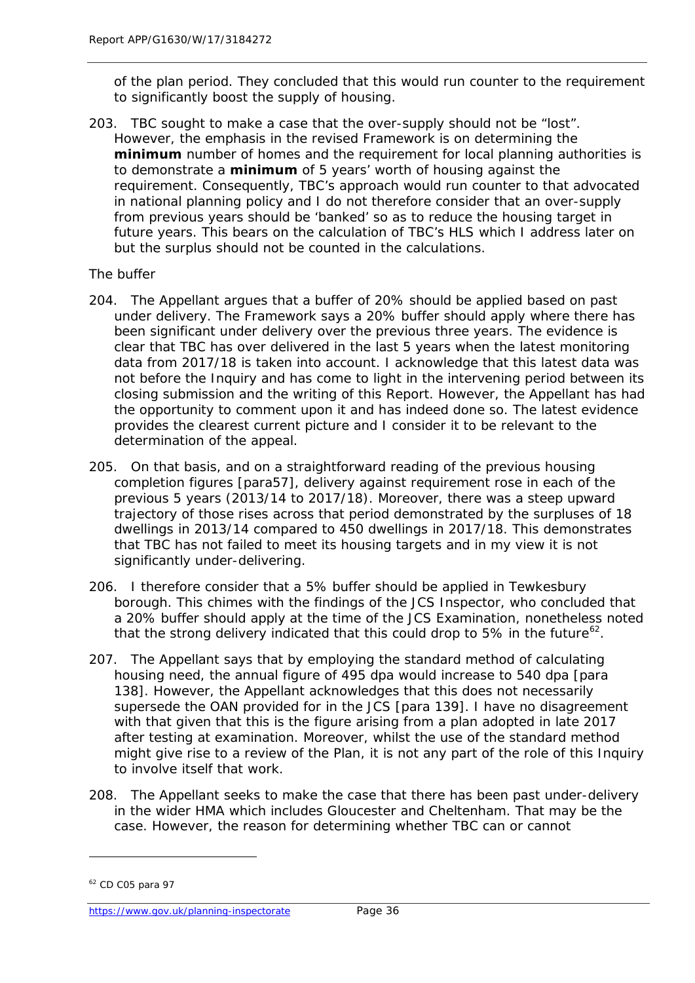of the plan period. They concluded that this would run counter to the requirement to significantly boost the supply of housing.

203. TBC sought to make a case that the over-supply should not be "lost". However, the emphasis in the revised Framework is on determining the **minimum** number of homes and the requirement for local planning authorities is to demonstrate a **minimum** of 5 years' worth of housing against the requirement. Consequently, TBC's approach would run counter to that advocated in national planning policy and I do not therefore consider that an over-supply from previous years should be 'banked' so as to reduce the housing target in future years. This bears on the calculation of TBC's HLS which I address later on but the surplus should not be counted in the calculations.

#### *The buffer*

- 204. The Appellant argues that a buffer of 20% should be applied based on past under delivery. The Framework says a 20% buffer should apply where there has been significant under delivery over the previous three years. The evidence is clear that TBC has over delivered in the last 5 years when the latest monitoring data from 2017/18 is taken into account. I acknowledge that this latest data was not before the Inquiry and has come to light in the intervening period between its closing submission and the writing of this Report. However, the Appellant has had the opportunity to comment upon it and has indeed done so. The latest evidence provides the clearest current picture and I consider it to be relevant to the determination of the appeal.
- 205. On that basis, and on a straightforward reading of the previous housing completion figures [para57], delivery against requirement rose in each of the previous 5 years (2013/14 to 2017/18). Moreover, there was a steep upward trajectory of those rises across that period demonstrated by the surpluses of 18 dwellings in 2013/14 compared to 450 dwellings in 2017/18. This demonstrates that TBC has not failed to meet its housing targets and in my view it is not significantly under-delivering.
- 206. I therefore consider that a 5% buffer should be applied in Tewkesbury borough. This chimes with the findings of the JCS Inspector, who concluded that a 20% buffer should apply at the time of the JCS Examination, nonetheless noted that the strong delivery indicated that this could drop to 5% in the future<sup>[62](#page-41-0)</sup>.
- 207. The Appellant says that by employing the standard method of calculating housing need, the annual figure of 495 dpa would increase to 540 dpa [para 138]. However, the Appellant acknowledges that this does not necessarily supersede the OAN provided for in the JCS [para 139]. I have no disagreement with that given that this is the figure arising from a plan adopted in late 2017 after testing at examination. Moreover, whilst the use of the standard method might give rise to a review of the Plan, it is not any part of the role of this Inquiry to involve itself that work.
- 208. The Appellant seeks to make the case that there has been past under-delivery in the wider HMA which includes Gloucester and Cheltenham. That may be the case. However, the reason for determining whether TBC can or cannot

<span id="page-41-0"></span><sup>62</sup> CD C05 para 97

<https://www.gov.uk/planning-inspectorate>Page 36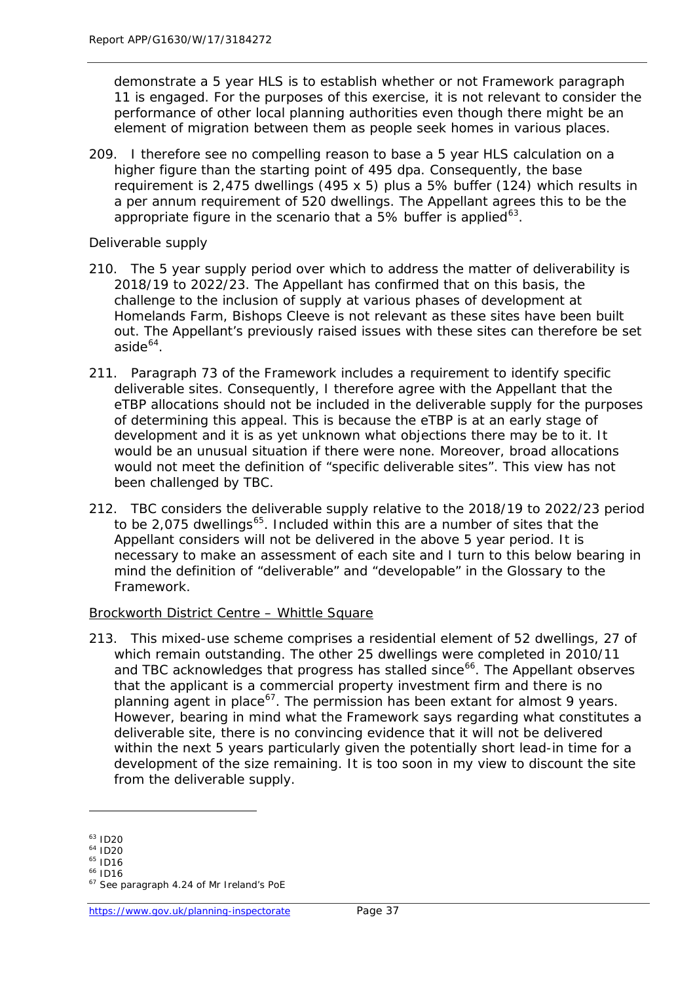demonstrate a 5 year HLS is to establish whether or not Framework paragraph 11 is engaged. For the purposes of this exercise, it is not relevant to consider the performance of other local planning authorities even though there might be an element of migration between them as people seek homes in various places.

209. I therefore see no compelling reason to base a 5 year HLS calculation on a higher figure than the starting point of 495 dpa. Consequently, the base requirement is 2,475 dwellings (495 x 5) plus a 5% buffer (124) which results in a per annum requirement of 520 dwellings. The Appellant agrees this to be the appropriate figure in the scenario that a 5% buffer is applied<sup>[63](#page-42-0)</sup>.

#### *Deliverable supply*

- 210. The 5 year supply period over which to address the matter of deliverability is 2018/19 to 2022/23. The Appellant has confirmed that on this basis, the challenge to the inclusion of supply at various phases of development at Homelands Farm, Bishops Cleeve is not relevant as these sites have been built out. The Appellant's previously raised issues with these sites can therefore be set  $a$ side $64$ .
- 211. Paragraph 73 of the Framework includes a requirement to identify specific deliverable sites. Consequently, I therefore agree with the Appellant that the eTBP allocations should not be included in the deliverable supply for the purposes of determining this appeal. This is because the eTBP is at an early stage of development and it is as yet unknown what objections there may be to it. It would be an unusual situation if there were none. Moreover, broad allocations would not meet the definition of "specific deliverable sites". This view has not been challenged by TBC.
- 212. TBC considers the deliverable supply relative to the 2018/19 to 2022/23 period to be 2,075 dwellings<sup>[65](#page-42-2)</sup>. Included within this are a number of sites that the Appellant considers will not be delivered in the above 5 year period. It is necessary to make an assessment of each site and I turn to this below bearing in mind the definition of "deliverable" and "developable" in the Glossary to the Framework.

#### *Brockworth District Centre – Whittle Square*

213. This mixed-use scheme comprises a residential element of 52 dwellings, 27 of which remain outstanding. The other 25 dwellings were completed in 2010/11 and TBC acknowledges that progress has stalled since<sup>[66](#page-42-3)</sup>. The Appellant observes that the applicant is a commercial property investment firm and there is no planning agent in place<sup>[67](#page-42-4)</sup>. The permission has been extant for almost 9 years. However, bearing in mind what the Framework says regarding what constitutes a deliverable site, there is no convincing evidence that it will not be delivered within the next 5 years particularly given the potentially short lead-in time for a development of the size remaining. It is too soon in my view to discount the site from the deliverable supply.

<span id="page-42-0"></span><sup>63</sup> ID20

<span id="page-42-1"></span> $64$  ID20

<span id="page-42-2"></span> $65$  ID16

<sup>66</sup> ID16

<span id="page-42-4"></span><span id="page-42-3"></span><sup>&</sup>lt;sup>67</sup> See paragraph 4.24 of Mr Ireland's PoE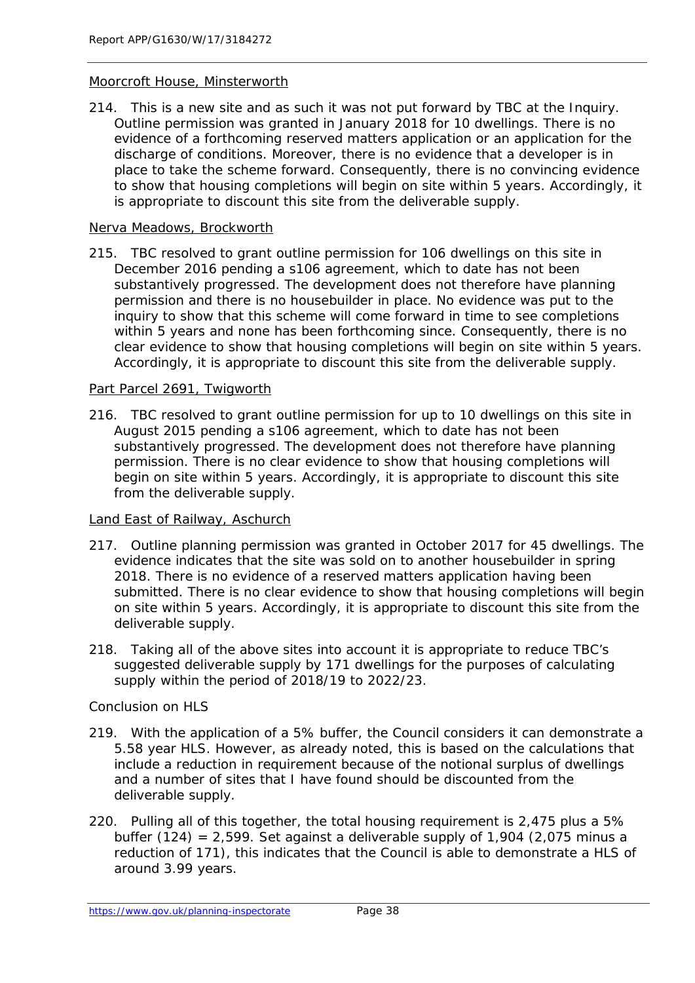#### *Moorcroft House, Minsterworth*

214. This is a new site and as such it was not put forward by TBC at the Inquiry. Outline permission was granted in January 2018 for 10 dwellings. There is no evidence of a forthcoming reserved matters application or an application for the discharge of conditions. Moreover, there is no evidence that a developer is in place to take the scheme forward. Consequently, there is no convincing evidence to show that housing completions will begin on site within 5 years. Accordingly, it is appropriate to discount this site from the deliverable supply.

#### *Nerva Meadows, Brockworth*

215. TBC resolved to grant outline permission for 106 dwellings on this site in December 2016 pending a s106 agreement, which to date has not been substantively progressed. The development does not therefore have planning permission and there is no housebuilder in place. No evidence was put to the inquiry to show that this scheme will come forward in time to see completions within 5 years and none has been forthcoming since. Consequently, there is no clear evidence to show that housing completions will begin on site within 5 years. Accordingly, it is appropriate to discount this site from the deliverable supply.

#### *Part Parcel 2691, Twigworth*

216. TBC resolved to grant outline permission for up to 10 dwellings on this site in August 2015 pending a s106 agreement, which to date has not been substantively progressed. The development does not therefore have planning permission. There is no clear evidence to show that housing completions will begin on site within 5 years. Accordingly, it is appropriate to discount this site from the deliverable supply.

#### *Land East of Railway, Aschurch*

- 217. Outline planning permission was granted in October 2017 for 45 dwellings. The evidence indicates that the site was sold on to another housebuilder in spring 2018. There is no evidence of a reserved matters application having been submitted. There is no clear evidence to show that housing completions will begin on site within 5 years. Accordingly, it is appropriate to discount this site from the deliverable supply.
- 218. Taking all of the above sites into account it is appropriate to reduce TBC's suggested deliverable supply by 171 dwellings for the purposes of calculating supply within the period of 2018/19 to 2022/23.

#### *Conclusion on HLS*

- 219. With the application of a 5% buffer, the Council considers it can demonstrate a 5.58 year HLS. However, as already noted, this is based on the calculations that include a reduction in requirement because of the notional surplus of dwellings and a number of sites that I have found should be discounted from the deliverable supply.
- 220. Pulling all of this together, the total housing requirement is 2,475 plus a 5% buffer  $(124)$  = 2,599. Set against a deliverable supply of 1,904 (2,075 minus a reduction of 171), this indicates that the Council is able to demonstrate a HLS of around 3.99 years.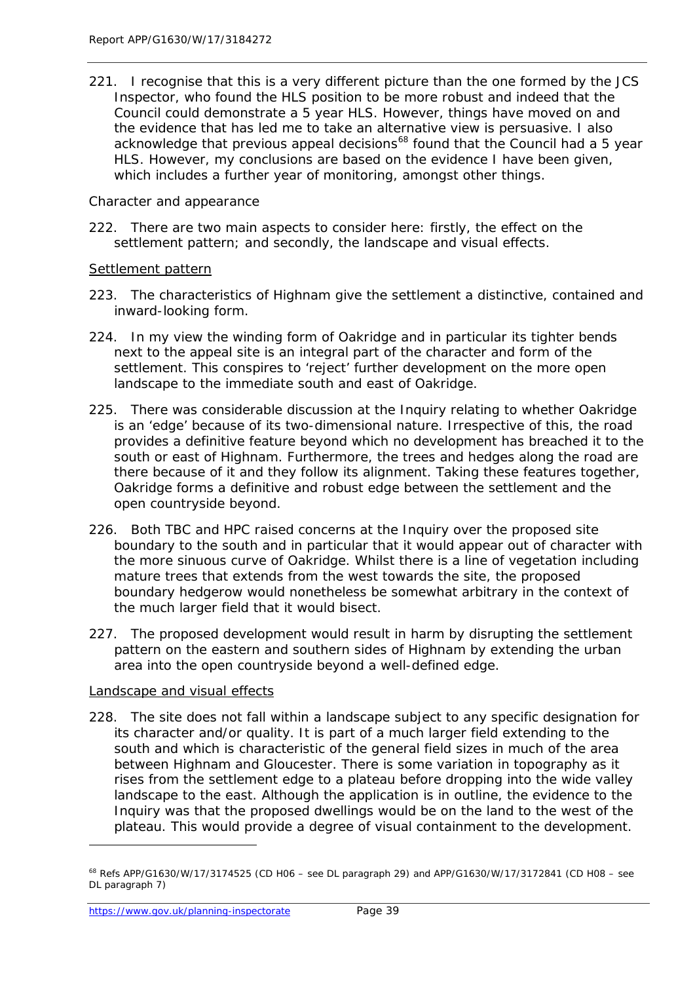*221.* I recognise that this is a very different picture than the one formed by the JCS Inspector, who found the HLS position to be more robust and indeed that the Council could demonstrate a 5 year HLS. However, things have moved on and the evidence that has led me to take an alternative view is persuasive. I also acknowledge that previous appeal decisions<sup>[68](#page-44-0)</sup> found that the Council had a 5 year HLS. However, my conclusions are based on the evidence I have been given, which includes a further year of monitoring, amongst other things.

#### *Character and appearance*

222. There are two main aspects to consider here: firstly, the effect on the settlement pattern; and secondly, the landscape and visual effects.

#### *Settlement pattern*

- 223. The characteristics of Highnam give the settlement a distinctive, contained and inward-looking form.
- 224. In my view the winding form of Oakridge and in particular its tighter bends next to the appeal site is an integral part of the character and form of the settlement. This conspires to 'reject' further development on the more open landscape to the immediate south and east of Oakridge.
- 225. There was considerable discussion at the Inquiry relating to whether Oakridge is an 'edge' because of its two-dimensional nature. Irrespective of this, the road provides a definitive feature beyond which no development has breached it to the south or east of Highnam. Furthermore, the trees and hedges along the road are there because of it and they follow its alignment. Taking these features together, Oakridge forms a definitive and robust edge between the settlement and the open countryside beyond.
- 226. Both TBC and HPC raised concerns at the Inquiry over the proposed site boundary to the south and in particular that it would appear out of character with the more sinuous curve of Oakridge. Whilst there is a line of vegetation including mature trees that extends from the west towards the site, the proposed boundary hedgerow would nonetheless be somewhat arbitrary in the context of the much larger field that it would bisect.
- 227. The proposed development would result in harm by disrupting the settlement pattern on the eastern and southern sides of Highnam by extending the urban area into the open countryside beyond a well-defined edge.

#### *Landscape and visual effects*

228. The site does not fall within a landscape subject to any specific designation for its character and/or quality. It is part of a much larger field extending to the south and which is characteristic of the general field sizes in much of the area between Highnam and Gloucester. There is some variation in topography as it rises from the settlement edge to a plateau before dropping into the wide valley landscape to the east. Although the application is in outline, the evidence to the Inquiry was that the proposed dwellings would be on the land to the west of the plateau. This would provide a degree of visual containment to the development.

<span id="page-44-0"></span><sup>68</sup> Refs APP/G1630/W/17/3174525 (CD H06 – see DL paragraph 29) and APP/G1630/W/17/3172841 (CD H08 – see DL paragraph 7)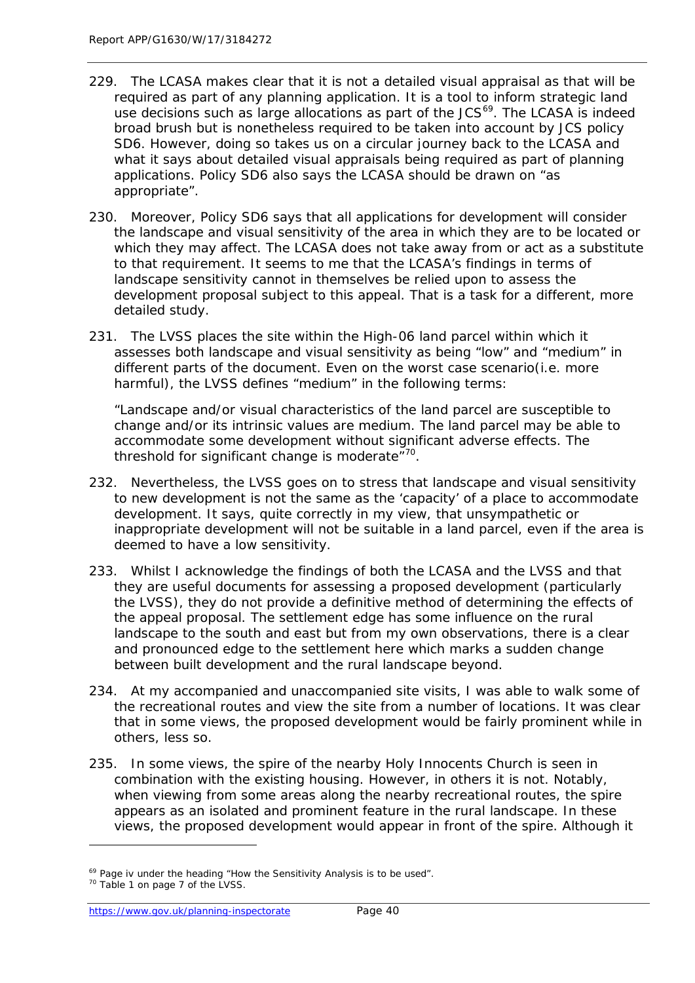- 229. The LCASA makes clear that it is not a detailed visual appraisal as that will be required as part of any planning application. It is a tool to inform strategic land use decisions such as large allocations as part of the JCS<sup>69</sup>. The LCASA is indeed broad brush but is nonetheless required to be taken into account by JCS policy SD6. However, doing so takes us on a circular journey back to the LCASA and what it says about detailed visual appraisals being required as part of planning applications. Policy SD6 also says the LCASA should be drawn on "as appropriate".
- 230. Moreover, Policy SD6 says that all applications for development will consider the landscape and visual sensitivity of the area in which they are to be located or which they may affect. The LCASA does not take away from or act as a substitute to that requirement. It seems to me that the LCASA's findings in terms of landscape sensitivity cannot in themselves be relied upon to assess the development proposal subject to this appeal. That is a task for a different, more detailed study.
- 231. The LVSS places the site within the High-06 land parcel within which it assesses both landscape and visual sensitivity as being "low" and "medium" in different parts of the document. Even on the worst case scenario(i.e. more harmful), the LVSS defines "medium" in the following terms:

"Landscape and/or visual characteristics of the land parcel are susceptible to change and/or its intrinsic values are medium. The land parcel may be able to accommodate some development without significant adverse effects. The threshold for significant change is moderate $170$  $170$ .

- 232. Nevertheless, the LVSS goes on to stress that landscape and visual sensitivity to new development is not the same as the 'capacity' of a place to accommodate development. It says, quite correctly in my view, that unsympathetic or inappropriate development will not be suitable in a land parcel, even if the area is deemed to have a low sensitivity.
- 233. Whilst I acknowledge the findings of both the LCASA and the LVSS and that they are useful documents for assessing a proposed development (particularly the LVSS), they do not provide a definitive method of determining the effects of the appeal proposal. The settlement edge has some influence on the rural landscape to the south and east but from my own observations, there is a clear and pronounced edge to the settlement here which marks a sudden change between built development and the rural landscape beyond.
- 234. At my accompanied and unaccompanied site visits, I was able to walk some of the recreational routes and view the site from a number of locations. It was clear that in some views, the proposed development would be fairly prominent while in others, less so.
- 235. In some views, the spire of the nearby Holy Innocents Church is seen in combination with the existing housing. However, in others it is not. Notably, when viewing from some areas along the nearby recreational routes, the spire appears as an isolated and prominent feature in the rural landscape. In these views, the proposed development would appear in front of the spire. Although it

<span id="page-45-0"></span><sup>&</sup>lt;sup>69</sup> Page iv under the heading "How the Sensitivity Analysis is to be used".

<span id="page-45-1"></span><sup>70</sup> Table 1 on page 7 of the LVSS.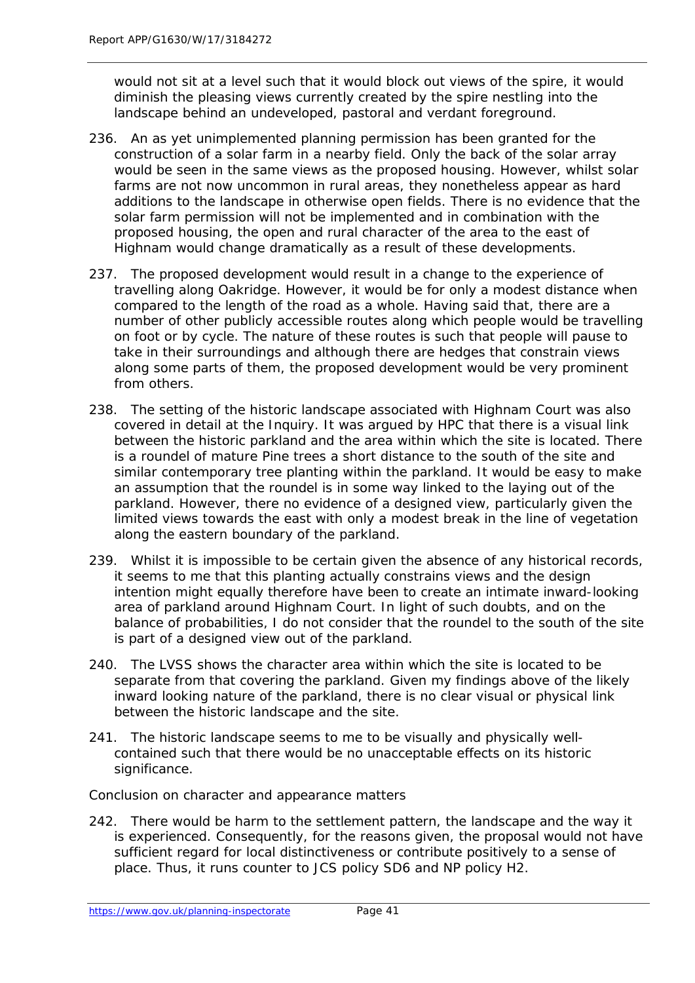would not sit at a level such that it would block out views of the spire, it would diminish the pleasing views currently created by the spire nestling into the landscape behind an undeveloped, pastoral and verdant foreground.

- 236. An as yet unimplemented planning permission has been granted for the construction of a solar farm in a nearby field. Only the back of the solar array would be seen in the same views as the proposed housing. However, whilst solar farms are not now uncommon in rural areas, they nonetheless appear as hard additions to the landscape in otherwise open fields. There is no evidence that the solar farm permission will not be implemented and in combination with the proposed housing, the open and rural character of the area to the east of Highnam would change dramatically as a result of these developments.
- 237. The proposed development would result in a change to the experience of travelling along Oakridge. However, it would be for only a modest distance when compared to the length of the road as a whole. Having said that, there are a number of other publicly accessible routes along which people would be travelling on foot or by cycle. The nature of these routes is such that people will pause to take in their surroundings and although there are hedges that constrain views along some parts of them, the proposed development would be very prominent from others.
- 238. The setting of the historic landscape associated with Highnam Court was also covered in detail at the Inquiry. It was argued by HPC that there is a visual link between the historic parkland and the area within which the site is located. There is a roundel of mature Pine trees a short distance to the south of the site and similar contemporary tree planting within the parkland. It would be easy to make an assumption that the roundel is in some way linked to the laying out of the parkland. However, there no evidence of a designed view, particularly given the limited views towards the east with only a modest break in the line of vegetation along the eastern boundary of the parkland.
- 239. Whilst it is impossible to be certain given the absence of any historical records, it seems to me that this planting actually constrains views and the design intention might equally therefore have been to create an intimate inward-looking area of parkland around Highnam Court. In light of such doubts, and on the balance of probabilities, I do not consider that the roundel to the south of the site is part of a designed view out of the parkland.
- 240. The LVSS shows the character area within which the site is located to be separate from that covering the parkland. Given my findings above of the likely inward looking nature of the parkland, there is no clear visual or physical link between the historic landscape and the site.
- 241. The historic landscape seems to me to be visually and physically wellcontained such that there would be no unacceptable effects on its historic significance.

#### *Conclusion on character and appearance matters*

242. There would be harm to the settlement pattern, the landscape and the way it is experienced. Consequently, for the reasons given, the proposal would not have sufficient regard for local distinctiveness or contribute positively to a sense of place. Thus, it runs counter to JCS policy SD6 and NP policy H2.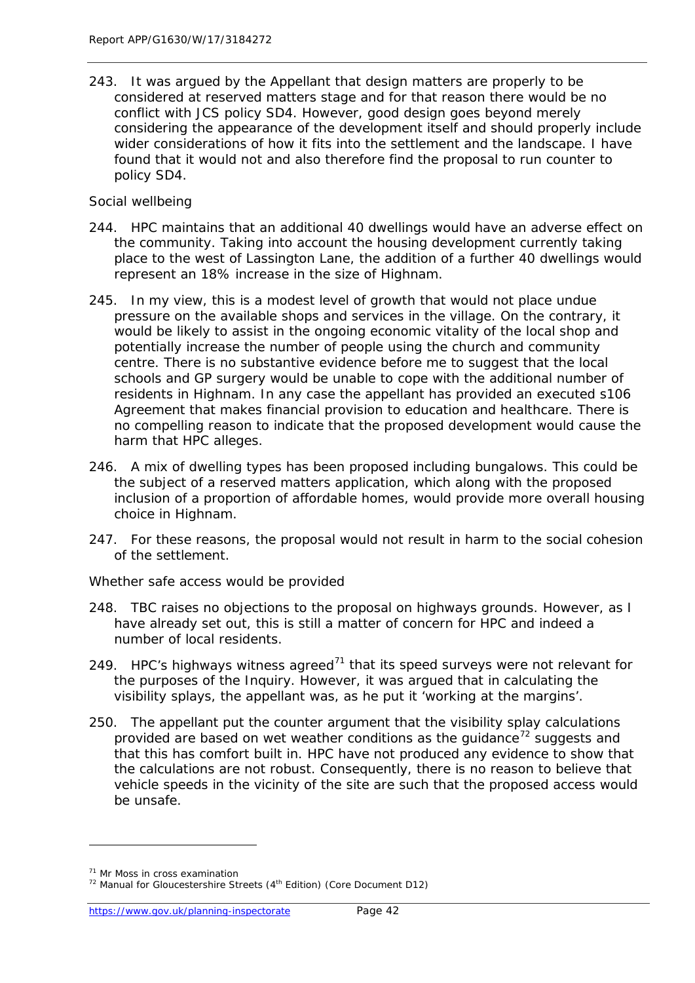243. It was argued by the Appellant that design matters are properly to be considered at reserved matters stage and for that reason there would be no conflict with JCS policy SD4. However, good design goes beyond merely considering the appearance of the development itself and should properly include wider considerations of how it fits into the settlement and the landscape. I have found that it would not and also therefore find the proposal to run counter to policy SD4.

#### *Social wellbeing*

- 244. HPC maintains that an additional 40 dwellings would have an adverse effect on the community. Taking into account the housing development currently taking place to the west of Lassington Lane, the addition of a further 40 dwellings would represent an 18% increase in the size of Highnam.
- 245. In my view, this is a modest level of growth that would not place undue pressure on the available shops and services in the village. On the contrary, it would be likely to assist in the ongoing economic vitality of the local shop and potentially increase the number of people using the church and community centre. There is no substantive evidence before me to suggest that the local schools and GP surgery would be unable to cope with the additional number of residents in Highnam. In any case the appellant has provided an executed s106 Agreement that makes financial provision to education and healthcare. There is no compelling reason to indicate that the proposed development would cause the harm that HPC alleges.
- 246. A mix of dwelling types has been proposed including bungalows. This could be the subject of a reserved matters application, which along with the proposed inclusion of a proportion of affordable homes, would provide more overall housing choice in Highnam.
- 247. For these reasons, the proposal would not result in harm to the social cohesion of the settlement.

#### *Whether safe access would be provided*

- 248. TBC raises no objections to the proposal on highways grounds. However, as I have already set out, this is still a matter of concern for HPC and indeed a number of local residents.
- 249. HPC's highways witness agreed<sup>[71](#page-47-0)</sup> that its speed surveys were not relevant for the purposes of the Inquiry. However, it was argued that in calculating the visibility splays, the appellant was, as he put it 'working at the margins'.
- 250. The appellant put the counter argument that the visibility splay calculations provided are based on wet weather conditions as the quidance<sup>[72](#page-47-1)</sup> suggests and that this has comfort built in. HPC have not produced any evidence to show that the calculations are not robust. Consequently, there is no reason to believe that vehicle speeds in the vicinity of the site are such that the proposed access would be unsafe.

<span id="page-47-0"></span><sup>&</sup>lt;sup>71</sup> Mr Moss in cross examination

<span id="page-47-1"></span> $72$  Manual for Gloucestershire Streets ( $4<sup>th</sup>$  Edition) (Core Document D12)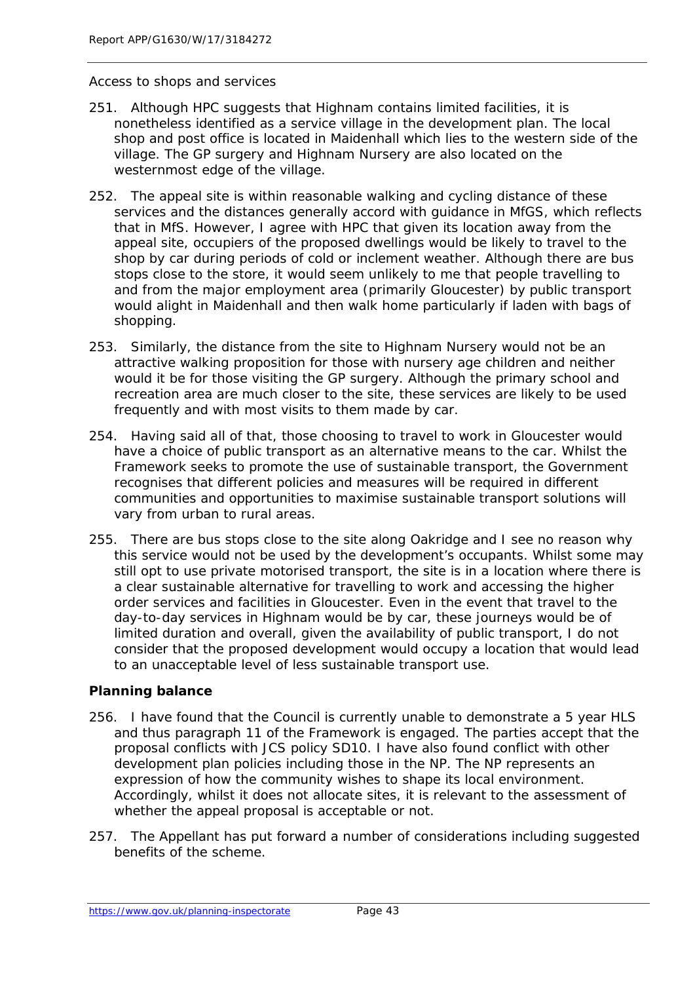#### *Access to shops and services*

- 251. Although HPC suggests that Highnam contains limited facilities, it is nonetheless identified as a service village in the development plan. The local shop and post office is located in Maidenhall which lies to the western side of the village. The GP surgery and Highnam Nursery are also located on the westernmost edge of the village.
- 252. The appeal site is within reasonable walking and cycling distance of these services and the distances generally accord with quidance in MfGS, which reflects that in MfS. However, I agree with HPC that given its location away from the appeal site, occupiers of the proposed dwellings would be likely to travel to the shop by car during periods of cold or inclement weather. Although there are bus stops close to the store, it would seem unlikely to me that people travelling to and from the major employment area (primarily Gloucester) by public transport would alight in Maidenhall and then walk home particularly if laden with bags of shopping.
- 253. Similarly, the distance from the site to Highnam Nursery would not be an attractive walking proposition for those with nursery age children and neither would it be for those visiting the GP surgery. Although the primary school and recreation area are much closer to the site, these services are likely to be used frequently and with most visits to them made by car.
- 254. Having said all of that, those choosing to travel to work in Gloucester would have a choice of public transport as an alternative means to the car. Whilst the Framework seeks to promote the use of sustainable transport, the Government recognises that different policies and measures will be required in different communities and opportunities to maximise sustainable transport solutions will vary from urban to rural areas.
- 255. There are bus stops close to the site along Oakridge and I see no reason why this service would not be used by the development's occupants. Whilst some may still opt to use private motorised transport, the site is in a location where there is a clear sustainable alternative for travelling to work and accessing the higher order services and facilities in Gloucester. Even in the event that travel to the day-to-day services in Highnam would be by car, these journeys would be of limited duration and overall, given the availability of public transport, I do not consider that the proposed development would occupy a location that would lead to an unacceptable level of less sustainable transport use.

#### **Planning balance**

- 256. I have found that the Council is currently unable to demonstrate a 5 year HLS and thus paragraph 11 of the Framework is engaged. The parties accept that the proposal conflicts with JCS policy SD10. I have also found conflict with other development plan policies including those in the NP. The NP represents an expression of how the community wishes to shape its local environment. Accordingly, whilst it does not allocate sites, it is relevant to the assessment of whether the appeal proposal is acceptable or not.
- 257. The Appellant has put forward a number of considerations including suggested benefits of the scheme.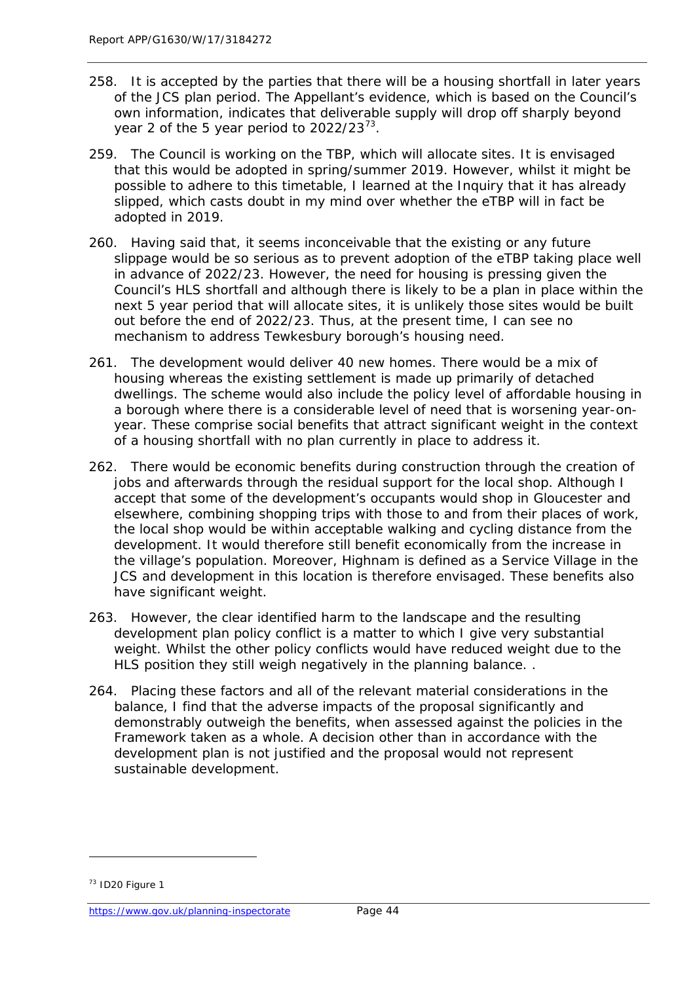- 258. It is accepted by the parties that there will be a housing shortfall in later years of the JCS plan period. The Appellant's evidence, which is based on the Council's own information, indicates that deliverable supply will drop off sharply beyond year 2 of the 5 year period to  $2022/23^{73}$ .
- 259. The Council is working on the TBP, which will allocate sites. It is envisaged that this would be adopted in spring/summer 2019. However, whilst it might be possible to adhere to this timetable, I learned at the Inquiry that it has already slipped, which casts doubt in my mind over whether the eTBP will in fact be adopted in 2019.
- 260. Having said that, it seems inconceivable that the existing or any future slippage would be so serious as to prevent adoption of the eTBP taking place well in advance of 2022/23. However, the need for housing is pressing given the Council's HLS shortfall and although there is likely to be a plan in place within the next 5 year period that will allocate sites, it is unlikely those sites would be built out before the end of 2022/23. Thus, at the present time, I can see no mechanism to address Tewkesbury borough's housing need.
- 261. The development would deliver 40 new homes. There would be a mix of housing whereas the existing settlement is made up primarily of detached dwellings. The scheme would also include the policy level of affordable housing in a borough where there is a considerable level of need that is worsening year-onyear. These comprise social benefits that attract significant weight in the context of a housing shortfall with no plan currently in place to address it.
- 262. There would be economic benefits during construction through the creation of jobs and afterwards through the residual support for the local shop. Although I accept that some of the development's occupants would shop in Gloucester and elsewhere, combining shopping trips with those to and from their places of work, the local shop would be within acceptable walking and cycling distance from the development. It would therefore still benefit economically from the increase in the village's population. Moreover, Highnam is defined as a Service Village in the JCS and development in this location is therefore envisaged. These benefits also have significant weight.
- 263. However, the clear identified harm to the landscape and the resulting development plan policy conflict is a matter to which I give very substantial weight. Whilst the other policy conflicts would have reduced weight due to the HLS position they still weigh negatively in the planning balance. .
- 264. Placing these factors and all of the relevant material considerations in the balance, I find that the adverse impacts of the proposal significantly and demonstrably outweigh the benefits, when assessed against the policies in the Framework taken as a whole. A decision other than in accordance with the development plan is not justified and the proposal would not represent sustainable development.

<span id="page-49-0"></span><sup>73</sup> ID20 Figure 1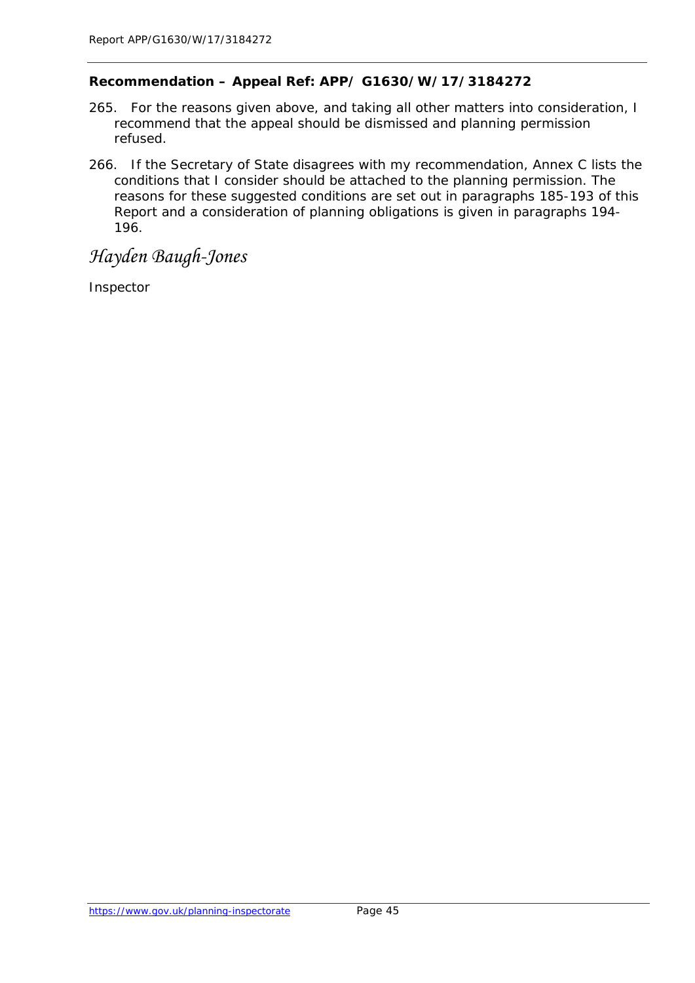#### **Recommendation – Appeal Ref: APP/ G1630/W/17/3184272**

- 265. For the reasons given above, and taking all other matters into consideration, I recommend that the appeal should be dismissed and planning permission refused.
- 266. If the Secretary of State disagrees with my recommendation, Annex C lists the conditions that I consider should be attached to the planning permission. The reasons for these suggested conditions are set out in paragraphs 185-193 of this Report and a consideration of planning obligations is given in paragraphs 194- 196.

# *Hayden Baugh-Jones*

Inspector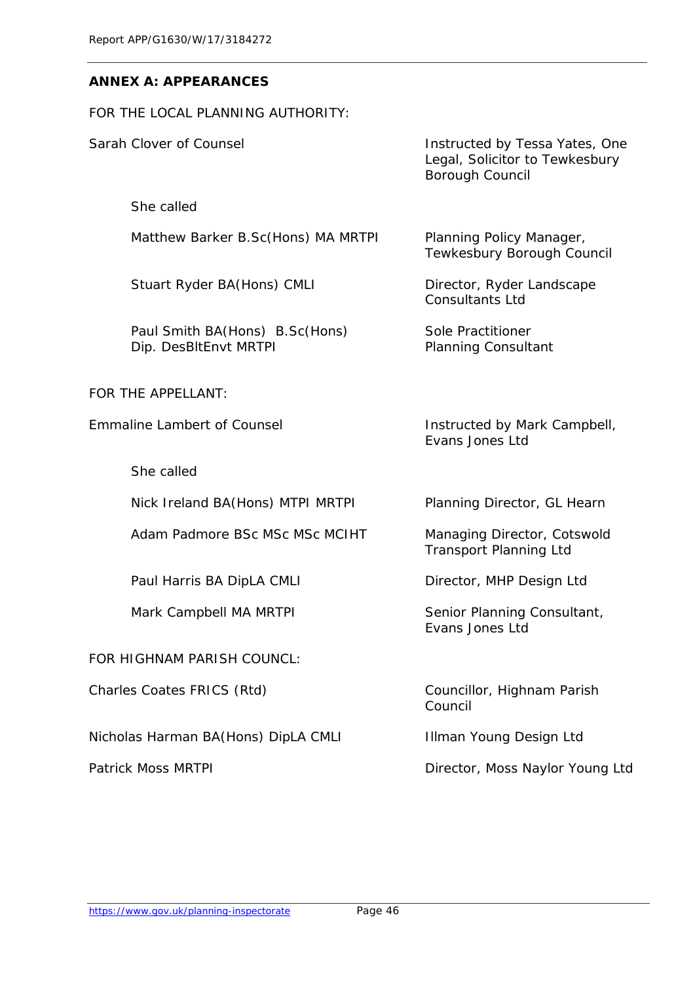#### **ANNEX A: APPEARANCES**

FOR THE LOCAL PLANNING AUTHORITY:

She called

Matthew Barker B.Sc(Hons) MA MRTPI Planning Policy Manager,

Stuart Ryder BA(Hons) CMLI Director, Ryder Landscape

Paul Smith BA(Hons) B.Sc(Hons) Sole Practitioner Dip. DesBltEnvt MRTPI Planning Consultant

FOR THE APPELLANT:

She called

Nick Ireland BA(Hons) MTPI MRTPI Planning Director, GL Hearn

Adam Padmore BSc MSc MSc MCIHT Managing Director, Cotswold

Paul Harris BA DipLA CMLI Director, MHP Design Ltd

FOR HIGHNAM PARISH COUNCL:

Charles Coates FRICS (Rtd) Councillor, Highnam Parish

Nicholas Harman BA(Hons) DipLA CMLI Illman Young Design Ltd

Sarah Clover of Counsel **Instructed by Tessa Yates**, One Legal, Solicitor to Tewkesbury Borough Council

Tewkesbury Borough Council

Consultants Ltd

Emmaline Lambert of Counsel **Instructed by Mark Campbell**, Evans Jones Ltd

Transport Planning Ltd

Mark Campbell MA MRTPI Senior Planning Consultant, Evans Jones Ltd

Council

Patrick Moss MRTPI 2008 2009 2012 2014 Director, Moss Naylor Young Ltd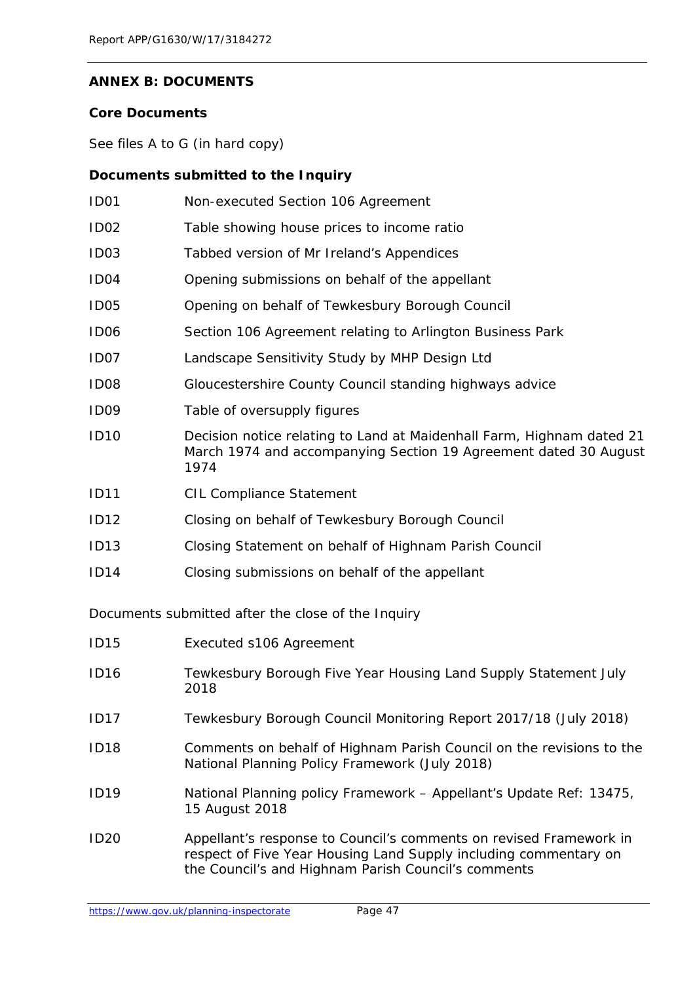#### **ANNEX B: DOCUMENTS**

#### **Core Documents**

See files A to G (in hard copy)

# **Documents submitted to the Inquiry**

| ID <sub>01</sub> | Non-executed Section 106 Agreement                                                                                                                |
|------------------|---------------------------------------------------------------------------------------------------------------------------------------------------|
| ID <sub>02</sub> | Table showing house prices to income ratio                                                                                                        |
| ID <sub>03</sub> | Tabbed version of Mr Ireland's Appendices                                                                                                         |
| ID <sub>04</sub> | Opening submissions on behalf of the appellant                                                                                                    |
| ID <sub>05</sub> | Opening on behalf of Tewkesbury Borough Council                                                                                                   |
| ID <sub>06</sub> | Section 106 Agreement relating to Arlington Business Park                                                                                         |
| ID07             | Landscape Sensitivity Study by MHP Design Ltd                                                                                                     |
| ID08             | Gloucestershire County Council standing highways advice                                                                                           |
| ID <sub>09</sub> | Table of oversupply figures                                                                                                                       |
| <b>ID10</b>      | Decision notice relating to Land at Maidenhall Farm, Highnam dated 21<br>March 1974 and accompanying Section 19 Agreement dated 30 August<br>1974 |
| <b>ID11</b>      | <b>CIL Compliance Statement</b>                                                                                                                   |
| <b>ID12</b>      | Closing on behalf of Tewkesbury Borough Council                                                                                                   |
| ID13             | Closing Statement on behalf of Highnam Parish Council                                                                                             |
| <b>ID14</b>      | Closing submissions on behalf of the appellant                                                                                                    |
|                  |                                                                                                                                                   |

Documents submitted after the close of the Inquiry

| <b>ID15</b> | Executed s106 Agreement                                                                                                                                                                       |
|-------------|-----------------------------------------------------------------------------------------------------------------------------------------------------------------------------------------------|
| <b>ID16</b> | Tewkesbury Borough Five Year Housing Land Supply Statement July<br>2018                                                                                                                       |
| <b>ID17</b> | Tewkesbury Borough Council Monitoring Report 2017/18 (July 2018)                                                                                                                              |
| <b>ID18</b> | Comments on behalf of Highnam Parish Council on the revisions to the<br>National Planning Policy Framework (July 2018)                                                                        |
| <b>ID19</b> | National Planning policy Framework - Appellant's Update Ref: 13475,<br>15 August 2018                                                                                                         |
| <b>ID20</b> | Appellant's response to Council's comments on revised Framework in<br>respect of Five Year Housing Land Supply including commentary on<br>the Council's and Highnam Parish Council's comments |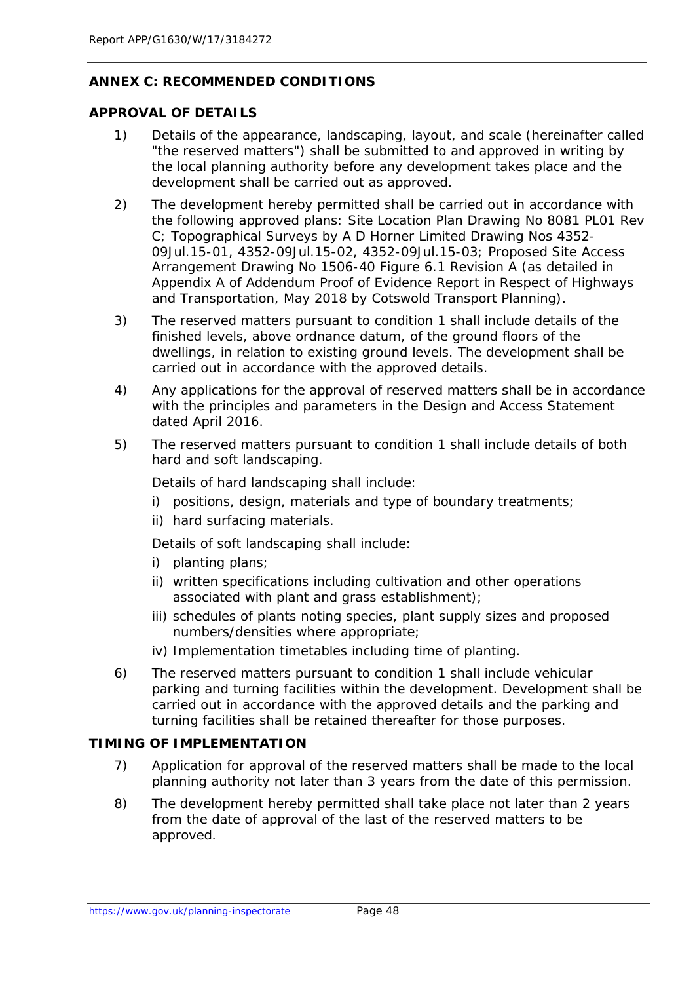#### **ANNEX C: RECOMMENDED CONDITIONS**

#### **APPROVAL OF DETAILS**

- 1) Details of the appearance, landscaping, layout, and scale (hereinafter called "the reserved matters") shall be submitted to and approved in writing by the local planning authority before any development takes place and the development shall be carried out as approved.
- 2) The development hereby permitted shall be carried out in accordance with the following approved plans: Site Location Plan Drawing No 8081 PL01 Rev C; Topographical Surveys by A D Horner Limited Drawing Nos 4352- 09Jul.15-01, 4352-09Jul.15-02, 4352-09Jul.15-03; Proposed Site Access Arrangement Drawing No 1506-40 Figure 6.1 Revision A (as detailed in Appendix A of Addendum Proof of Evidence Report in Respect of Highways and Transportation, May 2018 by Cotswold Transport Planning).
- 3) The reserved matters pursuant to condition 1 shall include details of the finished levels, above ordnance datum, of the ground floors of the dwellings, in relation to existing ground levels. The development shall be carried out in accordance with the approved details.
- 4) Any applications for the approval of reserved matters shall be in accordance with the principles and parameters in the Design and Access Statement dated April 2016.
- 5) The reserved matters pursuant to condition 1 shall include details of both hard and soft landscaping.

Details of hard landscaping shall include:

- i) positions, design, materials and type of boundary treatments;
- ii) hard surfacing materials.

Details of soft landscaping shall include:

- i) planting plans;
- ii) written specifications including cultivation and other operations associated with plant and grass establishment);
- iii) schedules of plants noting species, plant supply sizes and proposed numbers/densities where appropriate;
- iv) Implementation timetables including time of planting.
- 6) The reserved matters pursuant to condition 1 shall include vehicular parking and turning facilities within the development. Development shall be carried out in accordance with the approved details and the parking and turning facilities shall be retained thereafter for those purposes.

#### **TIMING OF IMPLEMENTATION**

- 7) Application for approval of the reserved matters shall be made to the local planning authority not later than 3 years from the date of this permission.
- 8) The development hereby permitted shall take place not later than 2 years from the date of approval of the last of the reserved matters to be approved.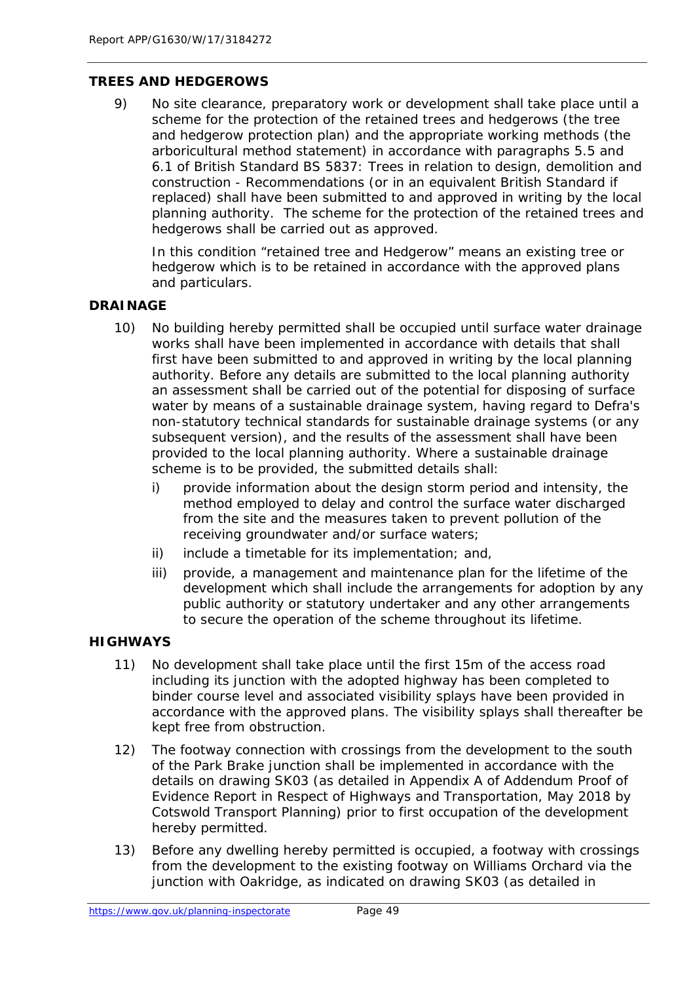#### **TREES AND HEDGEROWS**

9) No site clearance, preparatory work or development shall take place until a scheme for the protection of the retained trees and hedgerows (the tree and hedgerow protection plan) and the appropriate working methods (the arboricultural method statement) in accordance with paragraphs 5.5 and 6.1 of British Standard BS 5837: Trees in relation to design, demolition and construction - Recommendations (or in an equivalent British Standard if replaced) shall have been submitted to and approved in writing by the local planning authority. The scheme for the protection of the retained trees and hedgerows shall be carried out as approved.

In this condition "retained tree and Hedgerow" means an existing tree or hedgerow which is to be retained in accordance with the approved plans and particulars.

#### **DRAINAGE**

- 10) No building hereby permitted shall be occupied until surface water drainage works shall have been implemented in accordance with details that shall first have been submitted to and approved in writing by the local planning authority. Before any details are submitted to the local planning authority an assessment shall be carried out of the potential for disposing of surface water by means of a sustainable drainage system, having regard to Defra's non-statutory technical standards for sustainable drainage systems (or any subsequent version), and the results of the assessment shall have been provided to the local planning authority. Where a sustainable drainage scheme is to be provided, the submitted details shall:
	- i) provide information about the design storm period and intensity, the method employed to delay and control the surface water discharged from the site and the measures taken to prevent pollution of the receiving groundwater and/or surface waters;
	- ii) include a timetable for its implementation; and,
	- iii) provide, a management and maintenance plan for the lifetime of the development which shall include the arrangements for adoption by any public authority or statutory undertaker and any other arrangements to secure the operation of the scheme throughout its lifetime.

#### **HIGHWAYS**

- 11) No development shall take place until the first 15m of the access road including its junction with the adopted highway has been completed to binder course level and associated visibility splays have been provided in accordance with the approved plans. The visibility splays shall thereafter be kept free from obstruction.
- 12) The footway connection with crossings from the development to the south of the Park Brake junction shall be implemented in accordance with the details on drawing SK03 (as detailed in Appendix A of Addendum Proof of Evidence Report in Respect of Highways and Transportation, May 2018 by Cotswold Transport Planning) prior to first occupation of the development hereby permitted.
- 13) Before any dwelling hereby permitted is occupied, a footway with crossings from the development to the existing footway on Williams Orchard via the junction with Oakridge, as indicated on drawing SK03 (as detailed in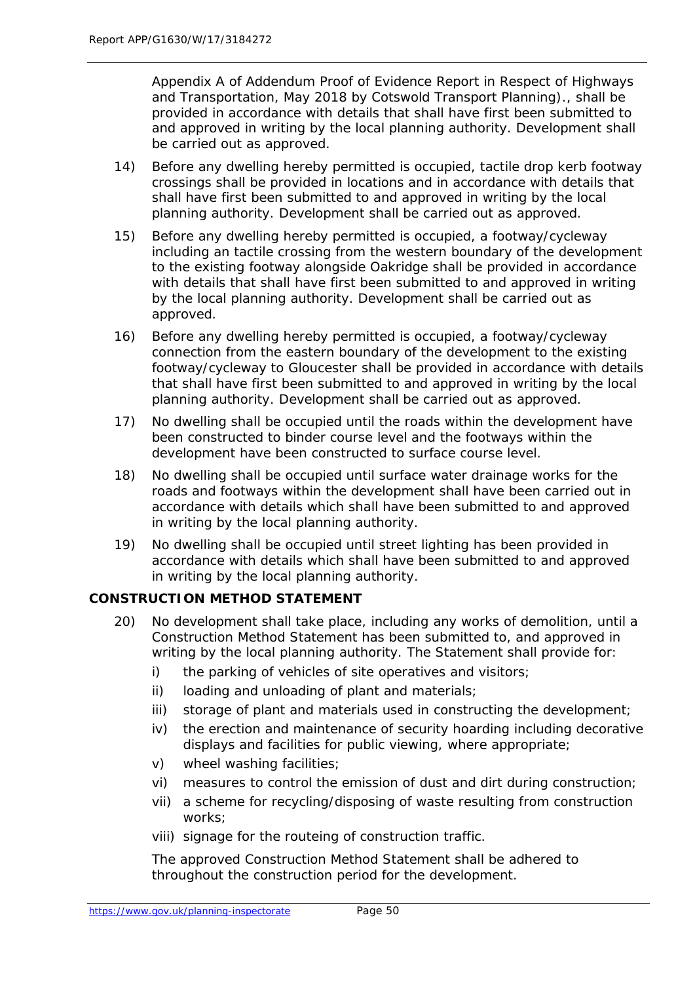Appendix A of Addendum Proof of Evidence Report in Respect of Highways and Transportation, May 2018 by Cotswold Transport Planning)., shall be provided in accordance with details that shall have first been submitted to and approved in writing by the local planning authority. Development shall be carried out as approved.

- 14) Before any dwelling hereby permitted is occupied, tactile drop kerb footway crossings shall be provided in locations and in accordance with details that shall have first been submitted to and approved in writing by the local planning authority. Development shall be carried out as approved.
- 15) Before any dwelling hereby permitted is occupied, a footway/cycleway including an tactile crossing from the western boundary of the development to the existing footway alongside Oakridge shall be provided in accordance with details that shall have first been submitted to and approved in writing by the local planning authority. Development shall be carried out as approved.
- 16) Before any dwelling hereby permitted is occupied, a footway/cycleway connection from the eastern boundary of the development to the existing footway/cycleway to Gloucester shall be provided in accordance with details that shall have first been submitted to and approved in writing by the local planning authority. Development shall be carried out as approved.
- 17) No dwelling shall be occupied until the roads within the development have been constructed to binder course level and the footways within the development have been constructed to surface course level.
- 18) No dwelling shall be occupied until surface water drainage works for the roads and footways within the development shall have been carried out in accordance with details which shall have been submitted to and approved in writing by the local planning authority.
- 19) No dwelling shall be occupied until street lighting has been provided in accordance with details which shall have been submitted to and approved in writing by the local planning authority.

#### **CONSTRUCTION METHOD STATEMENT**

- 20) No development shall take place, including any works of demolition, until a Construction Method Statement has been submitted to, and approved in writing by the local planning authority. The Statement shall provide for:
	- i) the parking of vehicles of site operatives and visitors;
	- ii) loading and unloading of plant and materials;
	- iii) storage of plant and materials used in constructing the development;
	- iv) the erection and maintenance of security hoarding including decorative displays and facilities for public viewing, where appropriate;
	- v) wheel washing facilities;
	- vi) measures to control the emission of dust and dirt during construction;
	- vii) a scheme for recycling/disposing of waste resulting from construction works;
	- viii) signage for the routeing of construction traffic.

The approved Construction Method Statement shall be adhered to throughout the construction period for the development.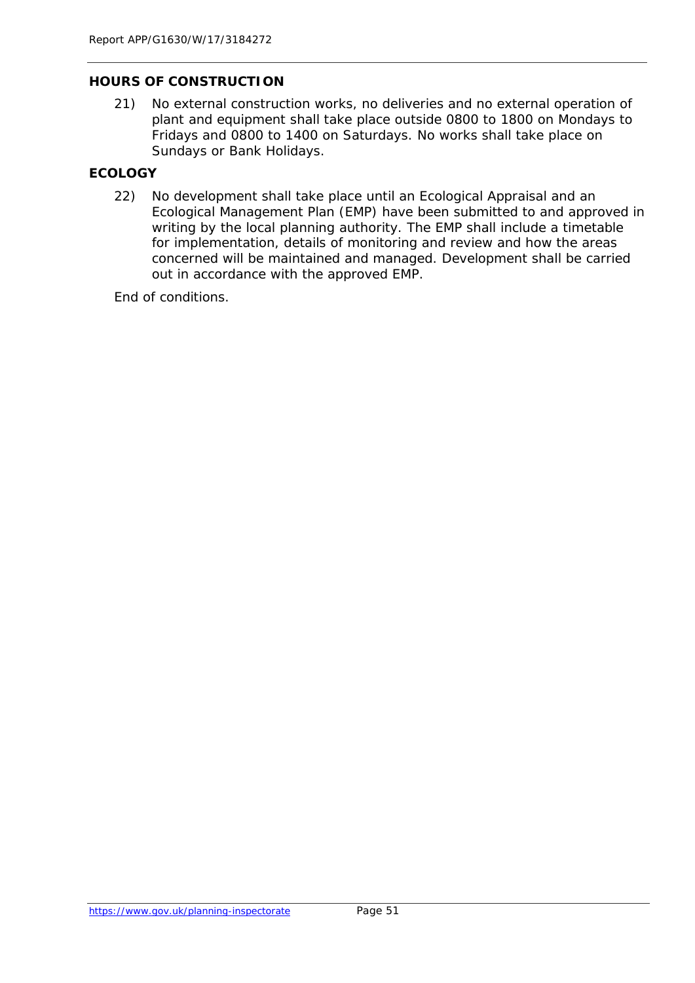#### **HOURS OF CONSTRUCTION**

21) No external construction works, no deliveries and no external operation of plant and equipment shall take place outside 0800 to 1800 on Mondays to Fridays and 0800 to 1400 on Saturdays. No works shall take place on Sundays or Bank Holidays.

#### **ECOLOGY**

22) No development shall take place until an Ecological Appraisal and an Ecological Management Plan (EMP) have been submitted to and approved in writing by the local planning authority. The EMP shall include a timetable for implementation, details of monitoring and review and how the areas concerned will be maintained and managed. Development shall be carried out in accordance with the approved EMP.

End of conditions.